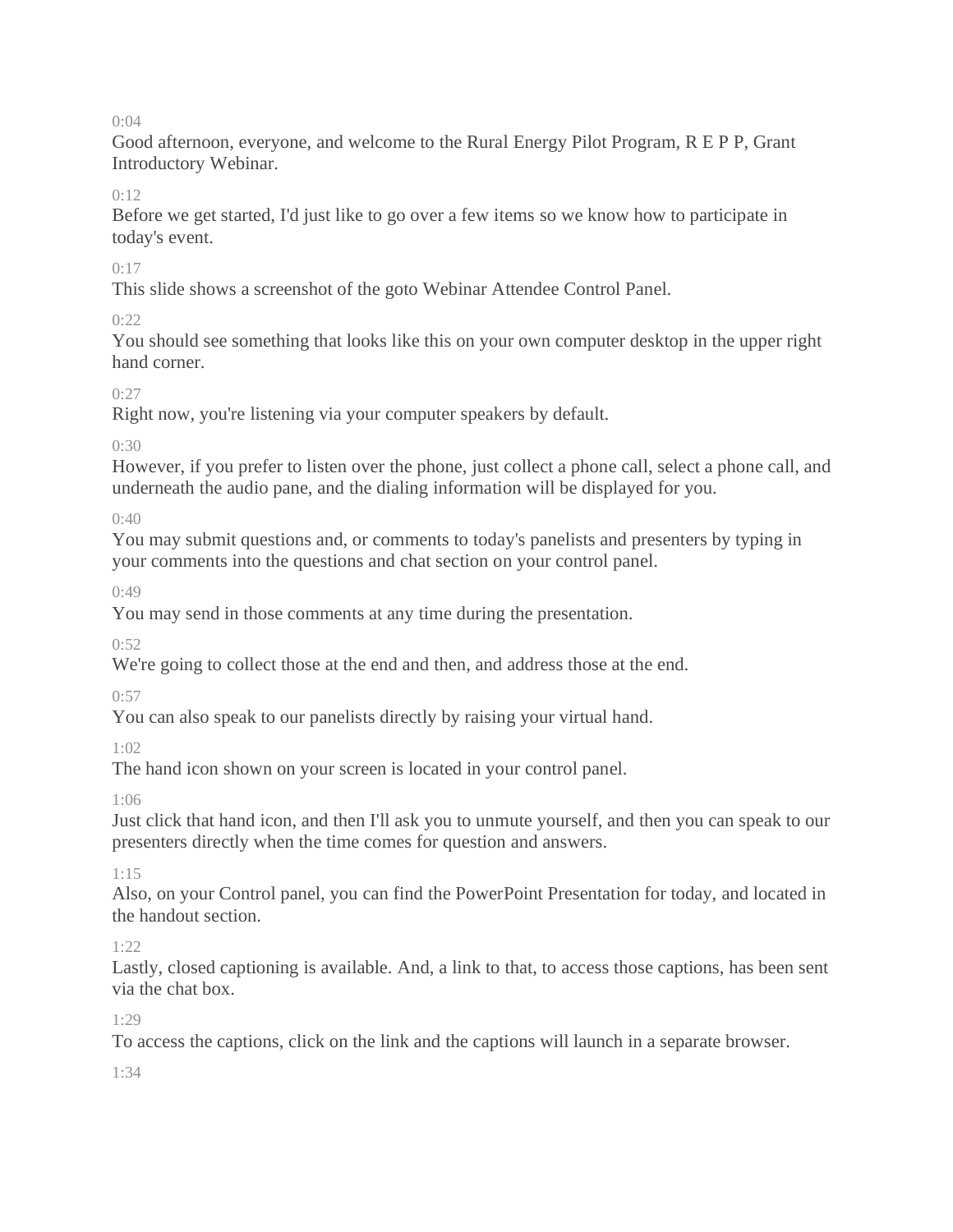Good afternoon, everyone, and welcome to the Rural Energy Pilot Program, R E P P, Grant Introductory Webinar.

## $0:12$

Before we get started, I'd just like to go over a few items so we know how to participate in today's event.

## 0:17

This slide shows a screenshot of the goto Webinar Attendee Control Panel.

## $0.22$

You should see something that looks like this on your own computer desktop in the upper right hand corner.

## $0.27$

Right now, you're listening via your computer speakers by default.

## 0:30

However, if you prefer to listen over the phone, just collect a phone call, select a phone call, and underneath the audio pane, and the dialing information will be displayed for you.

 $0:40$ 

You may submit questions and, or comments to today's panelists and presenters by typing in your comments into the questions and chat section on your control panel.

 $0.49$ 

You may send in those comments at any time during the presentation.

 $0:52$ 

We're going to collect those at the end and then, and address those at the end.

 $0:57$ 

You can also speak to our panelists directly by raising your virtual hand.

1:02

The hand icon shown on your screen is located in your control panel.

1:06

Just click that hand icon, and then I'll ask you to unmute yourself, and then you can speak to our presenters directly when the time comes for question and answers.

1:15

Also, on your Control panel, you can find the PowerPoint Presentation for today, and located in the handout section.

1:22

Lastly, closed captioning is available. And, a link to that, to access those captions, has been sent via the chat box.

1:29

To access the captions, click on the link and the captions will launch in a separate browser.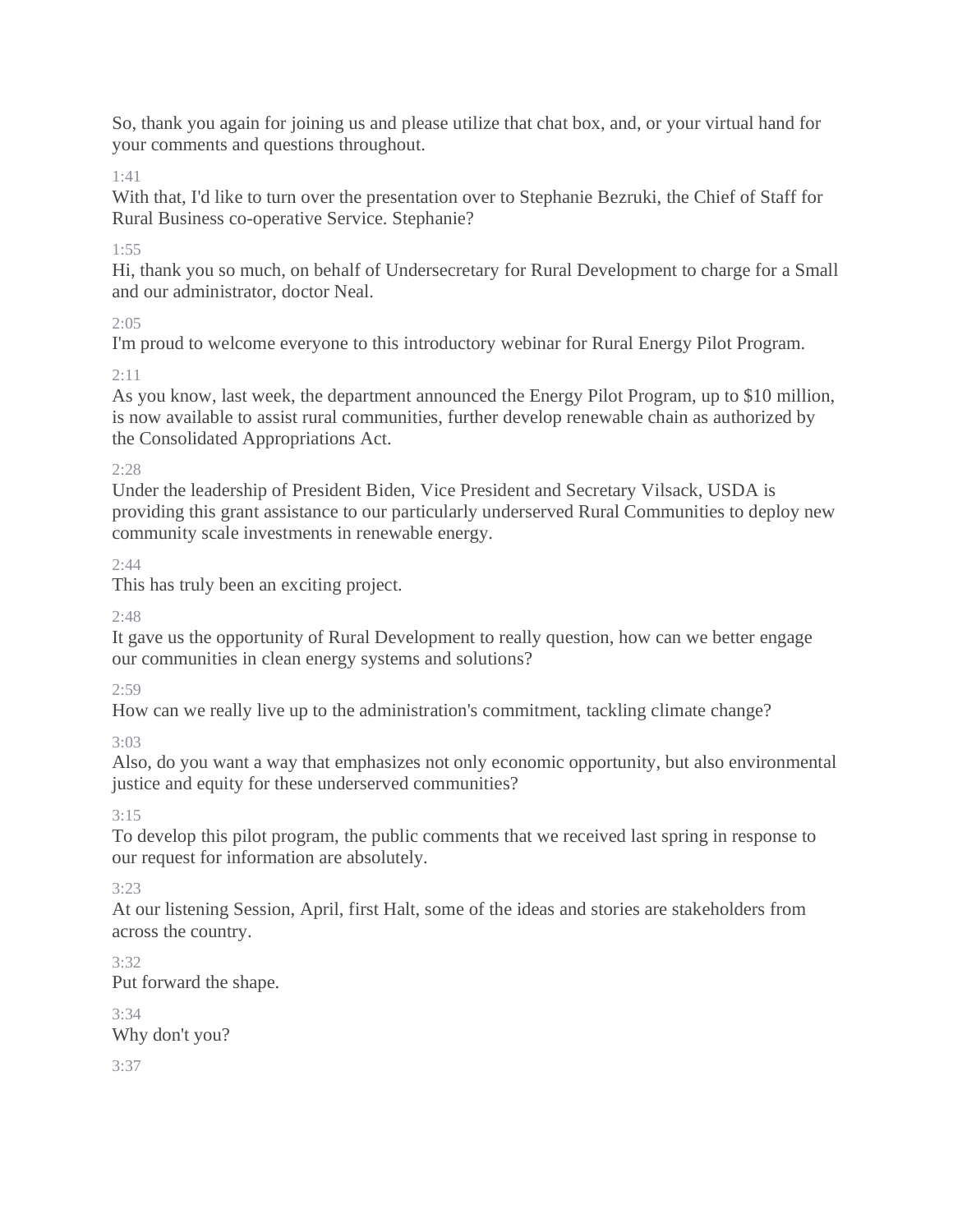So, thank you again for joining us and please utilize that chat box, and, or your virtual hand for your comments and questions throughout.

1:41

With that, I'd like to turn over the presentation over to Stephanie Bezruki, the Chief of Staff for Rural Business co-operative Service. Stephanie?

1:55

Hi, thank you so much, on behalf of Undersecretary for Rural Development to charge for a Small and our administrator, doctor Neal.

 $2:05$ 

I'm proud to welcome everyone to this introductory webinar for Rural Energy Pilot Program.

2:11

As you know, last week, the department announced the Energy Pilot Program, up to \$10 million, is now available to assist rural communities, further develop renewable chain as authorized by the Consolidated Appropriations Act.

2:28

Under the leadership of President Biden, Vice President and Secretary Vilsack, USDA is providing this grant assistance to our particularly underserved Rural Communities to deploy new community scale investments in renewable energy.

 $2:44$ 

This has truly been an exciting project.

 $2.48$ 

It gave us the opportunity of Rural Development to really question, how can we better engage our communities in clean energy systems and solutions?

 $2:59$ 

How can we really live up to the administration's commitment, tackling climate change?

3:03

Also, do you want a way that emphasizes not only economic opportunity, but also environmental justice and equity for these underserved communities?

3:15

To develop this pilot program, the public comments that we received last spring in response to our request for information are absolutely.

3:23

At our listening Session, April, first Halt, some of the ideas and stories are stakeholders from across the country.

3:32 Put forward the shape.

3:34 Why don't you?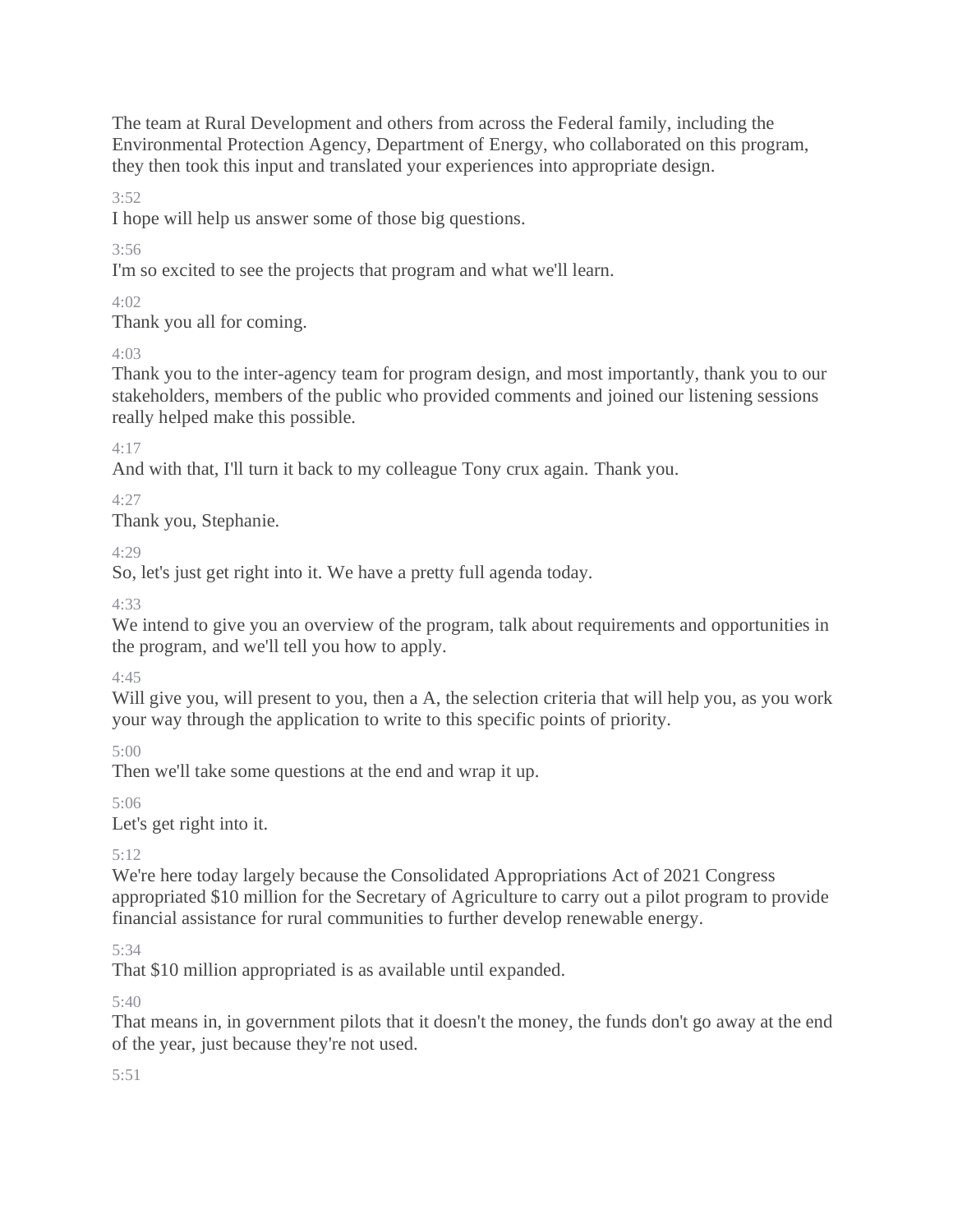The team at Rural Development and others from across the Federal family, including the Environmental Protection Agency, Department of Energy, who collaborated on this program, they then took this input and translated your experiences into appropriate design.

3:52

I hope will help us answer some of those big questions.

3:56

I'm so excited to see the projects that program and what we'll learn.

 $4.02$ 

Thank you all for coming.

## 4:03

Thank you to the inter-agency team for program design, and most importantly, thank you to our stakeholders, members of the public who provided comments and joined our listening sessions really helped make this possible.

4:17

And with that, I'll turn it back to my colleague Tony crux again. Thank you.

 $4.27$ 

Thank you, Stephanie.

 $4.29$ 

So, let's just get right into it. We have a pretty full agenda today.

4:33

We intend to give you an overview of the program, talk about requirements and opportunities in the program, and we'll tell you how to apply.

4:45

Will give you, will present to you, then a A, the selection criteria that will help you, as you work your way through the application to write to this specific points of priority.

5:00

Then we'll take some questions at the end and wrap it up.

5:06

Let's get right into it.

5:12

We're here today largely because the Consolidated Appropriations Act of 2021 Congress appropriated \$10 million for the Secretary of Agriculture to carry out a pilot program to provide financial assistance for rural communities to further develop renewable energy.

5:34

That \$10 million appropriated is as available until expanded.

5:40

That means in, in government pilots that it doesn't the money, the funds don't go away at the end of the year, just because they're not used.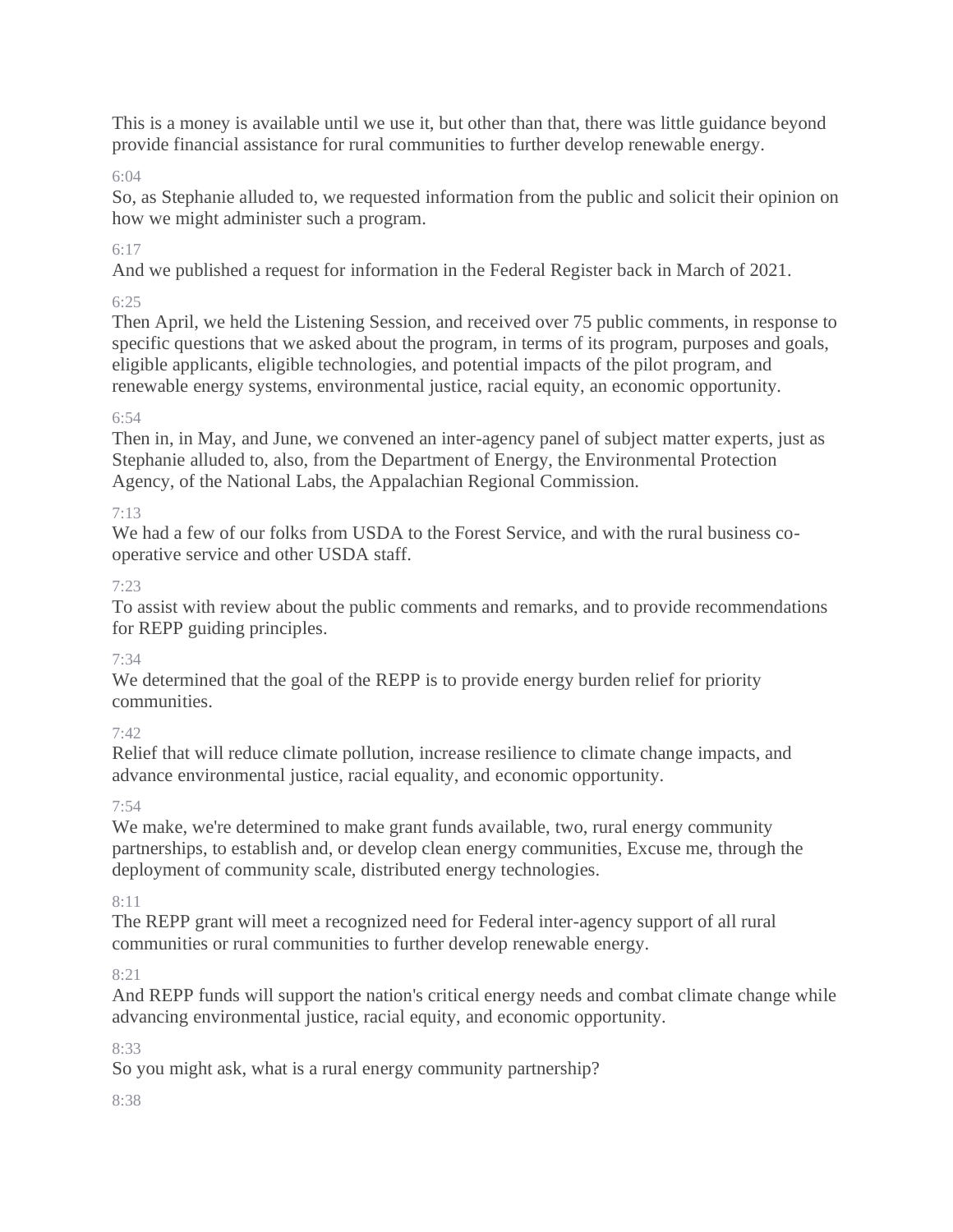This is a money is available until we use it, but other than that, there was little guidance beyond provide financial assistance for rural communities to further develop renewable energy.

## 6:04

So, as Stephanie alluded to, we requested information from the public and solicit their opinion on how we might administer such a program.

# 6:17

And we published a request for information in the Federal Register back in March of 2021.

## 6:25

Then April, we held the Listening Session, and received over 75 public comments, in response to specific questions that we asked about the program, in terms of its program, purposes and goals, eligible applicants, eligible technologies, and potential impacts of the pilot program, and renewable energy systems, environmental justice, racial equity, an economic opportunity.

## 6:54

Then in, in May, and June, we convened an inter-agency panel of subject matter experts, just as Stephanie alluded to, also, from the Department of Energy, the Environmental Protection Agency, of the National Labs, the Appalachian Regional Commission.

# 7:13

We had a few of our folks from USDA to the Forest Service, and with the rural business cooperative service and other USDA staff.

# 7:23

To assist with review about the public comments and remarks, and to provide recommendations for REPP guiding principles.

# 7:34

We determined that the goal of the REPP is to provide energy burden relief for priority communities.

## $7.42$

Relief that will reduce climate pollution, increase resilience to climate change impacts, and advance environmental justice, racial equality, and economic opportunity.

## 7:54

We make, we're determined to make grant funds available, two, rural energy community partnerships, to establish and, or develop clean energy communities, Excuse me, through the deployment of community scale, distributed energy technologies.

## 8:11

The REPP grant will meet a recognized need for Federal inter-agency support of all rural communities or rural communities to further develop renewable energy.

# $8:21$

And REPP funds will support the nation's critical energy needs and combat climate change while advancing environmental justice, racial equity, and economic opportunity.

## 8:33

So you might ask, what is a rural energy community partnership?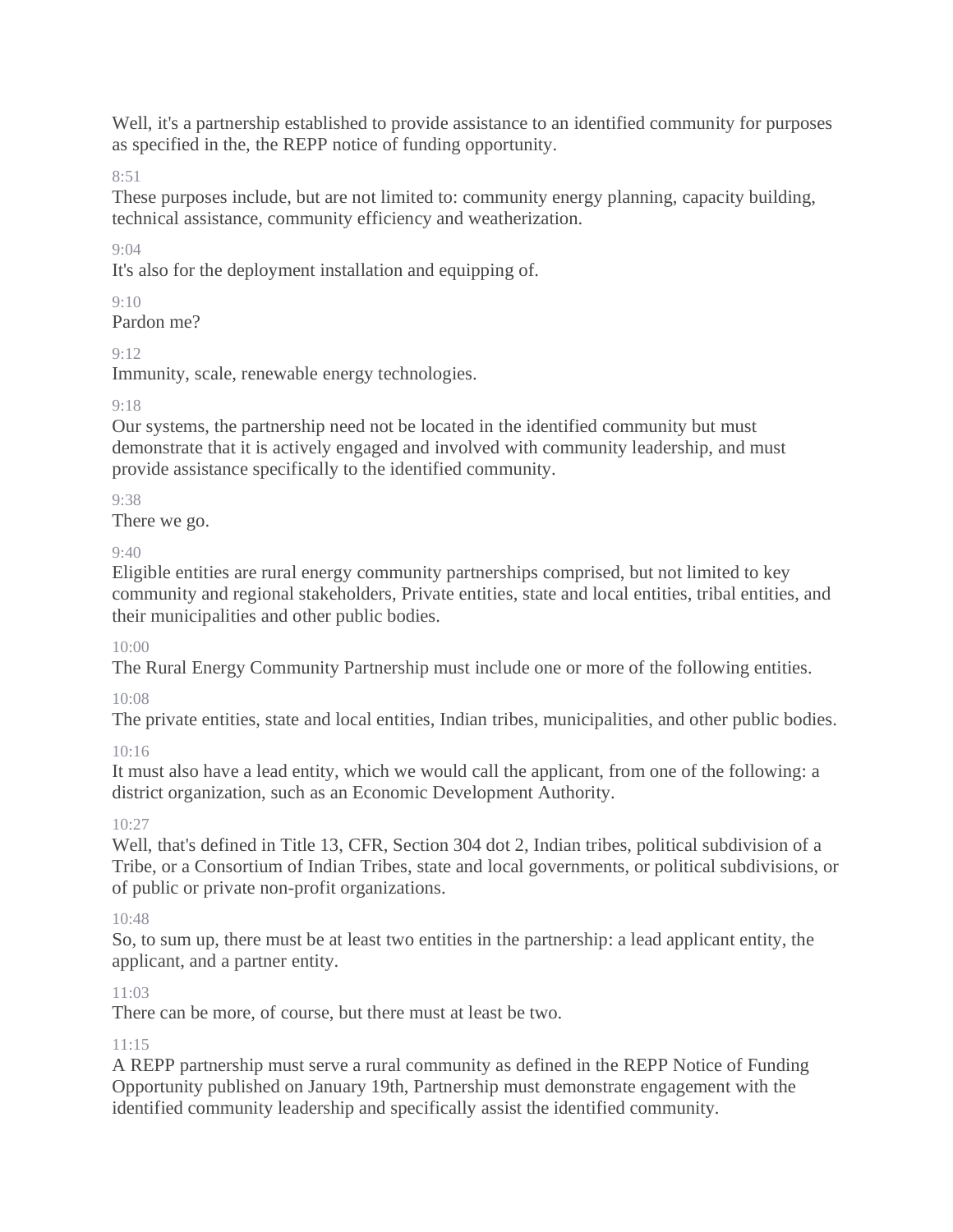Well, it's a partnership established to provide assistance to an identified community for purposes as specified in the, the REPP notice of funding opportunity.

8:51

These purposes include, but are not limited to: community energy planning, capacity building, technical assistance, community efficiency and weatherization.

9:04

It's also for the deployment installation and equipping of.

## $9.10$

Pardon me?

## 9:12

Immunity, scale, renewable energy technologies.

# $9.18$

Our systems, the partnership need not be located in the identified community but must demonstrate that it is actively engaged and involved with community leadership, and must provide assistance specifically to the identified community.

9:38

There we go.

 $9.40$ 

Eligible entities are rural energy community partnerships comprised, but not limited to key community and regional stakeholders, Private entities, state and local entities, tribal entities, and their municipalities and other public bodies.

 $10(0)$ 

The Rural Energy Community Partnership must include one or more of the following entities.

# 10:08

The private entities, state and local entities, Indian tribes, municipalities, and other public bodies.

# 10:16

It must also have a lead entity, which we would call the applicant, from one of the following: a district organization, such as an Economic Development Authority.

# 10:27

Well, that's defined in Title 13, CFR, Section 304 dot 2, Indian tribes, political subdivision of a Tribe, or a Consortium of Indian Tribes, state and local governments, or political subdivisions, or of public or private non-profit organizations.

# 10:48

So, to sum up, there must be at least two entities in the partnership: a lead applicant entity, the applicant, and a partner entity.

# 11:03

There can be more, of course, but there must at least be two.

## $11:15$

A REPP partnership must serve a rural community as defined in the REPP Notice of Funding Opportunity published on January 19th, Partnership must demonstrate engagement with the identified community leadership and specifically assist the identified community.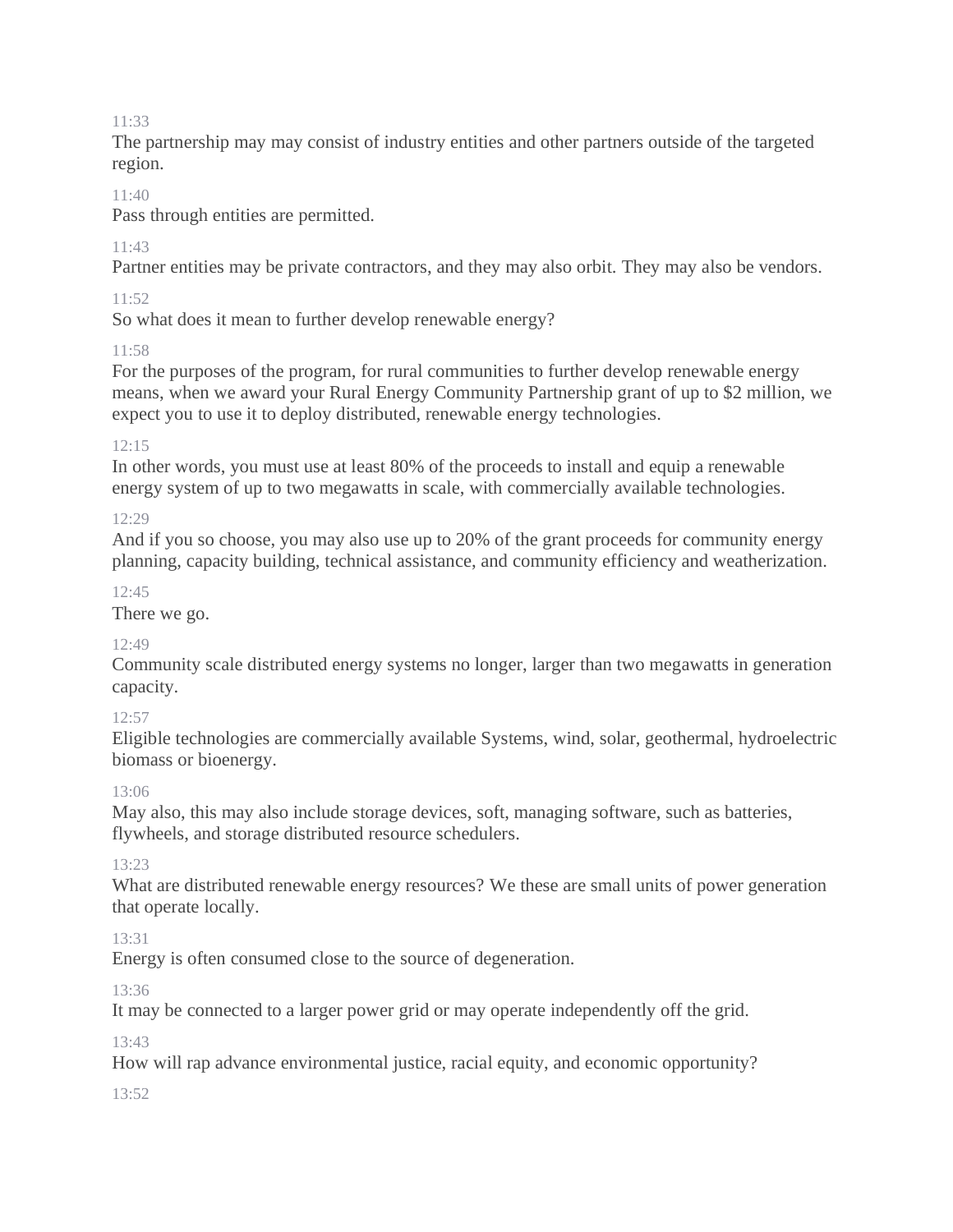The partnership may may consist of industry entities and other partners outside of the targeted region.

## $11:40$

Pass through entities are permitted.

## $11.43$

Partner entities may be private contractors, and they may also orbit. They may also be vendors.

## 11:52

So what does it mean to further develop renewable energy?

## $11.58$

For the purposes of the program, for rural communities to further develop renewable energy means, when we award your Rural Energy Community Partnership grant of up to \$2 million, we expect you to use it to deploy distributed, renewable energy technologies.

## 12:15

In other words, you must use at least 80% of the proceeds to install and equip a renewable energy system of up to two megawatts in scale, with commercially available technologies.

## $12.29$

And if you so choose, you may also use up to 20% of the grant proceeds for community energy planning, capacity building, technical assistance, and community efficiency and weatherization.

## $12:45$

There we go.

## 12:49

Community scale distributed energy systems no longer, larger than two megawatts in generation capacity.

## 12:57

Eligible technologies are commercially available Systems, wind, solar, geothermal, hydroelectric biomass or bioenergy.

## 13:06

May also, this may also include storage devices, soft, managing software, such as batteries, flywheels, and storage distributed resource schedulers.

## 13:23

What are distributed renewable energy resources? We these are small units of power generation that operate locally.

## 13:31

Energy is often consumed close to the source of degeneration.

## 13:36

It may be connected to a larger power grid or may operate independently off the grid.

13:43

How will rap advance environmental justice, racial equity, and economic opportunity?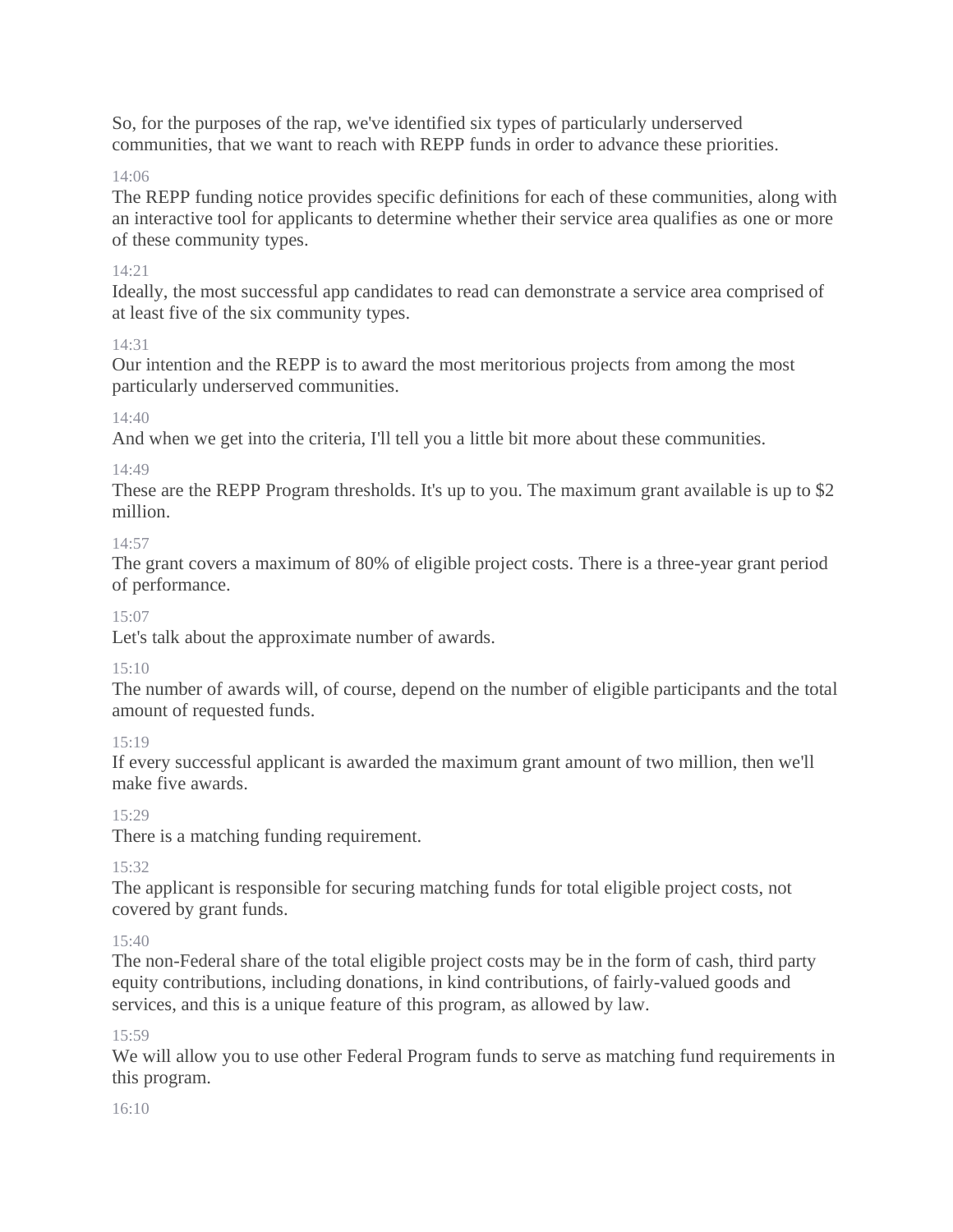So, for the purposes of the rap, we've identified six types of particularly underserved communities, that we want to reach with REPP funds in order to advance these priorities.

14:06

The REPP funding notice provides specific definitions for each of these communities, along with an interactive tool for applicants to determine whether their service area qualifies as one or more of these community types.

# 14:21

Ideally, the most successful app candidates to read can demonstrate a service area comprised of at least five of the six community types.

14:31

Our intention and the REPP is to award the most meritorious projects from among the most particularly underserved communities.

# 14:40

And when we get into the criteria, I'll tell you a little bit more about these communities.

# 14:49

These are the REPP Program thresholds. It's up to you. The maximum grant available is up to \$2 million.

# 14:57

The grant covers a maximum of 80% of eligible project costs. There is a three-year grant period of performance.

# 15:07

Let's talk about the approximate number of awards.

# 15:10

The number of awards will, of course, depend on the number of eligible participants and the total amount of requested funds.

# 15:19

If every successful applicant is awarded the maximum grant amount of two million, then we'll make five awards.

# 15:29

There is a matching funding requirement.

# 15:32

The applicant is responsible for securing matching funds for total eligible project costs, not covered by grant funds.

# $15:40$

The non-Federal share of the total eligible project costs may be in the form of cash, third party equity contributions, including donations, in kind contributions, of fairly-valued goods and services, and this is a unique feature of this program, as allowed by law.

# 15:59

We will allow you to use other Federal Program funds to serve as matching fund requirements in this program.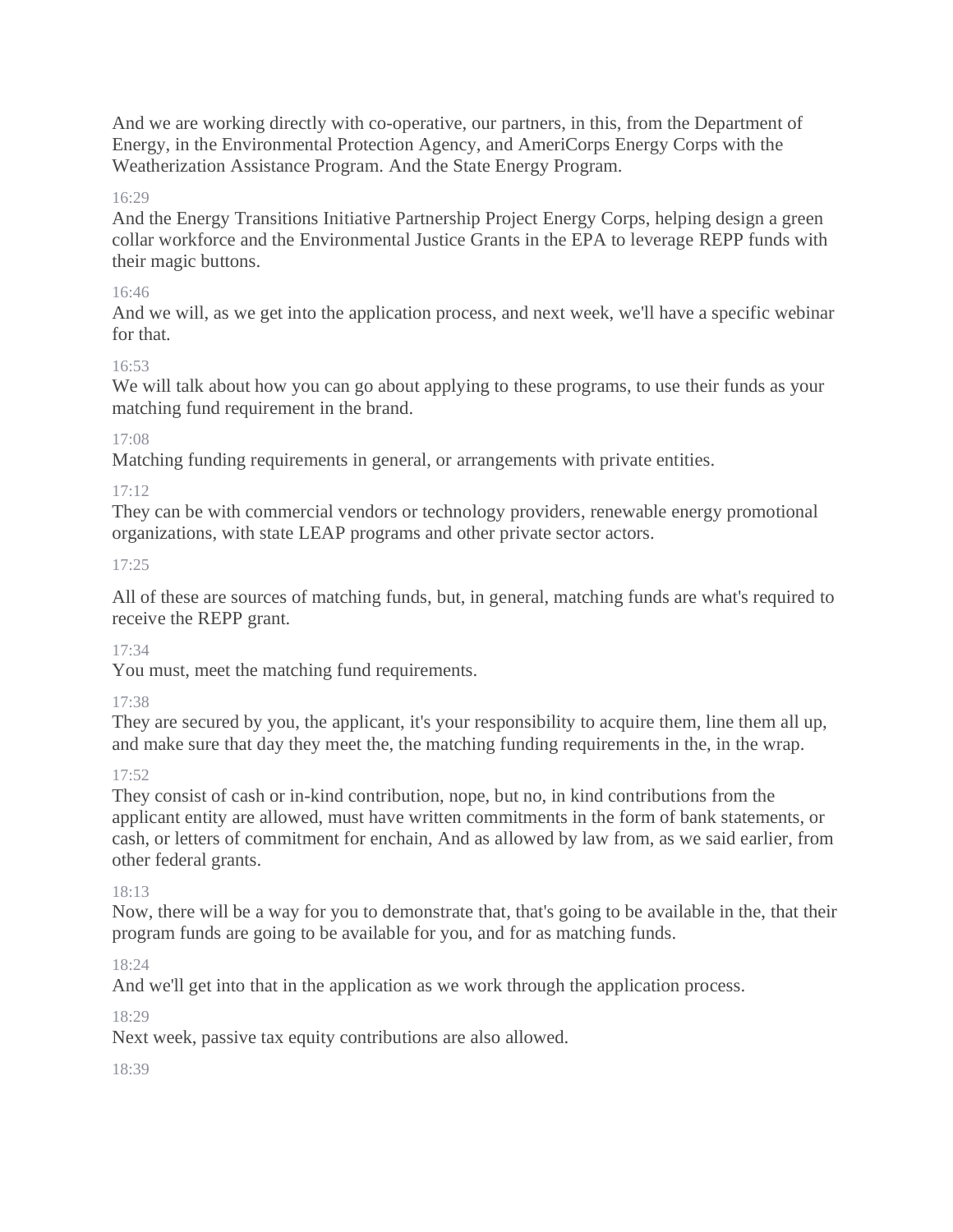And we are working directly with co-operative, our partners, in this, from the Department of Energy, in the Environmental Protection Agency, and AmeriCorps Energy Corps with the Weatherization Assistance Program. And the State Energy Program.

## 16:29

And the Energy Transitions Initiative Partnership Project Energy Corps, helping design a green collar workforce and the Environmental Justice Grants in the EPA to leverage REPP funds with their magic buttons.

#### 16:46

And we will, as we get into the application process, and next week, we'll have a specific webinar for that.

## 16:53

We will talk about how you can go about applying to these programs, to use their funds as your matching fund requirement in the brand.

## 17:08

Matching funding requirements in general, or arrangements with private entities.

## 17:12

They can be with commercial vendors or technology providers, renewable energy promotional organizations, with state LEAP programs and other private sector actors.

## 17:25

All of these are sources of matching funds, but, in general, matching funds are what's required to receive the REPP grant.

## 17:34

You must, meet the matching fund requirements.

## 17:38

They are secured by you, the applicant, it's your responsibility to acquire them, line them all up, and make sure that day they meet the, the matching funding requirements in the, in the wrap.

## 17:52

They consist of cash or in-kind contribution, nope, but no, in kind contributions from the applicant entity are allowed, must have written commitments in the form of bank statements, or cash, or letters of commitment for enchain, And as allowed by law from, as we said earlier, from other federal grants.

## 18:13

Now, there will be a way for you to demonstrate that, that's going to be available in the, that their program funds are going to be available for you, and for as matching funds.

## 18:24

And we'll get into that in the application as we work through the application process.

## $18.29$

Next week, passive tax equity contributions are also allowed.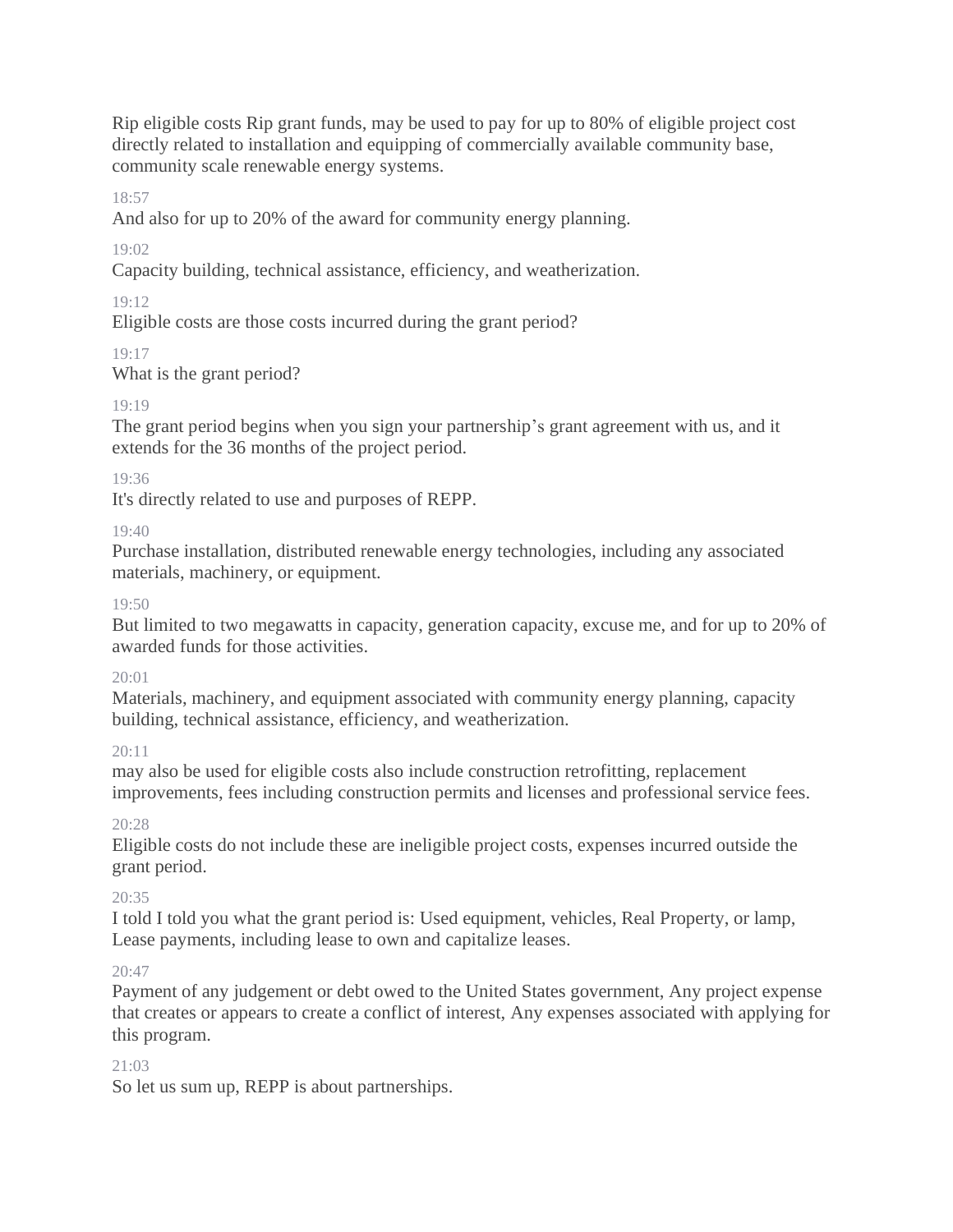Rip eligible costs Rip grant funds, may be used to pay for up to 80% of eligible project cost directly related to installation and equipping of commercially available community base, community scale renewable energy systems.

## 18:57

And also for up to 20% of the award for community energy planning.

# 19:02

Capacity building, technical assistance, efficiency, and weatherization.

# $19.12$

Eligible costs are those costs incurred during the grant period?

# 19:17

What is the grant period?

# 19:19

The grant period begins when you sign your partnership's grant agreement with us, and it extends for the 36 months of the project period.

# 19:36

It's directly related to use and purposes of REPP.

# 19:40

Purchase installation, distributed renewable energy technologies, including any associated materials, machinery, or equipment.

# $19.50$

But limited to two megawatts in capacity, generation capacity, excuse me, and for up to 20% of awarded funds for those activities.

# 20:01

Materials, machinery, and equipment associated with community energy planning, capacity building, technical assistance, efficiency, and weatherization.

# 20:11

may also be used for eligible costs also include construction retrofitting, replacement improvements, fees including construction permits and licenses and professional service fees.

# 20:28

Eligible costs do not include these are ineligible project costs, expenses incurred outside the grant period.

# 20:35

I told I told you what the grant period is: Used equipment, vehicles, Real Property, or lamp, Lease payments, including lease to own and capitalize leases.

# $20.47$

Payment of any judgement or debt owed to the United States government, Any project expense that creates or appears to create a conflict of interest, Any expenses associated with applying for this program.

# 21:03

So let us sum up, REPP is about partnerships.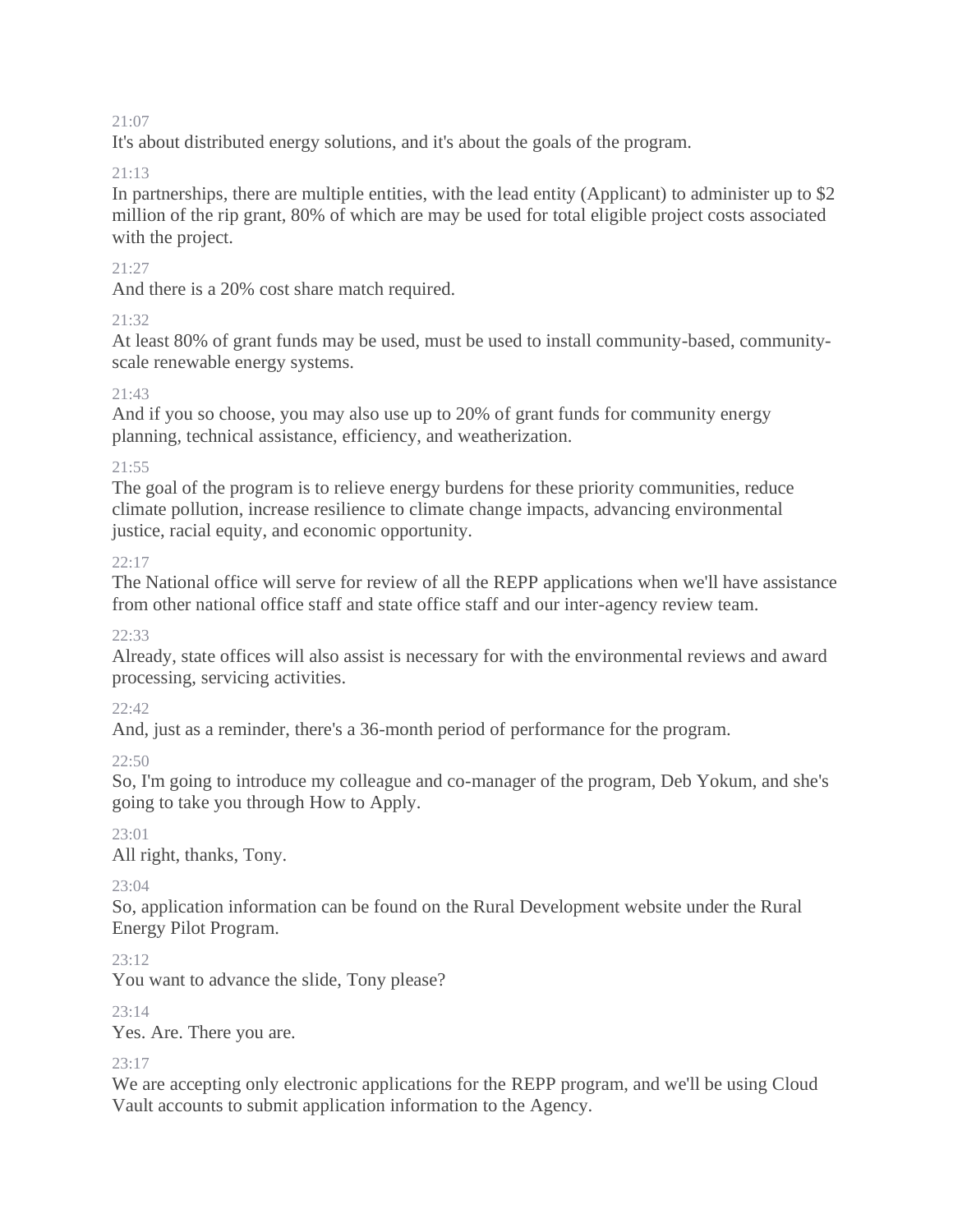It's about distributed energy solutions, and it's about the goals of the program.

## $21 \cdot 13$

In partnerships, there are multiple entities, with the lead entity (Applicant) to administer up to \$2 million of the rip grant, 80% of which are may be used for total eligible project costs associated with the project.

## 21:27

And there is a 20% cost share match required.

## $21.32$

At least 80% of grant funds may be used, must be used to install community-based, communityscale renewable energy systems.

## $21.43$

And if you so choose, you may also use up to 20% of grant funds for community energy planning, technical assistance, efficiency, and weatherization.

## 21:55

The goal of the program is to relieve energy burdens for these priority communities, reduce climate pollution, increase resilience to climate change impacts, advancing environmental justice, racial equity, and economic opportunity.

## $22:17$

The National office will serve for review of all the REPP applications when we'll have assistance from other national office staff and state office staff and our inter-agency review team.

## $22.33$

Already, state offices will also assist is necessary for with the environmental reviews and award processing, servicing activities.

## 22:42

And, just as a reminder, there's a 36-month period of performance for the program.

## 22:50

So, I'm going to introduce my colleague and co-manager of the program, Deb Yokum, and she's going to take you through How to Apply.

## 23:01

All right, thanks, Tony.

## $23.04$

So, application information can be found on the Rural Development website under the Rural Energy Pilot Program.

 $23 \cdot 12$ 

You want to advance the slide, Tony please?

## 23:14

Yes. Are. There you are.

## $23 \cdot 17$

We are accepting only electronic applications for the REPP program, and we'll be using Cloud Vault accounts to submit application information to the Agency.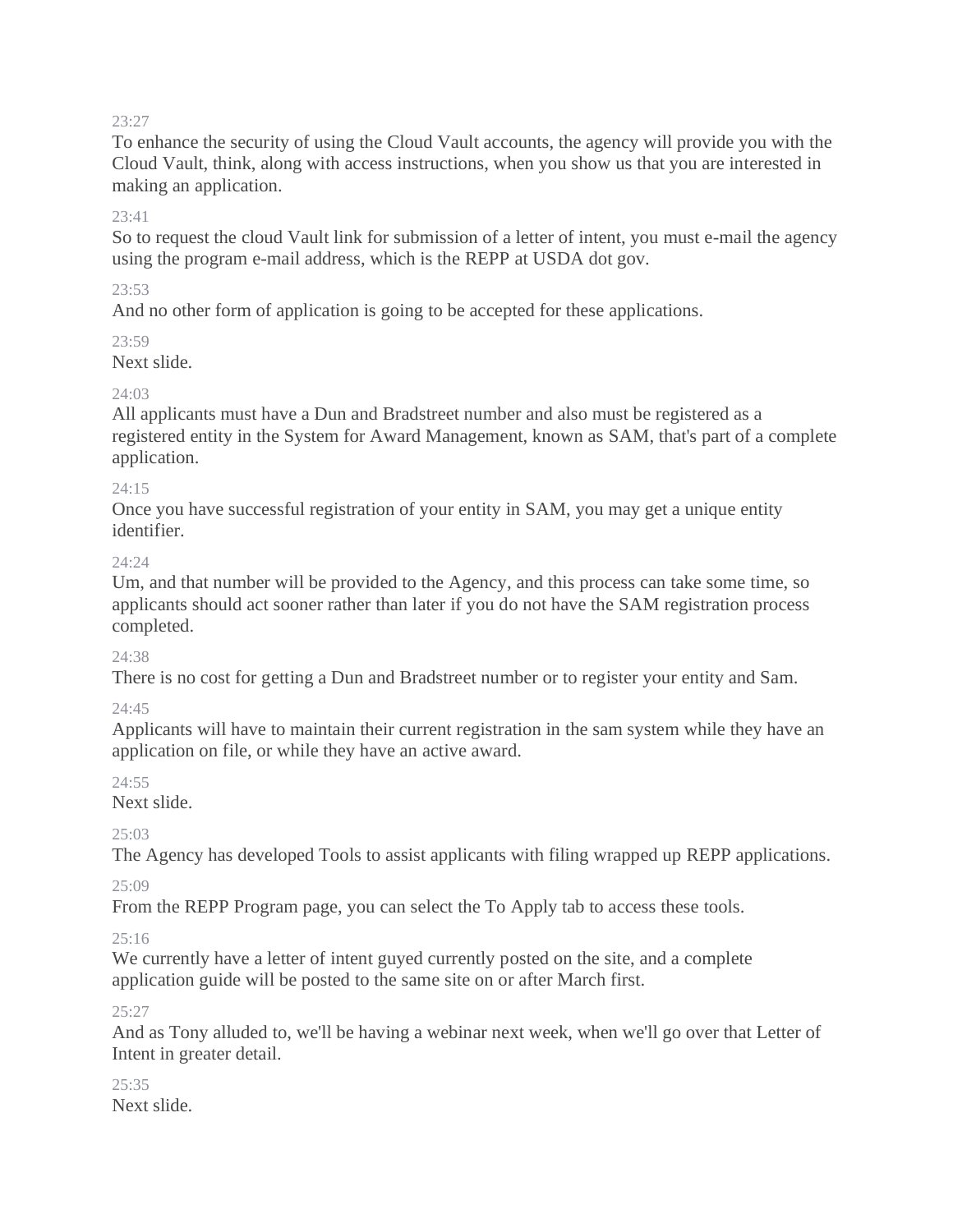To enhance the security of using the Cloud Vault accounts, the agency will provide you with the Cloud Vault, think, along with access instructions, when you show us that you are interested in making an application.

## $23.41$

So to request the cloud Vault link for submission of a letter of intent, you must e-mail the agency using the program e-mail address, which is the REPP at USDA dot gov.

## $23.53$

And no other form of application is going to be accepted for these applications.

23:59

Next slide.

## $24.03$

All applicants must have a Dun and Bradstreet number and also must be registered as a registered entity in the System for Award Management, known as SAM, that's part of a complete application.

## 24:15

Once you have successful registration of your entity in SAM, you may get a unique entity identifier.

## $24.24$

Um, and that number will be provided to the Agency, and this process can take some time, so applicants should act sooner rather than later if you do not have the SAM registration process completed.

## 24:38

There is no cost for getting a Dun and Bradstreet number or to register your entity and Sam.

## 24:45

Applicants will have to maintain their current registration in the sam system while they have an application on file, or while they have an active award.

## $24:55$

Next slide.

# $25.03$

The Agency has developed Tools to assist applicants with filing wrapped up REPP applications.

 $25.09$ 

From the REPP Program page, you can select the To Apply tab to access these tools.

# 25:16

We currently have a letter of intent guyed currently posted on the site, and a complete application guide will be posted to the same site on or after March first.

## 25:27

And as Tony alluded to, we'll be having a webinar next week, when we'll go over that Letter of Intent in greater detail.

#### 25:35 Next slide.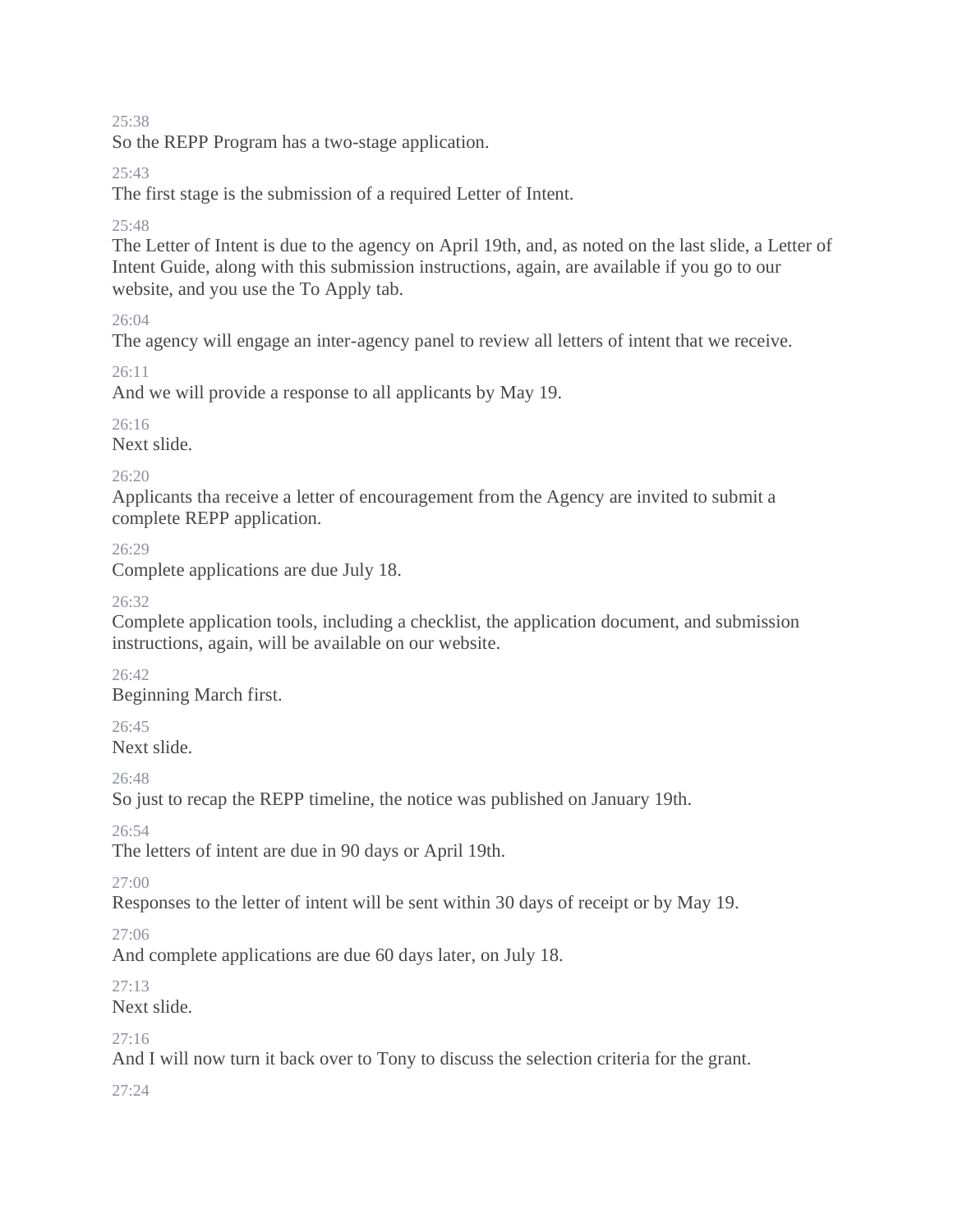So the REPP Program has a two-stage application.

## $25.43$

The first stage is the submission of a required Letter of Intent.

## 25:48

The Letter of Intent is due to the agency on April 19th, and, as noted on the last slide, a Letter of Intent Guide, along with this submission instructions, again, are available if you go to our website, and you use the To Apply tab.

 $26.04$ 

The agency will engage an inter-agency panel to review all letters of intent that we receive.

26:11

And we will provide a response to all applicants by May 19.

 $26.16$ 

Next slide.

26:20

Applicants tha receive a letter of encouragement from the Agency are invited to submit a complete REPP application.

26:29

Complete applications are due July 18.

 $26.32$ 

Complete application tools, including a checklist, the application document, and submission instructions, again, will be available on our website.

26:42 Beginning March first.

26:45

Next slide.

 $26.48$ 

So just to recap the REPP timeline, the notice was published on January 19th.

26:54

The letters of intent are due in 90 days or April 19th.

27:00

Responses to the letter of intent will be sent within 30 days of receipt or by May 19.

27:06

And complete applications are due 60 days later, on July 18.

 $27.13$ 

Next slide.

27:16

And I will now turn it back over to Tony to discuss the selection criteria for the grant.

 $27.24$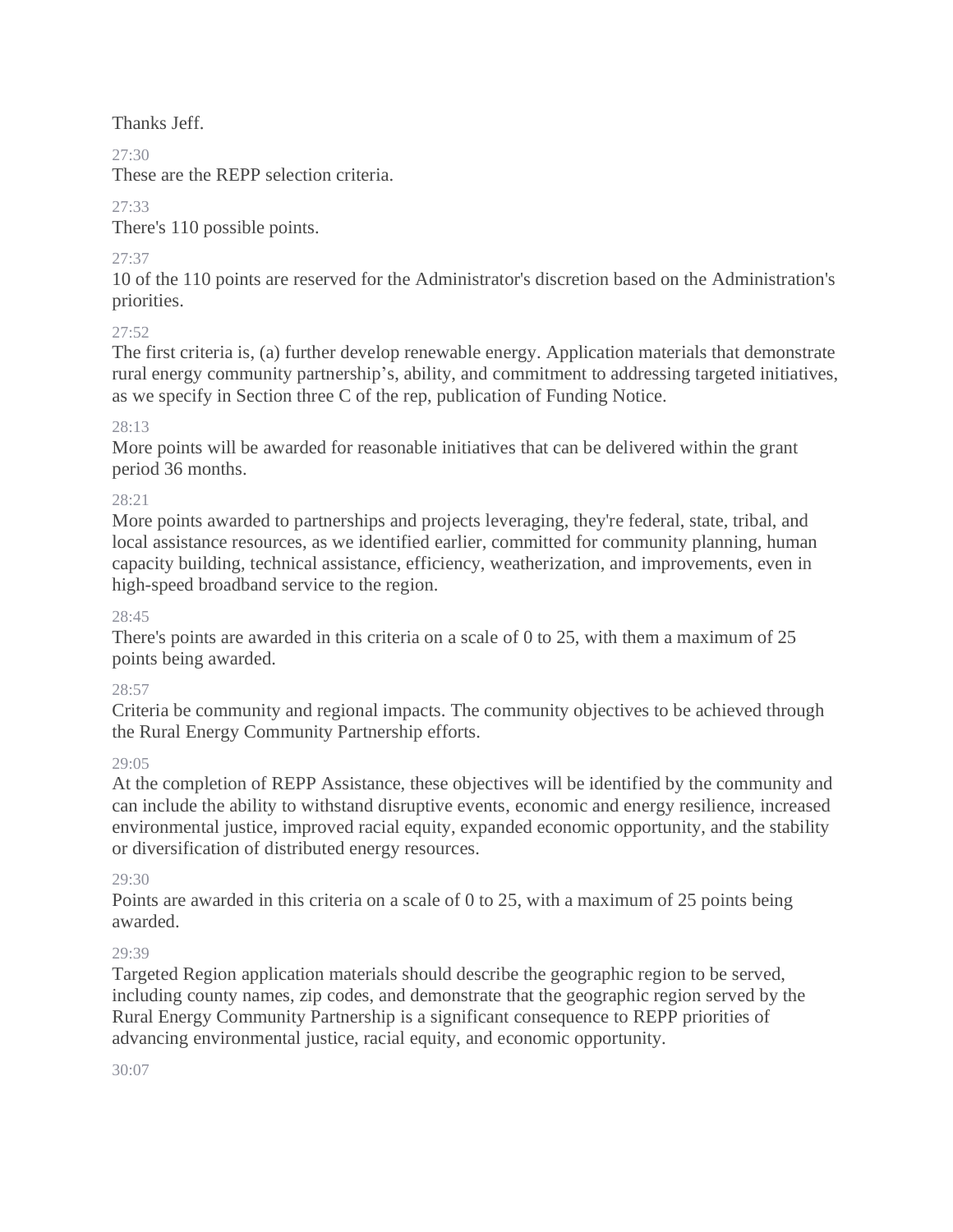Thanks Jeff.

# $27.30$

These are the REPP selection criteria.

27:33

There's 110 possible points.

27:37

10 of the 110 points are reserved for the Administrator's discretion based on the Administration's priorities.

# 27:52

The first criteria is, (a) further develop renewable energy. Application materials that demonstrate rural energy community partnership's, ability, and commitment to addressing targeted initiatives, as we specify in Section three C of the rep, publication of Funding Notice.

# 28:13

More points will be awarded for reasonable initiatives that can be delivered within the grant period 36 months.

# 28:21

More points awarded to partnerships and projects leveraging, they're federal, state, tribal, and local assistance resources, as we identified earlier, committed for community planning, human capacity building, technical assistance, efficiency, weatherization, and improvements, even in high-speed broadband service to the region.

# 28:45

There's points are awarded in this criteria on a scale of 0 to 25, with them a maximum of 25 points being awarded.

# 28:57

Criteria be community and regional impacts. The community objectives to be achieved through the Rural Energy Community Partnership efforts.

# 29:05

At the completion of REPP Assistance, these objectives will be identified by the community and can include the ability to withstand disruptive events, economic and energy resilience, increased environmental justice, improved racial equity, expanded economic opportunity, and the stability or diversification of distributed energy resources.

# 29:30

Points are awarded in this criteria on a scale of 0 to 25, with a maximum of 25 points being awarded.

# 29:39

Targeted Region application materials should describe the geographic region to be served, including county names, zip codes, and demonstrate that the geographic region served by the Rural Energy Community Partnership is a significant consequence to REPP priorities of advancing environmental justice, racial equity, and economic opportunity.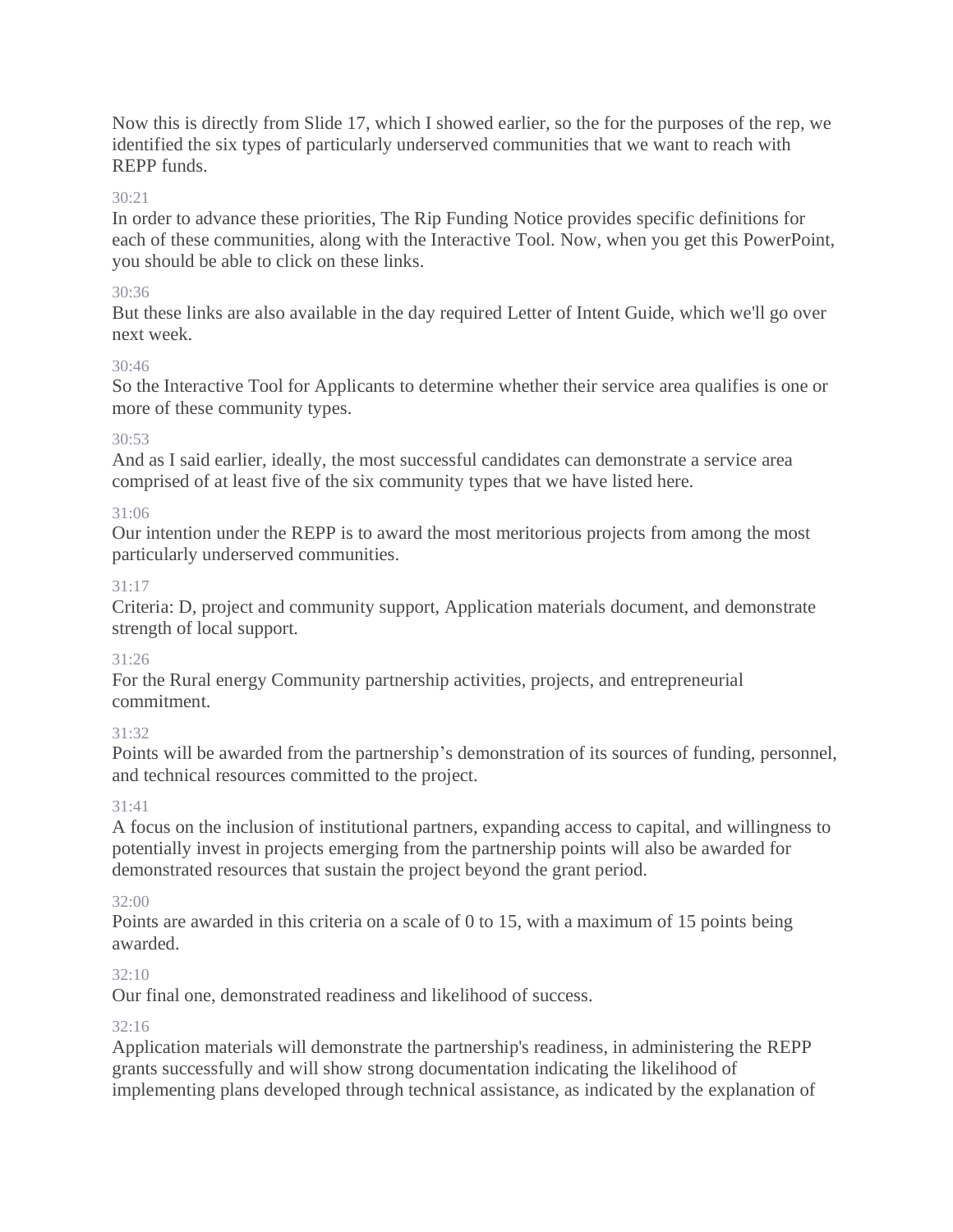Now this is directly from Slide 17, which I showed earlier, so the for the purposes of the rep, we identified the six types of particularly underserved communities that we want to reach with REPP funds.

## $30.21$

In order to advance these priorities, The Rip Funding Notice provides specific definitions for each of these communities, along with the Interactive Tool. Now, when you get this PowerPoint, you should be able to click on these links.

## 30:36

But these links are also available in the day required Letter of Intent Guide, which we'll go over next week.

## 30:46

So the Interactive Tool for Applicants to determine whether their service area qualifies is one or more of these community types.

## 30:53

And as I said earlier, ideally, the most successful candidates can demonstrate a service area comprised of at least five of the six community types that we have listed here.

## 31:06

Our intention under the REPP is to award the most meritorious projects from among the most particularly underserved communities.

## 31:17

Criteria: D, project and community support, Application materials document, and demonstrate strength of local support.

## 31:26

For the Rural energy Community partnership activities, projects, and entrepreneurial commitment.

## 31:32

Points will be awarded from the partnership's demonstration of its sources of funding, personnel, and technical resources committed to the project.

## 31:41

A focus on the inclusion of institutional partners, expanding access to capital, and willingness to potentially invest in projects emerging from the partnership points will also be awarded for demonstrated resources that sustain the project beyond the grant period.

## 32:00

Points are awarded in this criteria on a scale of 0 to 15, with a maximum of 15 points being awarded.

# $32:10$

Our final one, demonstrated readiness and likelihood of success.

## 32:16

Application materials will demonstrate the partnership's readiness, in administering the REPP grants successfully and will show strong documentation indicating the likelihood of implementing plans developed through technical assistance, as indicated by the explanation of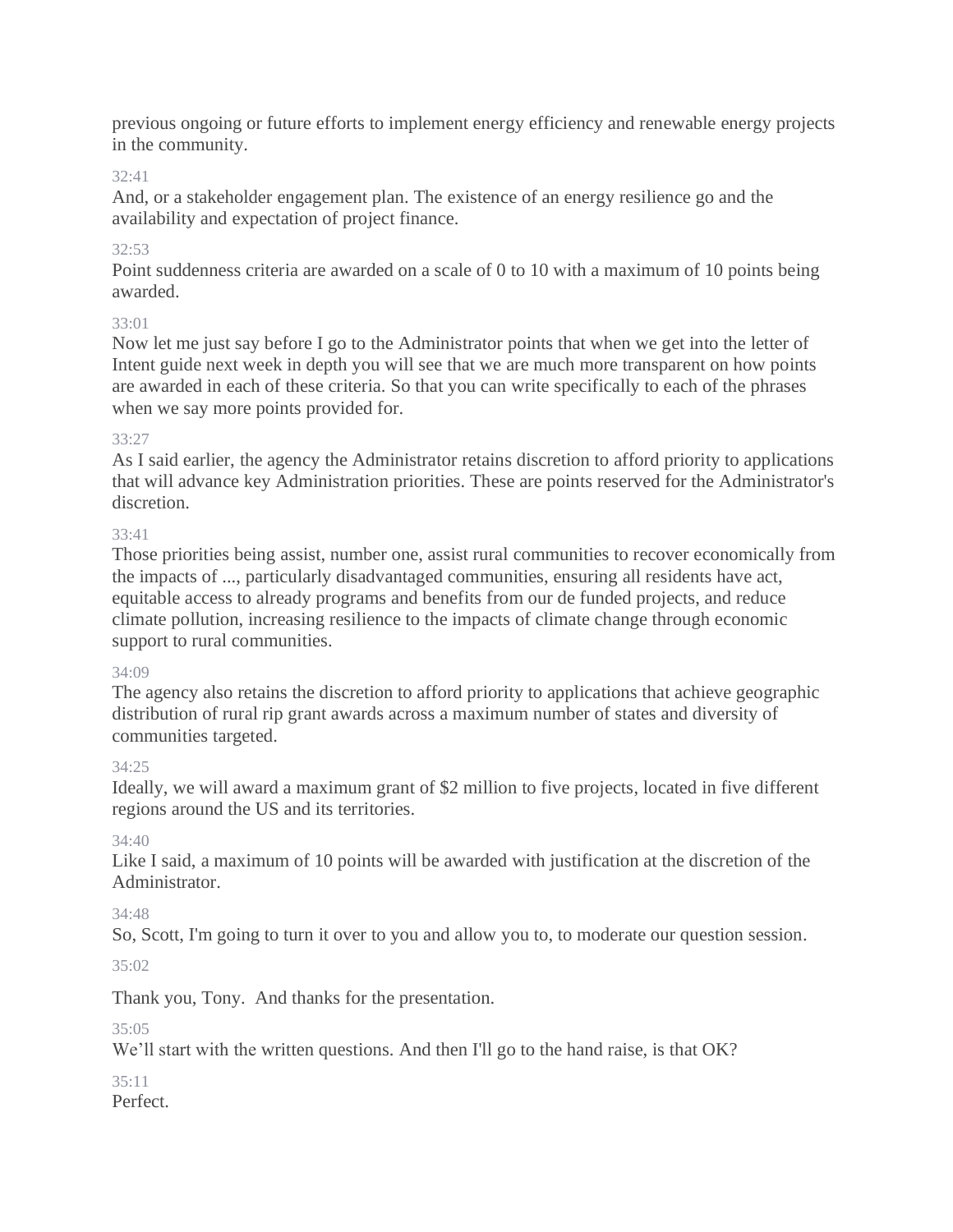previous ongoing or future efforts to implement energy efficiency and renewable energy projects in the community.

## 32:41

And, or a stakeholder engagement plan. The existence of an energy resilience go and the availability and expectation of project finance.

## 32:53

Point suddenness criteria are awarded on a scale of 0 to 10 with a maximum of 10 points being awarded.

## 33:01

Now let me just say before I go to the Administrator points that when we get into the letter of Intent guide next week in depth you will see that we are much more transparent on how points are awarded in each of these criteria. So that you can write specifically to each of the phrases when we say more points provided for.

## 33:27

As I said earlier, the agency the Administrator retains discretion to afford priority to applications that will advance key Administration priorities. These are points reserved for the Administrator's discretion.

## 33:41

Those priorities being assist, number one, assist rural communities to recover economically from the impacts of ..., particularly disadvantaged communities, ensuring all residents have act, equitable access to already programs and benefits from our de funded projects, and reduce climate pollution, increasing resilience to the impacts of climate change through economic support to rural communities.

## 34:09

The agency also retains the discretion to afford priority to applications that achieve geographic distribution of rural rip grant awards across a maximum number of states and diversity of communities targeted.

# 34:25

Ideally, we will award a maximum grant of \$2 million to five projects, located in five different regions around the US and its territories.

## 34:40

Like I said, a maximum of 10 points will be awarded with justification at the discretion of the Administrator.

# 34:48

So, Scott, I'm going to turn it over to you and allow you to, to moderate our question session.

35:02

Thank you, Tony. And thanks for the presentation.

## 35:05

We'll start with the written questions. And then I'll go to the hand raise, is that OK?

#### 35:11 Perfect.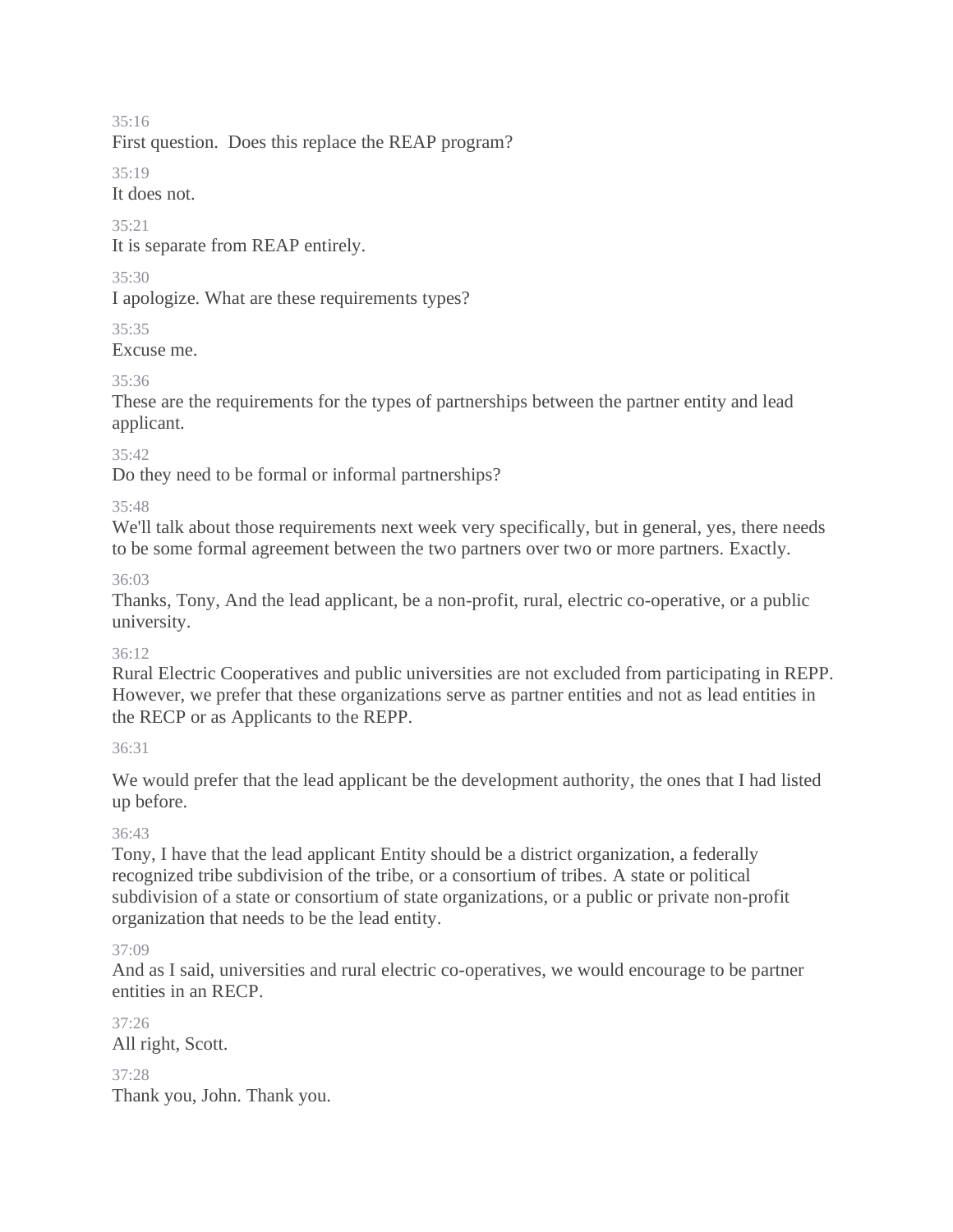First question. Does this replace the REAP program?

35:19

It does not.

#### 35:21

It is separate from REAP entirely.

## $35.30$

I apologize. What are these requirements types?

## 35:35

Excuse me.

# 35:36

These are the requirements for the types of partnerships between the partner entity and lead applicant.

## 35:42

Do they need to be formal or informal partnerships?

## 35:48

We'll talk about those requirements next week very specifically, but in general, yes, there needs to be some formal agreement between the two partners over two or more partners. Exactly.

## 36:03

Thanks, Tony, And the lead applicant, be a non-profit, rural, electric co-operative, or a public university.

## 36:12

Rural Electric Cooperatives and public universities are not excluded from participating in REPP. However, we prefer that these organizations serve as partner entities and not as lead entities in the RECP or as Applicants to the REPP.

## 36:31

We would prefer that the lead applicant be the development authority, the ones that I had listed up before.

# 36:43

Tony, I have that the lead applicant Entity should be a district organization, a federally recognized tribe subdivision of the tribe, or a consortium of tribes. A state or political subdivision of a state or consortium of state organizations, or a public or private non-profit organization that needs to be the lead entity.

# 37:09

And as I said, universities and rural electric co-operatives, we would encourage to be partner entities in an RECP.

37:26 All right, Scott. 37:28

Thank you, John. Thank you.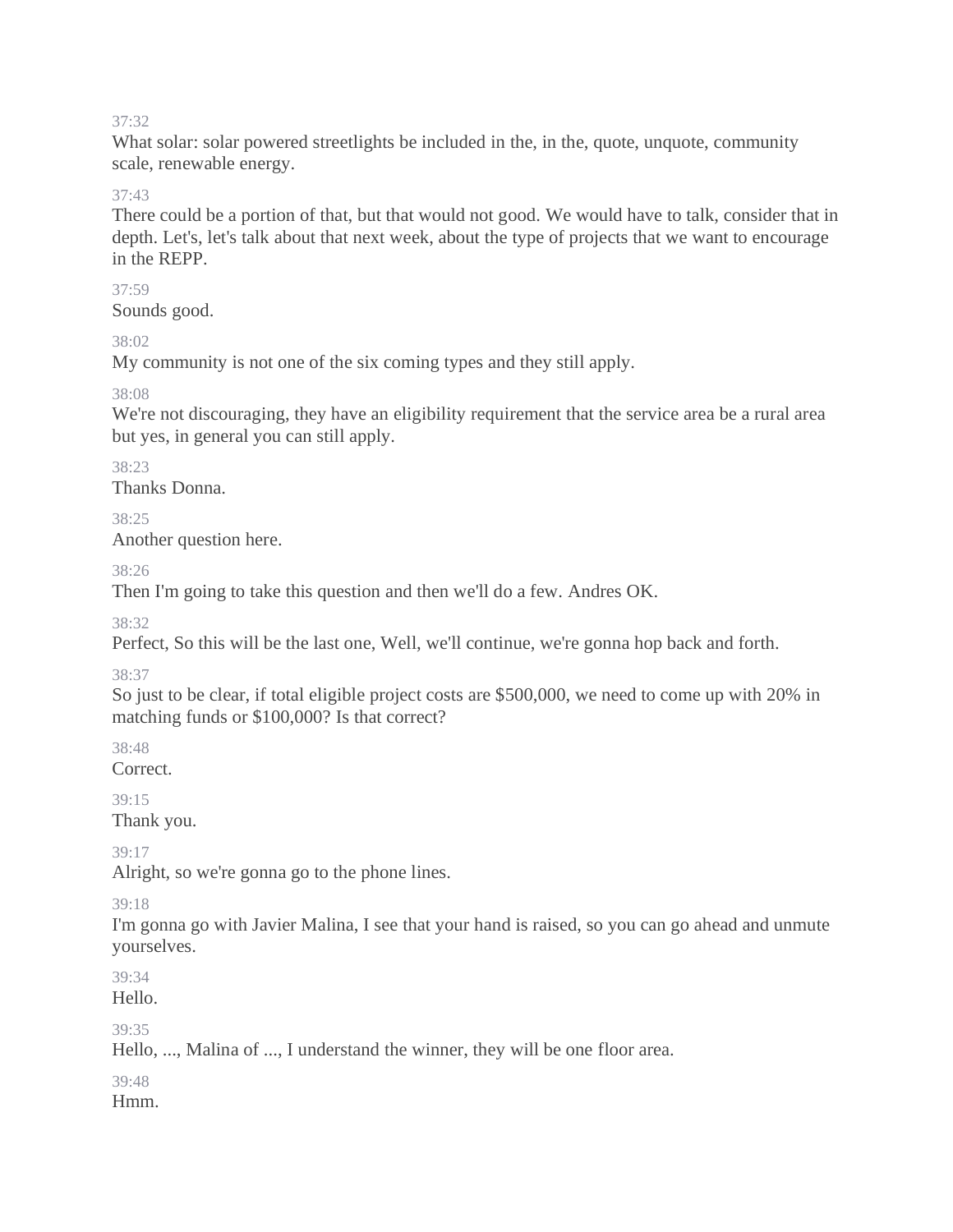What solar: solar powered streetlights be included in the, in the, quote, unquote, community scale, renewable energy.

#### 37:43

There could be a portion of that, but that would not good. We would have to talk, consider that in depth. Let's, let's talk about that next week, about the type of projects that we want to encourage in the REPP.

#### 37:59

Sounds good.

#### 38:02

My community is not one of the six coming types and they still apply.

38:08

We're not discouraging, they have an eligibility requirement that the service area be a rural area but yes, in general you can still apply.

## 38:23

Thanks Donna.

38:25

Another question here.

38:26

Then I'm going to take this question and then we'll do a few. Andres OK.

38:32

Perfect, So this will be the last one, Well, we'll continue, we're gonna hop back and forth.

## 38:37

So just to be clear, if total eligible project costs are \$500,000, we need to come up with 20% in matching funds or \$100,000? Is that correct?

38:48 Correct.

39:15 Thank you.

39:17

Alright, so we're gonna go to the phone lines.

## 39:18

I'm gonna go with Javier Malina, I see that your hand is raised, so you can go ahead and unmute yourselves.

39:34 Hello.

39:35

Hello, ..., Malina of ..., I understand the winner, they will be one floor area.

# 39:48

Hmm.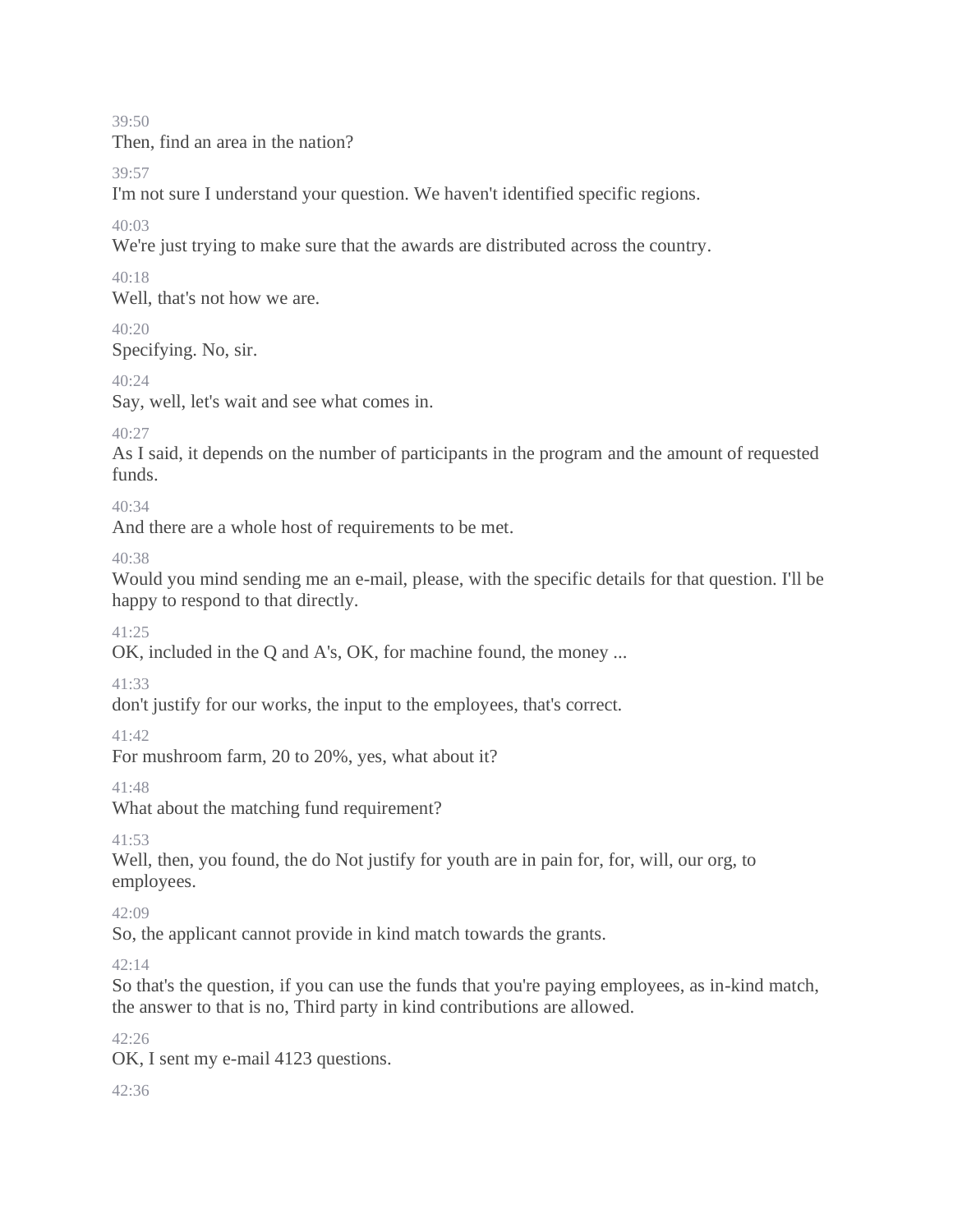Then, find an area in the nation?

39:57

I'm not sure I understand your question. We haven't identified specific regions.

40:03

We're just trying to make sure that the awards are distributed across the country.

 $40.18$ 

Well, that's not how we are.

40:20

Specifying. No, sir.

 $40.24$ 

Say, well, let's wait and see what comes in.

 $40.27$ 

As I said, it depends on the number of participants in the program and the amount of requested funds.

40:34

And there are a whole host of requirements to be met.

40:38

Would you mind sending me an e-mail, please, with the specific details for that question. I'll be happy to respond to that directly.

 $41.25$ 

OK, included in the Q and A's, OK, for machine found, the money ...

41:33

don't justify for our works, the input to the employees, that's correct.

41:42

For mushroom farm, 20 to 20%, yes, what about it?

41:48

What about the matching fund requirement?

41:53

Well, then, you found, the do Not justify for youth are in pain for, for, will, our org, to employees.

 $42:09$ 

So, the applicant cannot provide in kind match towards the grants.

42:14

So that's the question, if you can use the funds that you're paying employees, as in-kind match, the answer to that is no, Third party in kind contributions are allowed.

42:26

OK, I sent my e-mail 4123 questions.

 $42.36$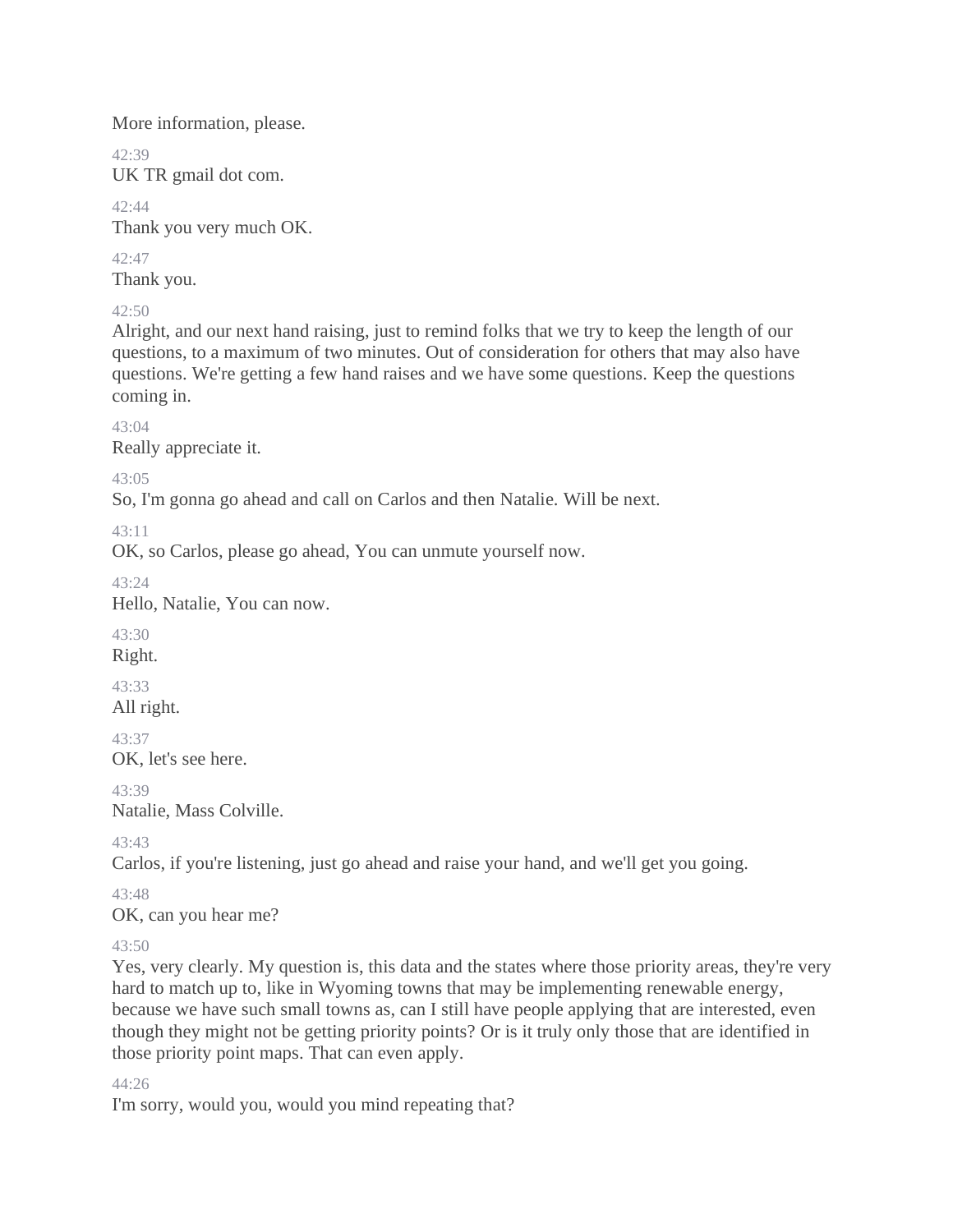More information, please.

 $42.39$ UK TR gmail dot com.

42:44 Thank you very much OK.

42:47 Thank you.

42:50

Alright, and our next hand raising, just to remind folks that we try to keep the length of our questions, to a maximum of two minutes. Out of consideration for others that may also have questions. We're getting a few hand raises and we have some questions. Keep the questions coming in.

43:04

Really appreciate it.

43:05

So, I'm gonna go ahead and call on Carlos and then Natalie. Will be next.

43:11

OK, so Carlos, please go ahead, You can unmute yourself now.

43:24

Hello, Natalie, You can now.

43:30

Right.

43:33 All right.

43:37

OK, let's see here.

43:39 Natalie, Mass Colville.

43:43

Carlos, if you're listening, just go ahead and raise your hand, and we'll get you going.

43:48

OK, can you hear me?

43:50

Yes, very clearly. My question is, this data and the states where those priority areas, they're very hard to match up to, like in Wyoming towns that may be implementing renewable energy, because we have such small towns as, can I still have people applying that are interested, even though they might not be getting priority points? Or is it truly only those that are identified in those priority point maps. That can even apply.

44:26

I'm sorry, would you, would you mind repeating that?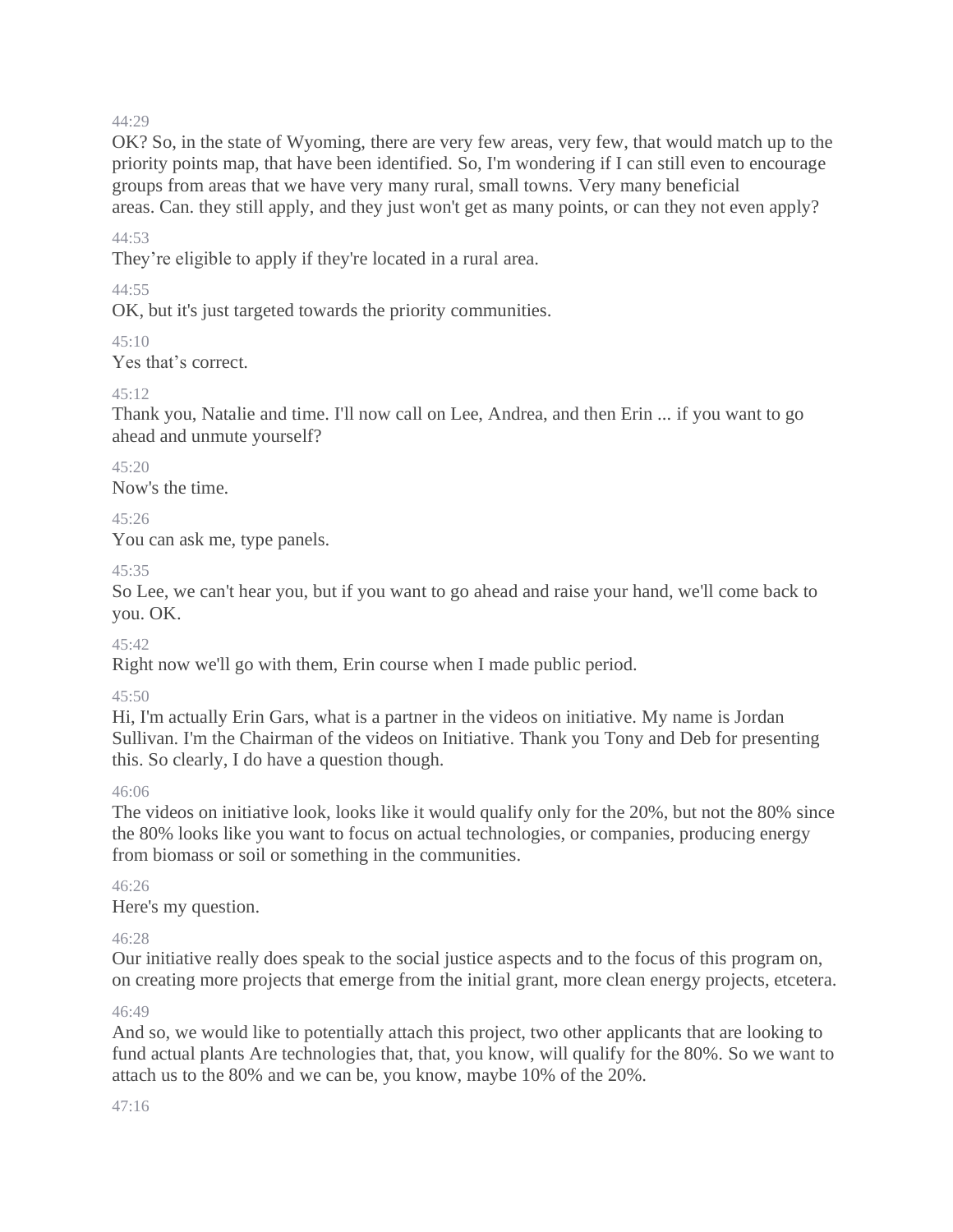OK? So, in the state of Wyoming, there are very few areas, very few, that would match up to the priority points map, that have been identified. So, I'm wondering if I can still even to encourage groups from areas that we have very many rural, small towns. Very many beneficial areas. Can. they still apply, and they just won't get as many points, or can they not even apply?

#### 44:53

They're eligible to apply if they're located in a rural area.

#### $44.55$

OK, but it's just targeted towards the priority communities.

 $45:10$ 

Yes that's correct.

#### $45.12$

Thank you, Natalie and time. I'll now call on Lee, Andrea, and then Erin ... if you want to go ahead and unmute yourself?

 $45.20$ Now's the time.

## 45:26

You can ask me, type panels.

#### 45:35

So Lee, we can't hear you, but if you want to go ahead and raise your hand, we'll come back to you. OK.

#### 45:42

Right now we'll go with them, Erin course when I made public period.

#### 45:50

Hi, I'm actually Erin Gars, what is a partner in the videos on initiative. My name is Jordan Sullivan. I'm the Chairman of the videos on Initiative. Thank you Tony and Deb for presenting this. So clearly, I do have a question though.

#### 46:06

The videos on initiative look, looks like it would qualify only for the 20%, but not the 80% since the 80% looks like you want to focus on actual technologies, or companies, producing energy from biomass or soil or something in the communities.

#### $46.26$

Here's my question.

#### 46:28

Our initiative really does speak to the social justice aspects and to the focus of this program on, on creating more projects that emerge from the initial grant, more clean energy projects, etcetera.

#### 46:49

And so, we would like to potentially attach this project, two other applicants that are looking to fund actual plants Are technologies that, that, you know, will qualify for the 80%. So we want to attach us to the 80% and we can be, you know, maybe 10% of the 20%.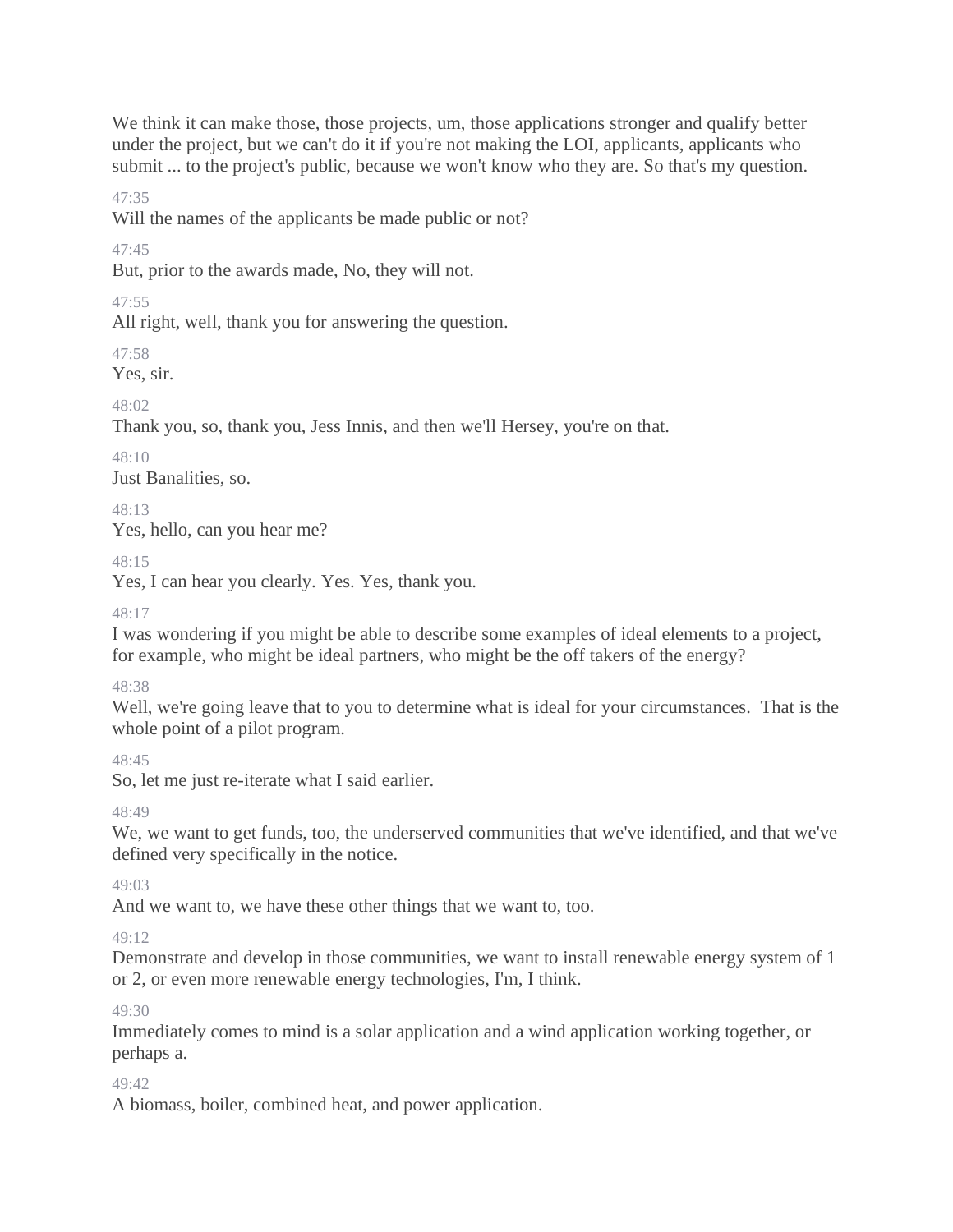We think it can make those, those projects, um, those applications stronger and qualify better under the project, but we can't do it if you're not making the LOI, applicants, applicants who submit ... to the project's public, because we won't know who they are. So that's my question.

47:35

Will the names of the applicants be made public or not?

47:45

But, prior to the awards made, No, they will not.

 $47.55$ 

All right, well, thank you for answering the question.

47:58

Yes, sir.

48:02

Thank you, so, thank you, Jess Innis, and then we'll Hersey, you're on that.

48:10

Just Banalities, so.

 $48.13$ Yes, hello, can you hear me?

48:15

Yes, I can hear you clearly. Yes. Yes, thank you.

 $48.17$ 

I was wondering if you might be able to describe some examples of ideal elements to a project, for example, who might be ideal partners, who might be the off takers of the energy?

48:38

Well, we're going leave that to you to determine what is ideal for your circumstances. That is the whole point of a pilot program.

48:45

So, let me just re-iterate what I said earlier.

48:49

We, we want to get funds, too, the underserved communities that we've identified, and that we've defined very specifically in the notice.

 $49.03$ 

And we want to, we have these other things that we want to, too.

 $49.12$ 

Demonstrate and develop in those communities, we want to install renewable energy system of 1 or 2, or even more renewable energy technologies, I'm, I think.

49:30

Immediately comes to mind is a solar application and a wind application working together, or perhaps a.

49:42

A biomass, boiler, combined heat, and power application.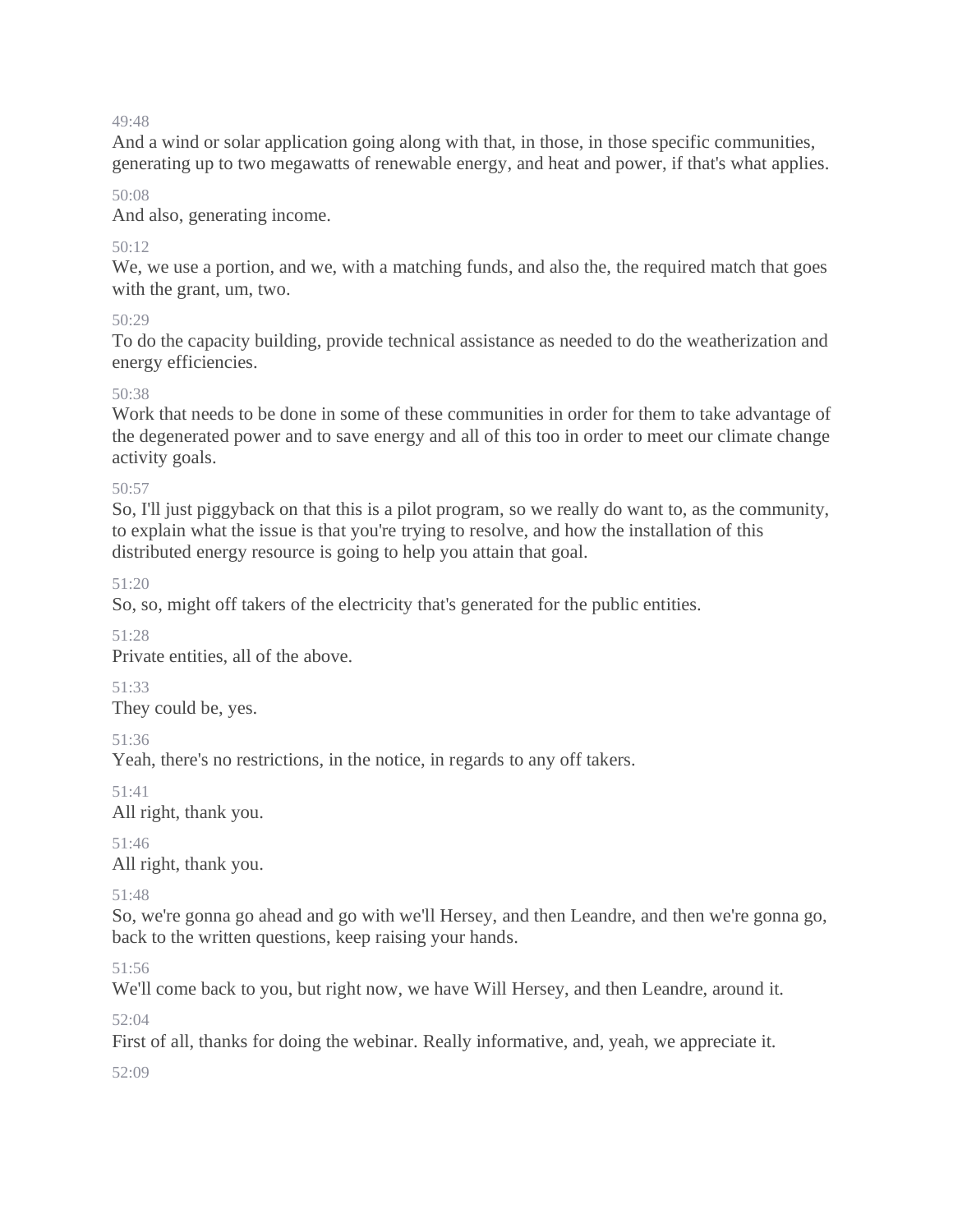And a wind or solar application going along with that, in those, in those specific communities, generating up to two megawatts of renewable energy, and heat and power, if that's what applies.

#### 50:08

And also, generating income.

#### $50:12$

We, we use a portion, and we, with a matching funds, and also the, the required match that goes with the grant, um, two.

#### $50.29$

To do the capacity building, provide technical assistance as needed to do the weatherization and energy efficiencies.

#### $50.38$

Work that needs to be done in some of these communities in order for them to take advantage of the degenerated power and to save energy and all of this too in order to meet our climate change activity goals.

#### 50:57

So, I'll just piggyback on that this is a pilot program, so we really do want to, as the community, to explain what the issue is that you're trying to resolve, and how the installation of this distributed energy resource is going to help you attain that goal.

51:20

So, so, might off takers of the electricity that's generated for the public entities.

51:28

Private entities, all of the above.

## 51:33

They could be, yes.

51:36

Yeah, there's no restrictions, in the notice, in regards to any off takers.

51:41

All right, thank you.

51:46 All right, thank you.

51:48

So, we're gonna go ahead and go with we'll Hersey, and then Leandre, and then we're gonna go, back to the written questions, keep raising your hands.

51:56

We'll come back to you, but right now, we have Will Hersey, and then Leandre, around it.

52:04

First of all, thanks for doing the webinar. Really informative, and, yeah, we appreciate it.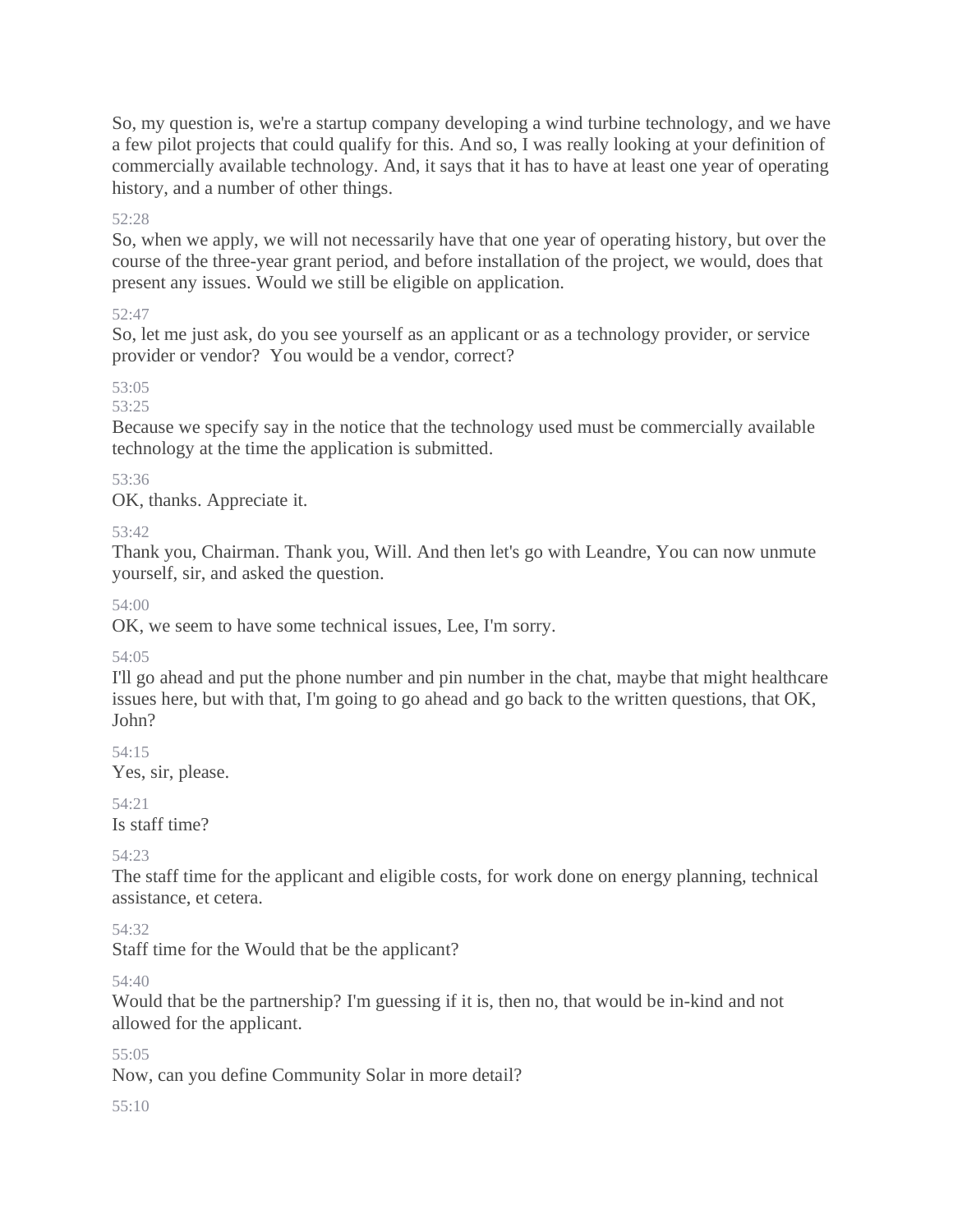So, my question is, we're a startup company developing a wind turbine technology, and we have a few pilot projects that could qualify for this. And so, I was really looking at your definition of commercially available technology. And, it says that it has to have at least one year of operating history, and a number of other things.

#### 52:28

So, when we apply, we will not necessarily have that one year of operating history, but over the course of the three-year grant period, and before installation of the project, we would, does that present any issues. Would we still be eligible on application.

#### 52:47

So, let me just ask, do you see yourself as an applicant or as a technology provider, or service provider or vendor? You would be a vendor, correct?

53:05

53:25

Because we specify say in the notice that the technology used must be commercially available technology at the time the application is submitted.

#### 53:36

OK, thanks. Appreciate it.

53:42

Thank you, Chairman. Thank you, Will. And then let's go with Leandre, You can now unmute yourself, sir, and asked the question.

54:00

OK, we seem to have some technical issues, Lee, I'm sorry.

54:05

I'll go ahead and put the phone number and pin number in the chat, maybe that might healthcare issues here, but with that, I'm going to go ahead and go back to the written questions, that OK, John?

54:15

Yes, sir, please.

54:21

Is staff time?

54:23

The staff time for the applicant and eligible costs, for work done on energy planning, technical assistance, et cetera.

54:32

Staff time for the Would that be the applicant?

54:40

Would that be the partnership? I'm guessing if it is, then no, that would be in-kind and not allowed for the applicant.

55:05

Now, can you define Community Solar in more detail?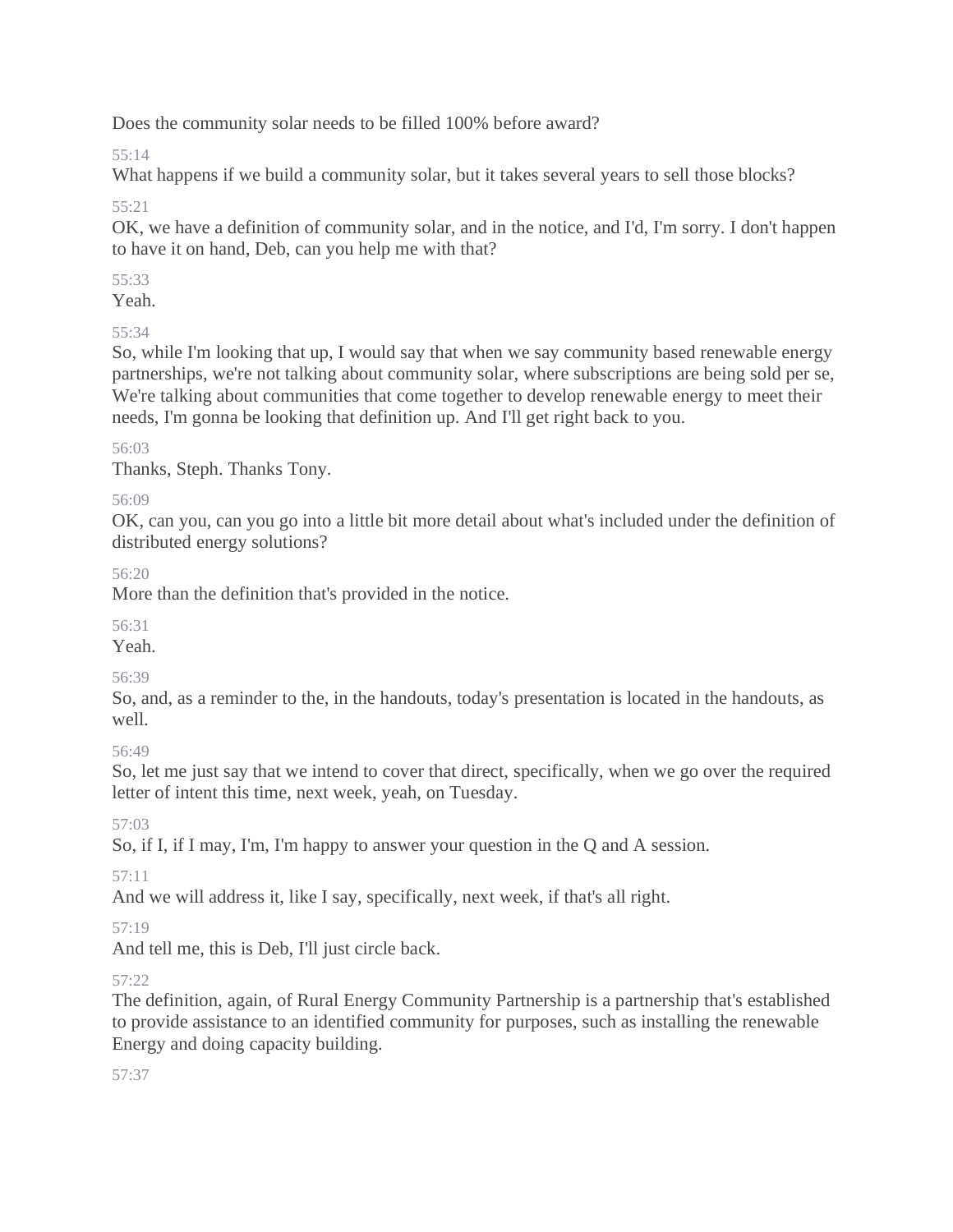Does the community solar needs to be filled 100% before award?

55:14

What happens if we build a community solar, but it takes several years to sell those blocks?

55:21

OK, we have a definition of community solar, and in the notice, and I'd, I'm sorry. I don't happen to have it on hand, Deb, can you help me with that?

55:33

Yeah.

55:34

So, while I'm looking that up, I would say that when we say community based renewable energy partnerships, we're not talking about community solar, where subscriptions are being sold per se, We're talking about communities that come together to develop renewable energy to meet their needs, I'm gonna be looking that definition up. And I'll get right back to you.

56:03

Thanks, Steph. Thanks Tony.

56:09

OK, can you, can you go into a little bit more detail about what's included under the definition of distributed energy solutions?

56:20

More than the definition that's provided in the notice.

56:31

Yeah.

56:39

So, and, as a reminder to the, in the handouts, today's presentation is located in the handouts, as well.

56:49

So, let me just say that we intend to cover that direct, specifically, when we go over the required letter of intent this time, next week, yeah, on Tuesday.

57:03

So, if I, if I may, I'm, I'm happy to answer your question in the Q and A session.

57:11

And we will address it, like I say, specifically, next week, if that's all right.

# 57:19

And tell me, this is Deb, I'll just circle back.

# 57:22

The definition, again, of Rural Energy Community Partnership is a partnership that's established to provide assistance to an identified community for purposes, such as installing the renewable Energy and doing capacity building.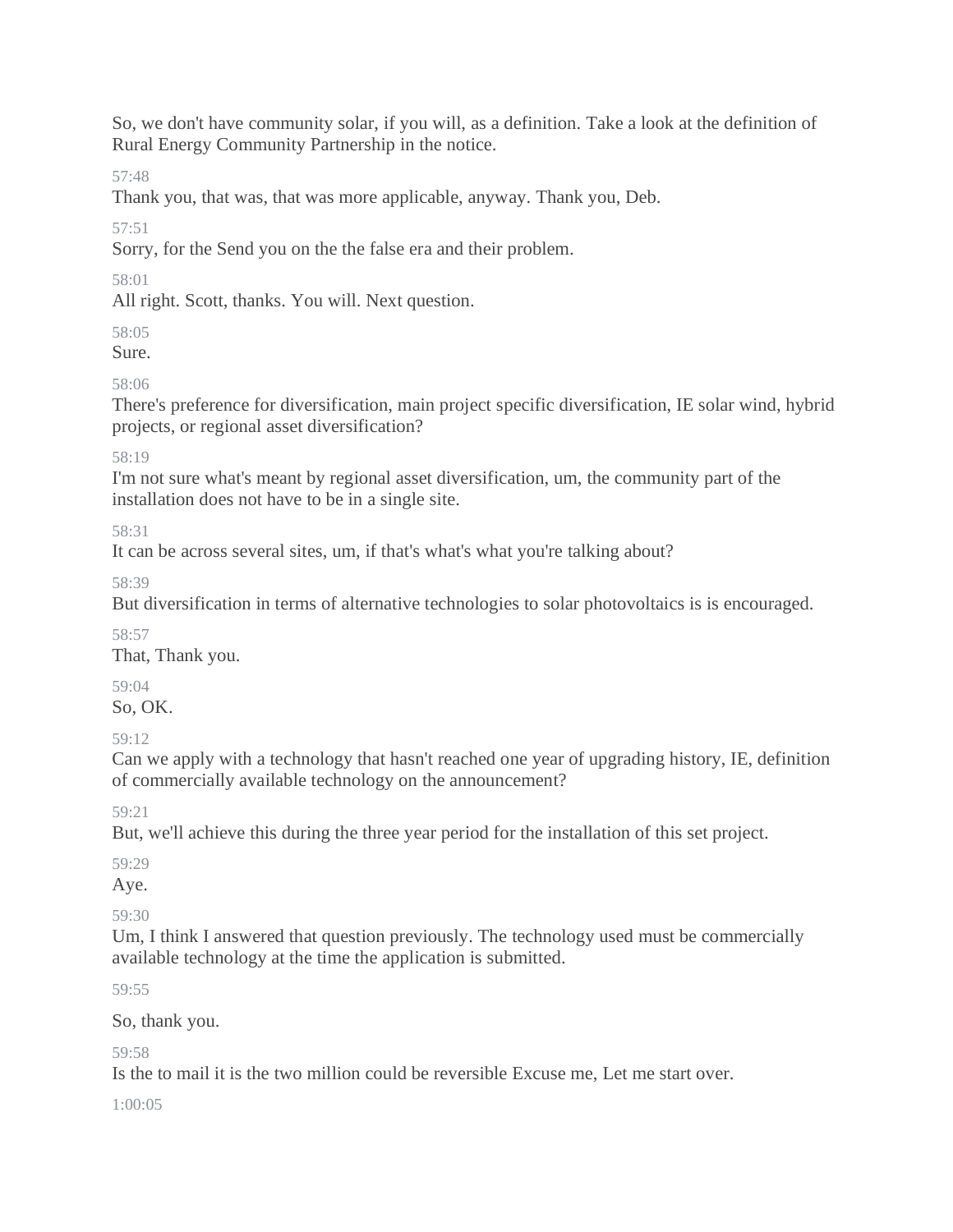So, we don't have community solar, if you will, as a definition. Take a look at the definition of Rural Energy Community Partnership in the notice.

57:48

Thank you, that was, that was more applicable, anyway. Thank you, Deb.

57:51

Sorry, for the Send you on the the false era and their problem.

58:01

All right. Scott, thanks. You will. Next question.

58:05

Sure.

# 58:06

There's preference for diversification, main project specific diversification, IE solar wind, hybrid projects, or regional asset diversification?

# 58:19

I'm not sure what's meant by regional asset diversification, um, the community part of the installation does not have to be in a single site.

58:31

It can be across several sites, um, if that's what's what you're talking about?

58:39

But diversification in terms of alternative technologies to solar photovoltaics is is encouraged.

58:57

That, Thank you.

59:04

So, OK.

59:12

Can we apply with a technology that hasn't reached one year of upgrading history, IE, definition of commercially available technology on the announcement?

59:21

But, we'll achieve this during the three year period for the installation of this set project.

59:29

Aye.

59:30

Um, I think I answered that question previously. The technology used must be commercially available technology at the time the application is submitted.

59:55

So, thank you.

59:58

Is the to mail it is the two million could be reversible Excuse me, Let me start over.

1:00:05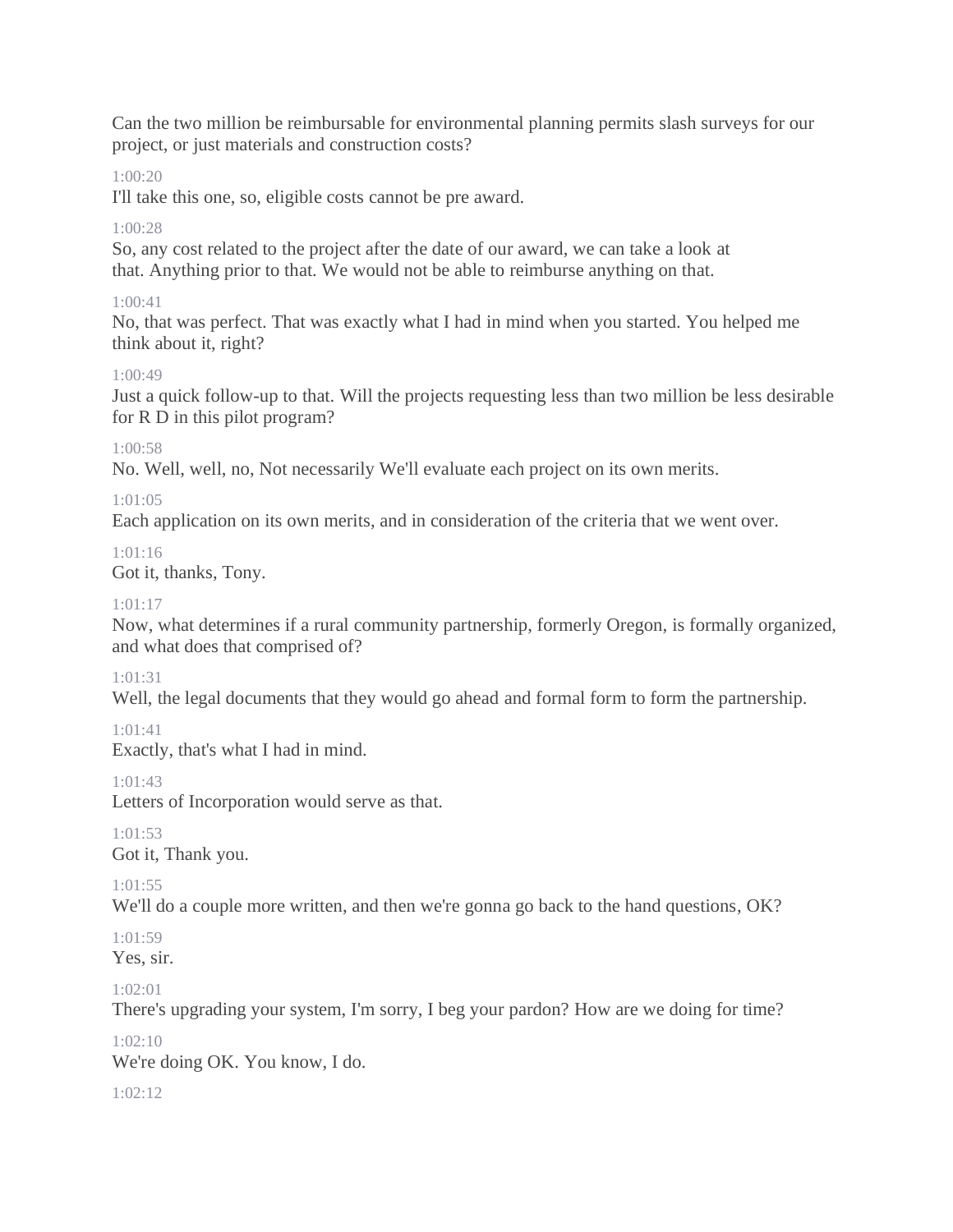Can the two million be reimbursable for environmental planning permits slash surveys for our project, or just materials and construction costs?

## 1:00:20

I'll take this one, so, eligible costs cannot be pre award.

## $1.00.28$

So, any cost related to the project after the date of our award, we can take a look at that. Anything prior to that. We would not be able to reimburse anything on that.

## $1.00 \cdot 41$

No, that was perfect. That was exactly what I had in mind when you started. You helped me think about it, right?

#### 1:00:49

Just a quick follow-up to that. Will the projects requesting less than two million be less desirable for R D in this pilot program?

## 1:00:58

No. Well, well, no, Not necessarily We'll evaluate each project on its own merits.

## $1:01:05$

Each application on its own merits, and in consideration of the criteria that we went over.

#### 1:01:16

Got it, thanks, Tony.

#### $1:01:17$

Now, what determines if a rural community partnership, formerly Oregon, is formally organized, and what does that comprised of?

## 1:01:31

Well, the legal documents that they would go ahead and formal form to form the partnership.

## 1:01:41

Exactly, that's what I had in mind.

## 1:01:43

Letters of Incorporation would serve as that.

1:01:53

Got it, Thank you.

1:01:55

We'll do a couple more written, and then we're gonna go back to the hand questions, OK?

 $1.01.59$ 

Yes, sir.

## 1:02:01

There's upgrading your system, I'm sorry, I beg your pardon? How are we doing for time?

 $1.02:10$ 

We're doing OK. You know, I do.

1:02:12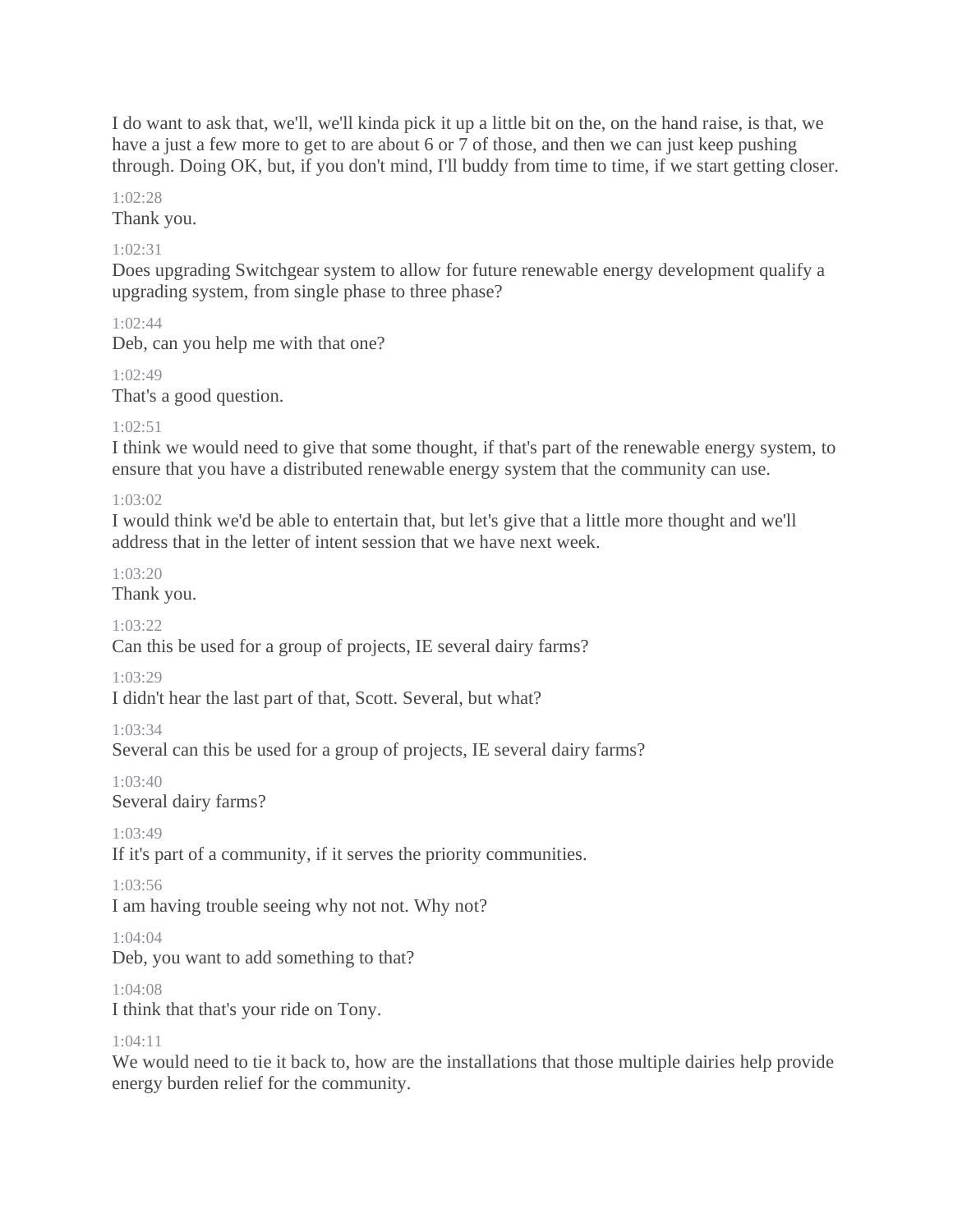I do want to ask that, we'll, we'll kinda pick it up a little bit on the, on the hand raise, is that, we have a just a few more to get to are about 6 or 7 of those, and then we can just keep pushing through. Doing OK, but, if you don't mind, I'll buddy from time to time, if we start getting closer.

#### $1.02:28$

Thank you.

#### 1:02:31

Does upgrading Switchgear system to allow for future renewable energy development qualify a upgrading system, from single phase to three phase?

1:02:44

Deb, can you help me with that one?

1:02:49

That's a good question.

#### 1:02:51

I think we would need to give that some thought, if that's part of the renewable energy system, to ensure that you have a distributed renewable energy system that the community can use.

#### $1.03:02$

I would think we'd be able to entertain that, but let's give that a little more thought and we'll address that in the letter of intent session that we have next week.

 $1.03.20$ 

Thank you.

1:03:22

Can this be used for a group of projects, IE several dairy farms?

1:03:29

I didn't hear the last part of that, Scott. Several, but what?

1:03:34

Several can this be used for a group of projects, IE several dairy farms?

1:03:40

Several dairy farms?

1:03:49

If it's part of a community, if it serves the priority communities.

1:03:56

I am having trouble seeing why not not. Why not?

 $1.04.04$ 

Deb, you want to add something to that?

1:04:08

I think that that's your ride on Tony.

#### $1.04.11$

We would need to tie it back to, how are the installations that those multiple dairies help provide energy burden relief for the community.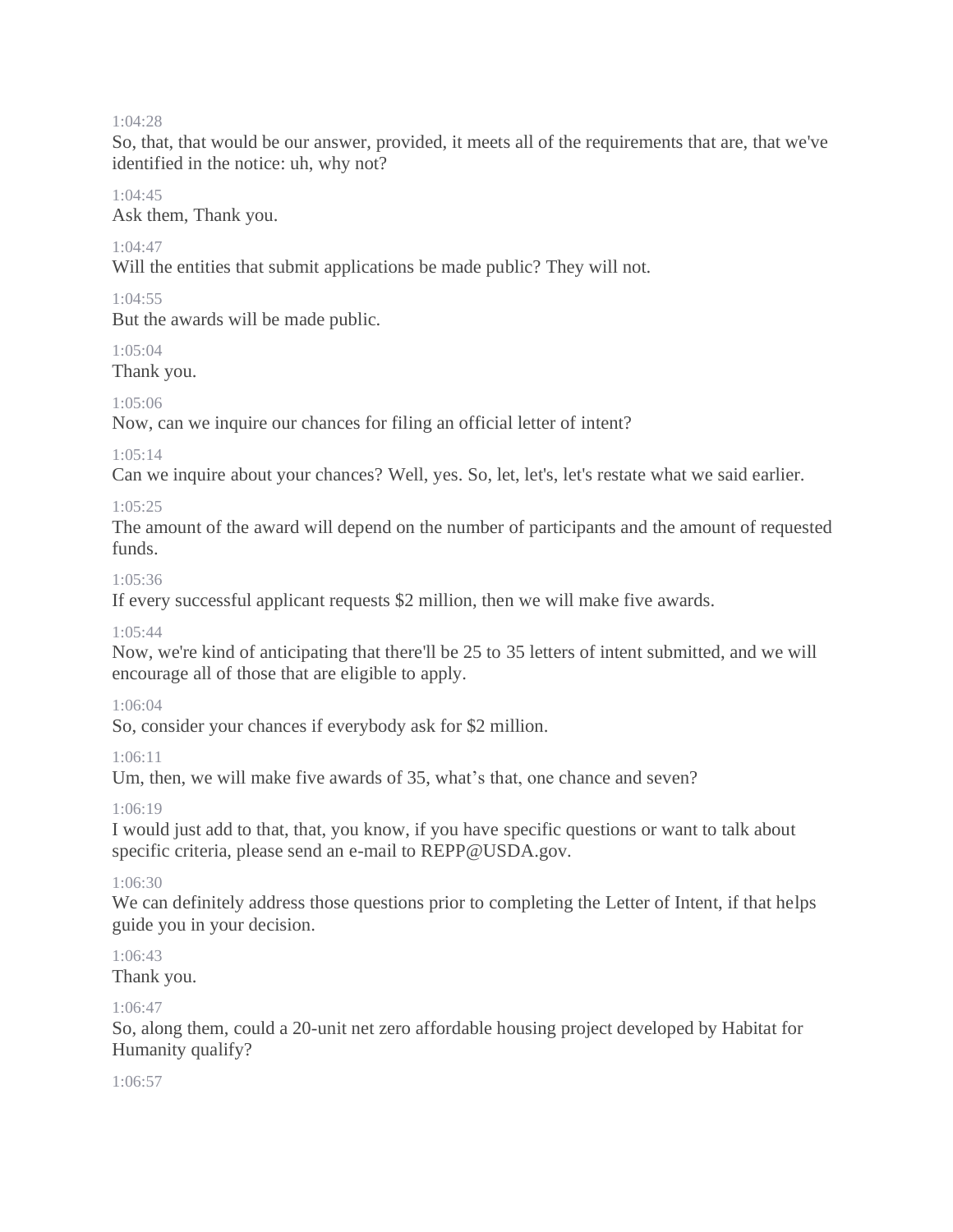#### 1:04:28

So, that, that would be our answer, provided, it meets all of the requirements that are, that we've identified in the notice: uh, why not?

#### 1:04:45

Ask them, Thank you.

#### $1.04.47$

Will the entities that submit applications be made public? They will not.

#### 1:04:55

But the awards will be made public.

#### $1.05:04$

Thank you.

#### 1:05:06

Now, can we inquire our chances for filing an official letter of intent?

#### 1:05:14

Can we inquire about your chances? Well, yes. So, let, let's, let's restate what we said earlier.

#### 1:05:25

The amount of the award will depend on the number of participants and the amount of requested funds.

#### 1:05:36

If every successful applicant requests \$2 million, then we will make five awards.

#### $1.05.44$

Now, we're kind of anticipating that there'll be 25 to 35 letters of intent submitted, and we will encourage all of those that are eligible to apply.

#### 1:06:04

So, consider your chances if everybody ask for \$2 million.

#### 1:06:11

Um, then, we will make five awards of 35, what's that, one chance and seven?

#### 1:06:19

I would just add to that, that, you know, if you have specific questions or want to talk about specific criteria, please send an e-mail to REPP@USDA.gov.

#### 1:06:30

We can definitely address those questions prior to completing the Letter of Intent, if that helps guide you in your decision.

# $1.06:43$

Thank you.

#### 1:06:47

So, along them, could a 20-unit net zero affordable housing project developed by Habitat for Humanity qualify?

#### 1:06:57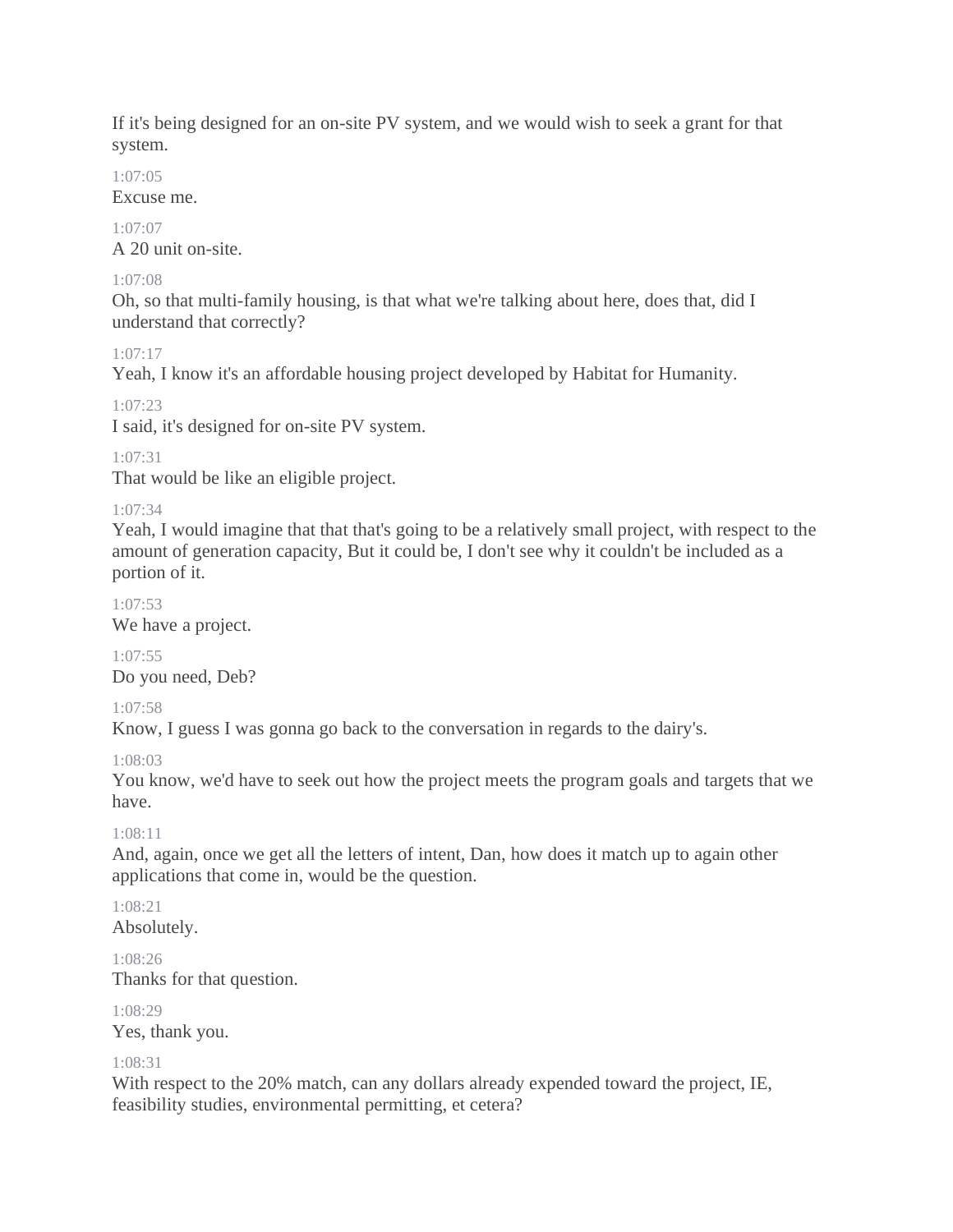If it's being designed for an on-site PV system, and we would wish to seek a grant for that system.

## 1:07:05

Excuse me.

1:07:07 A 20 unit on-site.

## 1:07:08

Oh, so that multi-family housing, is that what we're talking about here, does that, did I understand that correctly?

## 1:07:17

Yeah, I know it's an affordable housing project developed by Habitat for Humanity.

## 1:07:23

I said, it's designed for on-site PV system.

# 1:07:31

That would be like an eligible project.

## 1:07:34

Yeah, I would imagine that that that's going to be a relatively small project, with respect to the amount of generation capacity, But it could be, I don't see why it couldn't be included as a portion of it.

## 1:07:53

We have a project.

# 1:07:55

Do you need, Deb?

## 1:07:58

Know, I guess I was gonna go back to the conversation in regards to the dairy's.

## 1:08:03

You know, we'd have to seek out how the project meets the program goals and targets that we have.

## 1:08:11

And, again, once we get all the letters of intent, Dan, how does it match up to again other applications that come in, would be the question.

#### 1:08:21 Absolutely.

1:08:26 Thanks for that question.

1:08:29 Yes, thank you.

## 1:08:31

With respect to the 20% match, can any dollars already expended toward the project, IE, feasibility studies, environmental permitting, et cetera?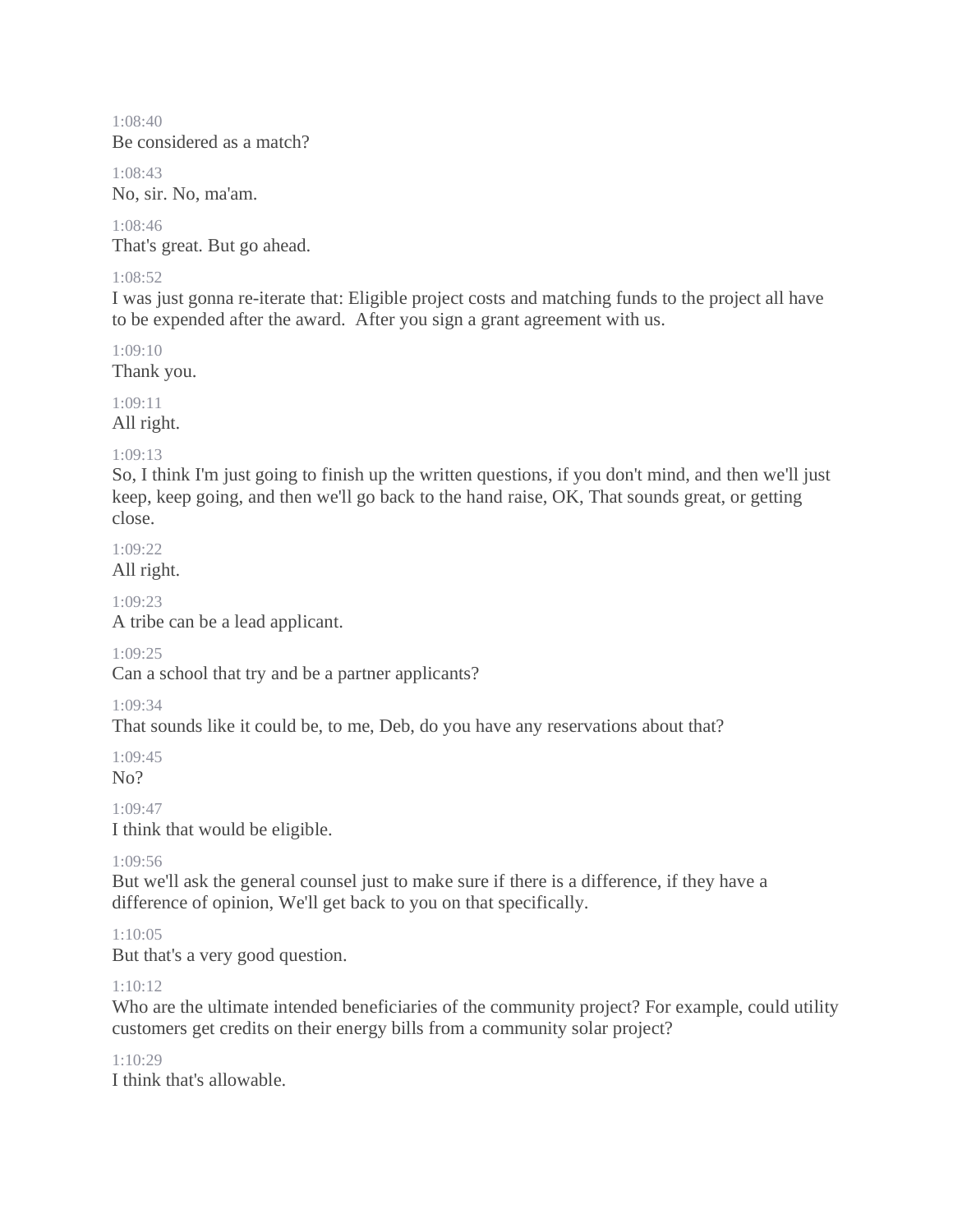1:08:40 Be considered as a match?

1:08:43 No, sir. No, ma'am.

1:08:46 That's great. But go ahead.

#### 1:08:52

I was just gonna re-iterate that: Eligible project costs and matching funds to the project all have to be expended after the award. After you sign a grant agreement with us.

1:09:10 Thank you.

1:09:11

All right.

#### 1:09:13

So, I think I'm just going to finish up the written questions, if you don't mind, and then we'll just keep, keep going, and then we'll go back to the hand raise, OK, That sounds great, or getting close.

1:09:22 All right.

1:09:23

A tribe can be a lead applicant.

#### 1:09:25

Can a school that try and be a partner applicants?

#### 1:09:34

That sounds like it could be, to me, Deb, do you have any reservations about that?

1:09:45 No?

1:09:47

I think that would be eligible.

## 1:09:56

But we'll ask the general counsel just to make sure if there is a difference, if they have a difference of opinion, We'll get back to you on that specifically.

## 1:10:05

But that's a very good question.

## 1:10:12

Who are the ultimate intended beneficiaries of the community project? For example, could utility customers get credits on their energy bills from a community solar project?

#### $1.10.29$

I think that's allowable.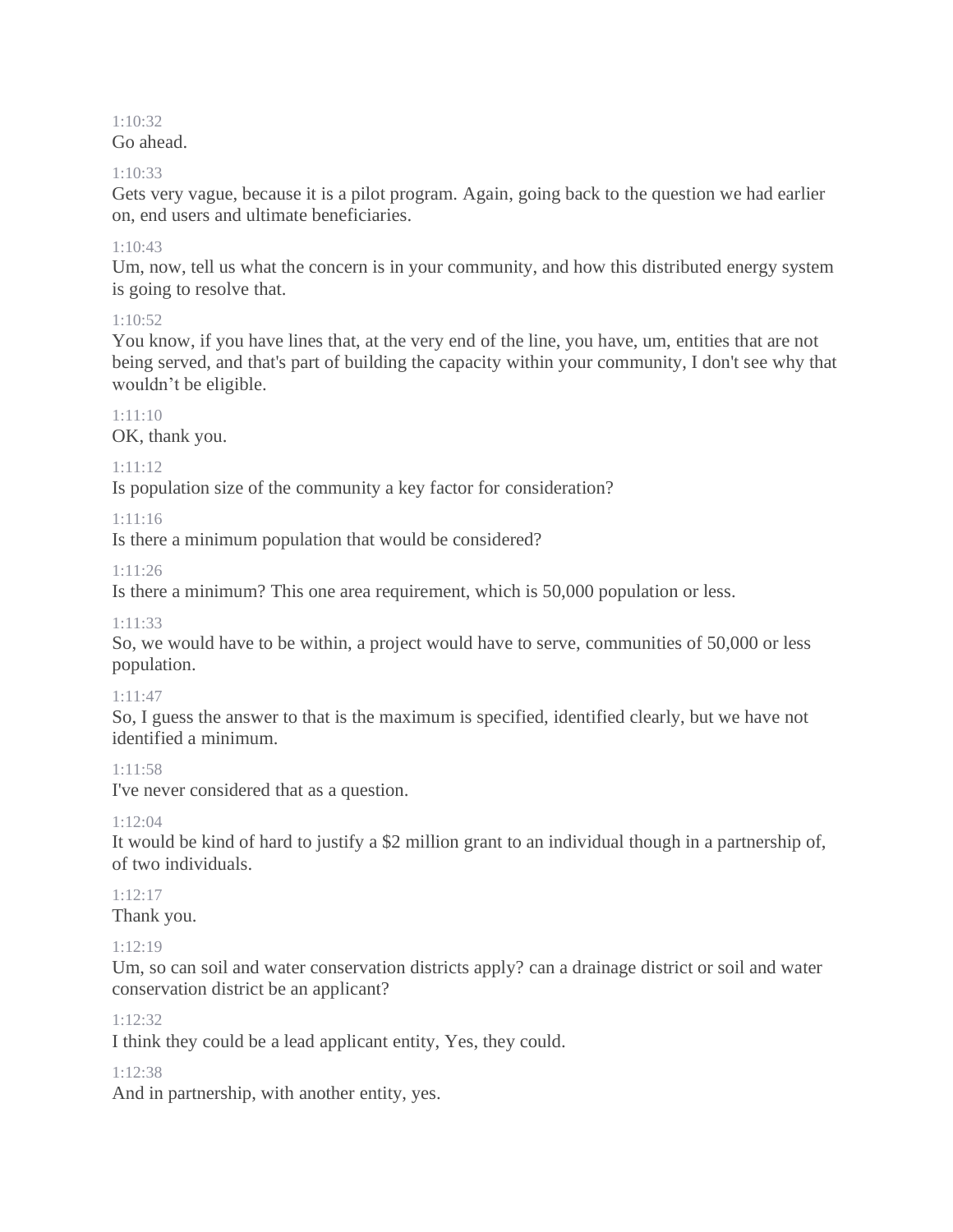# 1:10:32

## Go ahead.

## $1.10.33$

Gets very vague, because it is a pilot program. Again, going back to the question we had earlier on, end users and ultimate beneficiaries.

## $1:10:43$

Um, now, tell us what the concern is in your community, and how this distributed energy system is going to resolve that.

## $1.10.52$

You know, if you have lines that, at the very end of the line, you have, um, entities that are not being served, and that's part of building the capacity within your community, I don't see why that wouldn't be eligible.

## 1:11:10

OK, thank you.

## 1:11:12

Is population size of the community a key factor for consideration?

## 1:11:16

Is there a minimum population that would be considered?

1:11:26

Is there a minimum? This one area requirement, which is 50,000 population or less.

## 1:11:33

So, we would have to be within, a project would have to serve, communities of 50,000 or less population.

## 1:11:47

So, I guess the answer to that is the maximum is specified, identified clearly, but we have not identified a minimum.

# 1:11:58

I've never considered that as a question.

# 1:12:04

It would be kind of hard to justify a \$2 million grant to an individual though in a partnership of, of two individuals.

# 1:12:17

Thank you.

# 1:12:19

Um, so can soil and water conservation districts apply? can a drainage district or soil and water conservation district be an applicant?

## $1.12.32$

I think they could be a lead applicant entity, Yes, they could.

## 1:12:38

And in partnership, with another entity, yes.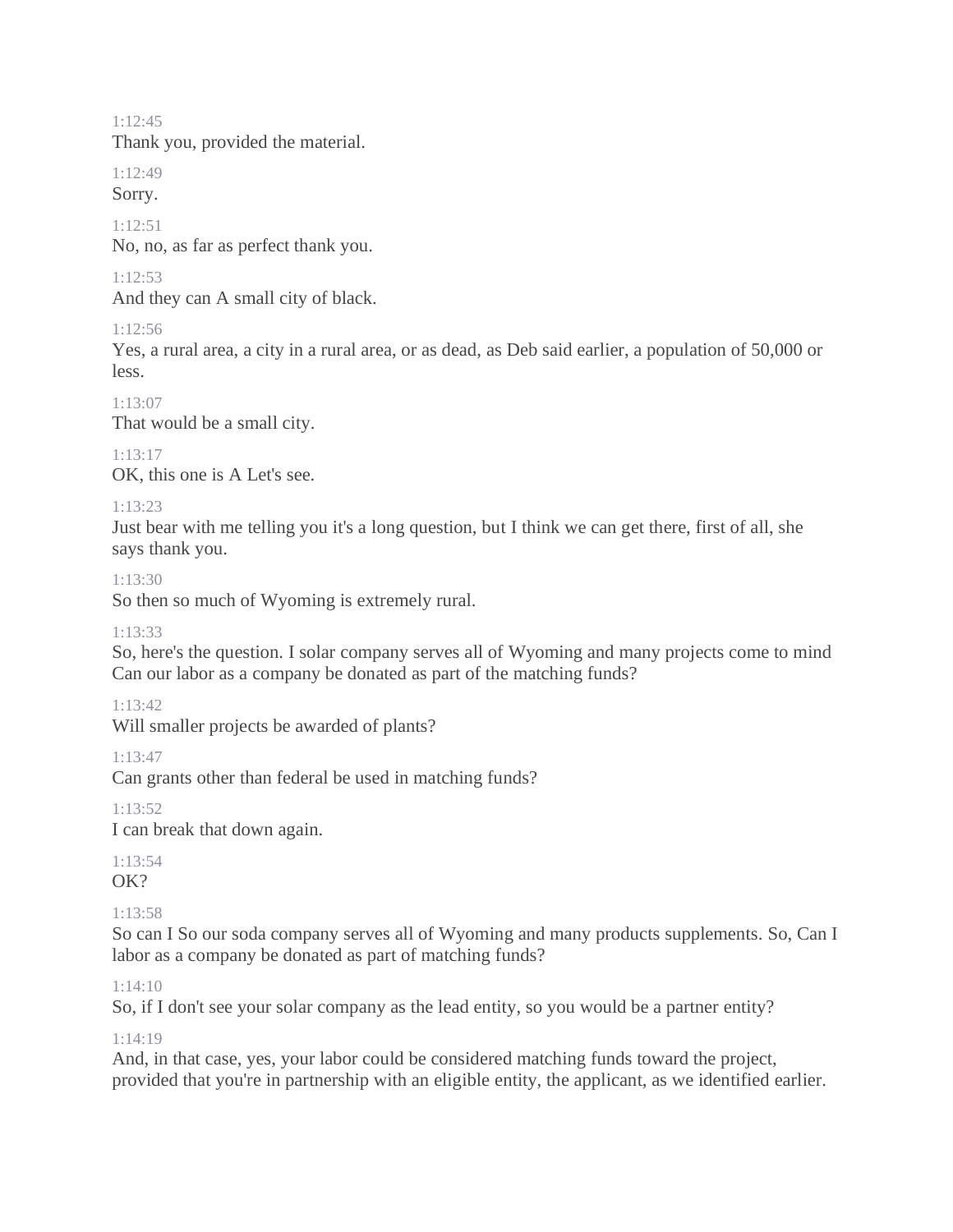1:12:45

Thank you, provided the material.

1:12:49

Sorry.

1:12:51

No, no, as far as perfect thank you.

#### 1:12:53

And they can A small city of black.

1:12:56

Yes, a rural area, a city in a rural area, or as dead, as Deb said earlier, a population of 50,000 or less.

1:13:07

That would be a small city.

 $1.13.17$ 

OK, this one is A Let's see.

#### 1:13:23

Just bear with me telling you it's a long question, but I think we can get there, first of all, she says thank you.

1:13:30

So then so much of Wyoming is extremely rural.

#### 1:13:33

So, here's the question. I solar company serves all of Wyoming and many projects come to mind Can our labor as a company be donated as part of the matching funds?

#### 1:13:42

Will smaller projects be awarded of plants?

1:13:47

Can grants other than federal be used in matching funds?

1:13:52

I can break that down again.

1:13:54 OK?

#### 1:13:58

So can I So our soda company serves all of Wyoming and many products supplements. So, Can I labor as a company be donated as part of matching funds?

#### 1:14:10

So, if I don't see your solar company as the lead entity, so you would be a partner entity?

1:14:19

And, in that case, yes, your labor could be considered matching funds toward the project, provided that you're in partnership with an eligible entity, the applicant, as we identified earlier.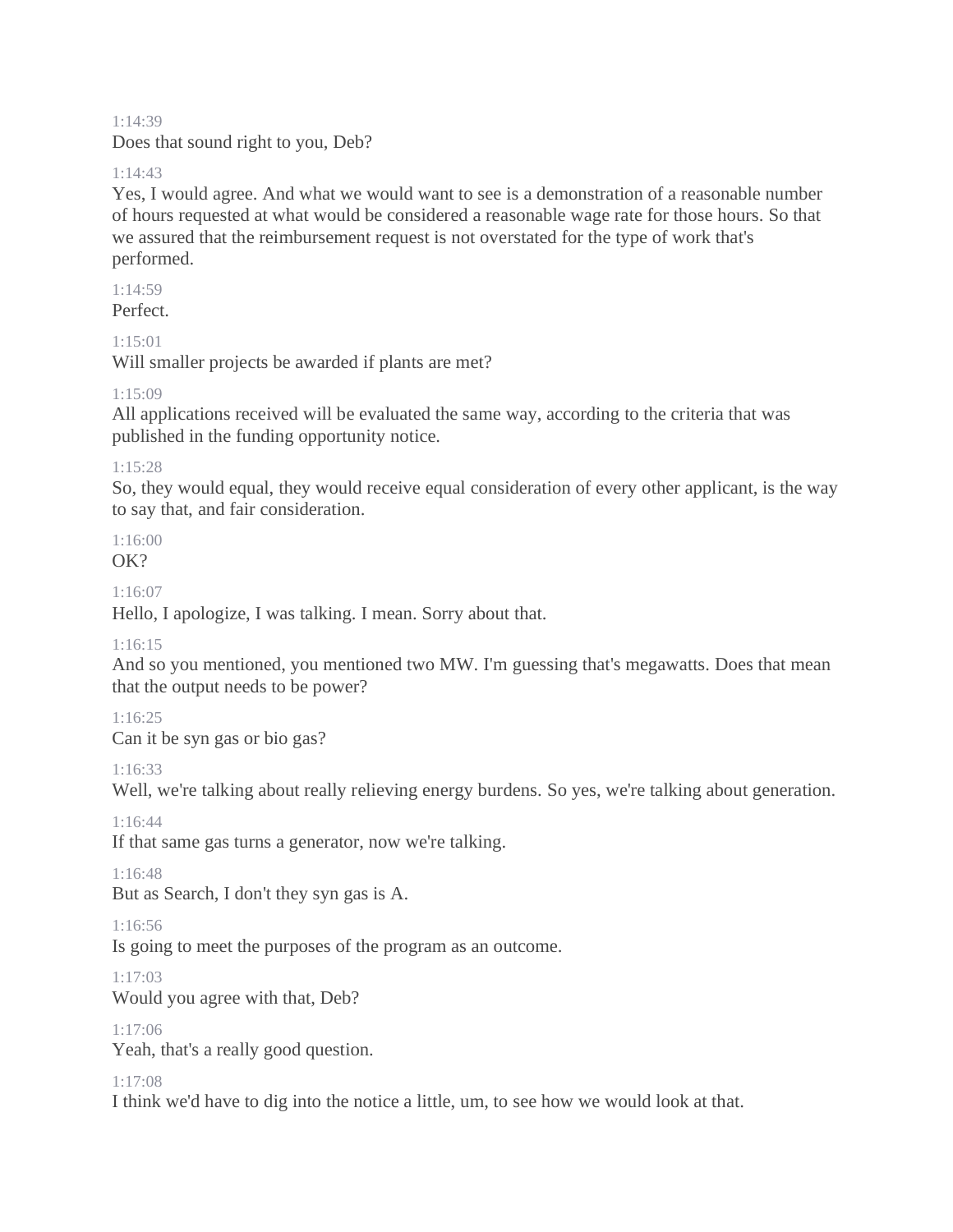#### 1:14:39

Does that sound right to you, Deb?

#### 1:14:43

Yes, I would agree. And what we would want to see is a demonstration of a reasonable number of hours requested at what would be considered a reasonable wage rate for those hours. So that we assured that the reimbursement request is not overstated for the type of work that's performed.

#### 1:14:59

Perfect.

#### 1:15:01

Will smaller projects be awarded if plants are met?

#### 1:15:09

All applications received will be evaluated the same way, according to the criteria that was published in the funding opportunity notice.

#### 1:15:28

So, they would equal, they would receive equal consideration of every other applicant, is the way to say that, and fair consideration.

1:16:00  $\Omega$ 

1:16:07

Hello, I apologize, I was talking. I mean. Sorry about that.

#### 1:16:15

And so you mentioned, you mentioned two MW. I'm guessing that's megawatts. Does that mean that the output needs to be power?

## 1:16:25

Can it be syn gas or bio gas?

1:16:33

Well, we're talking about really relieving energy burdens. So yes, we're talking about generation.

1:16:44

If that same gas turns a generator, now we're talking.

1:16:48

But as Search, I don't they syn gas is A.

1:16:56

Is going to meet the purposes of the program as an outcome.

1:17:03

Would you agree with that, Deb?

1:17:06

Yeah, that's a really good question.

#### 1:17:08

I think we'd have to dig into the notice a little, um, to see how we would look at that.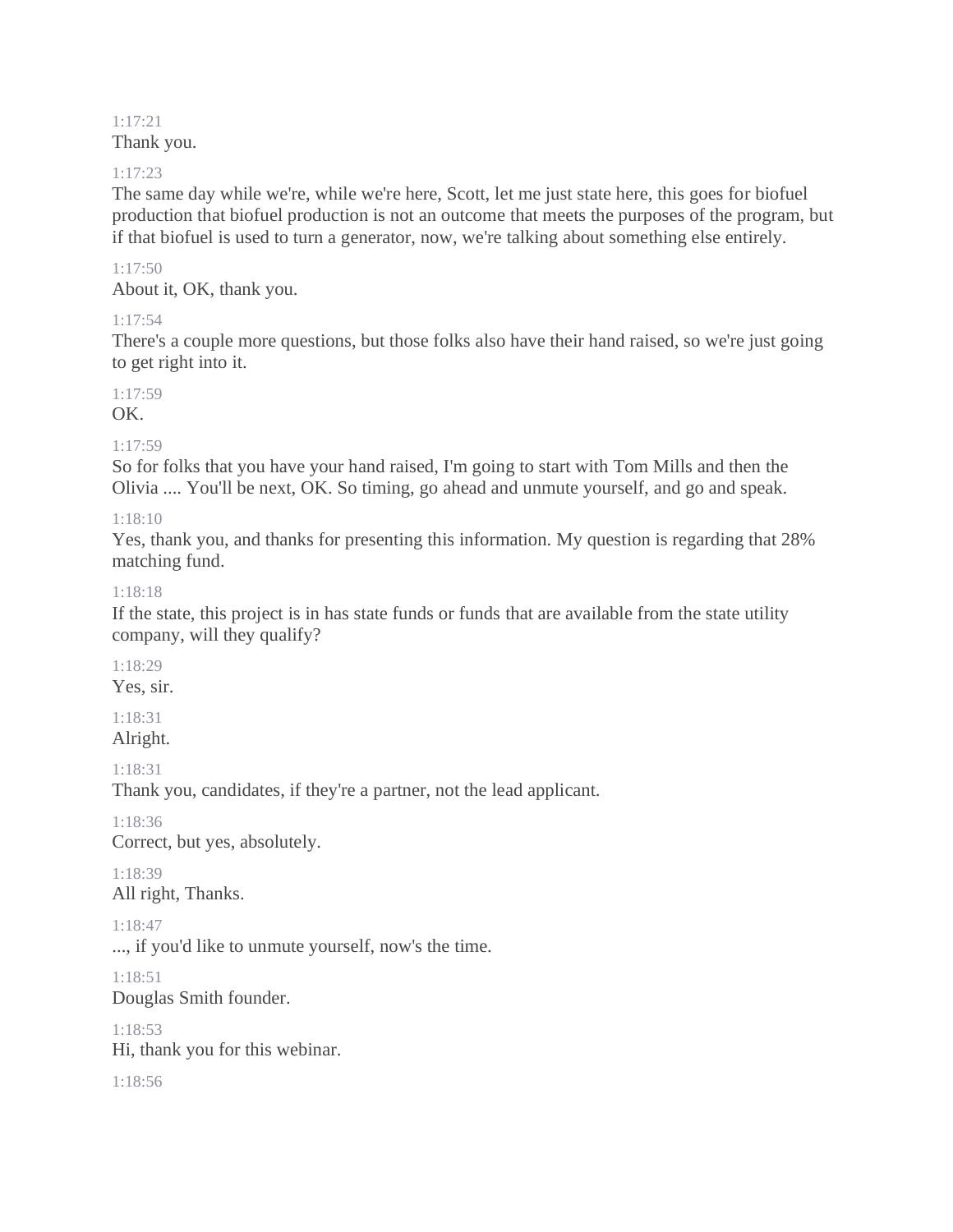#### 1:17:21 Thank you.

#### 1:17:23

The same day while we're, while we're here, Scott, let me just state here, this goes for biofuel production that biofuel production is not an outcome that meets the purposes of the program, but if that biofuel is used to turn a generator, now, we're talking about something else entirely.

#### 1:17:50

About it, OK, thank you.

#### 1:17:54

There's a couple more questions, but those folks also have their hand raised, so we're just going to get right into it.

## 1:17:59

OK.

1:17:59

So for folks that you have your hand raised, I'm going to start with Tom Mills and then the Olivia .... You'll be next, OK. So timing, go ahead and unmute yourself, and go and speak.

## 1:18:10

Yes, thank you, and thanks for presenting this information. My question is regarding that 28% matching fund.

#### 1:18:18

If the state, this project is in has state funds or funds that are available from the state utility company, will they qualify?

## 1:18:29

Yes, sir.

#### 1:18:31 Alright.

1:18:31

Thank you, candidates, if they're a partner, not the lead applicant.

1:18:36 Correct, but yes, absolutely.

1:18:39 All right, Thanks.

#### 1:18:47

..., if you'd like to unmute yourself, now's the time.

1:18:51 Douglas Smith founder.

1:18:53 Hi, thank you for this webinar.

1:18:56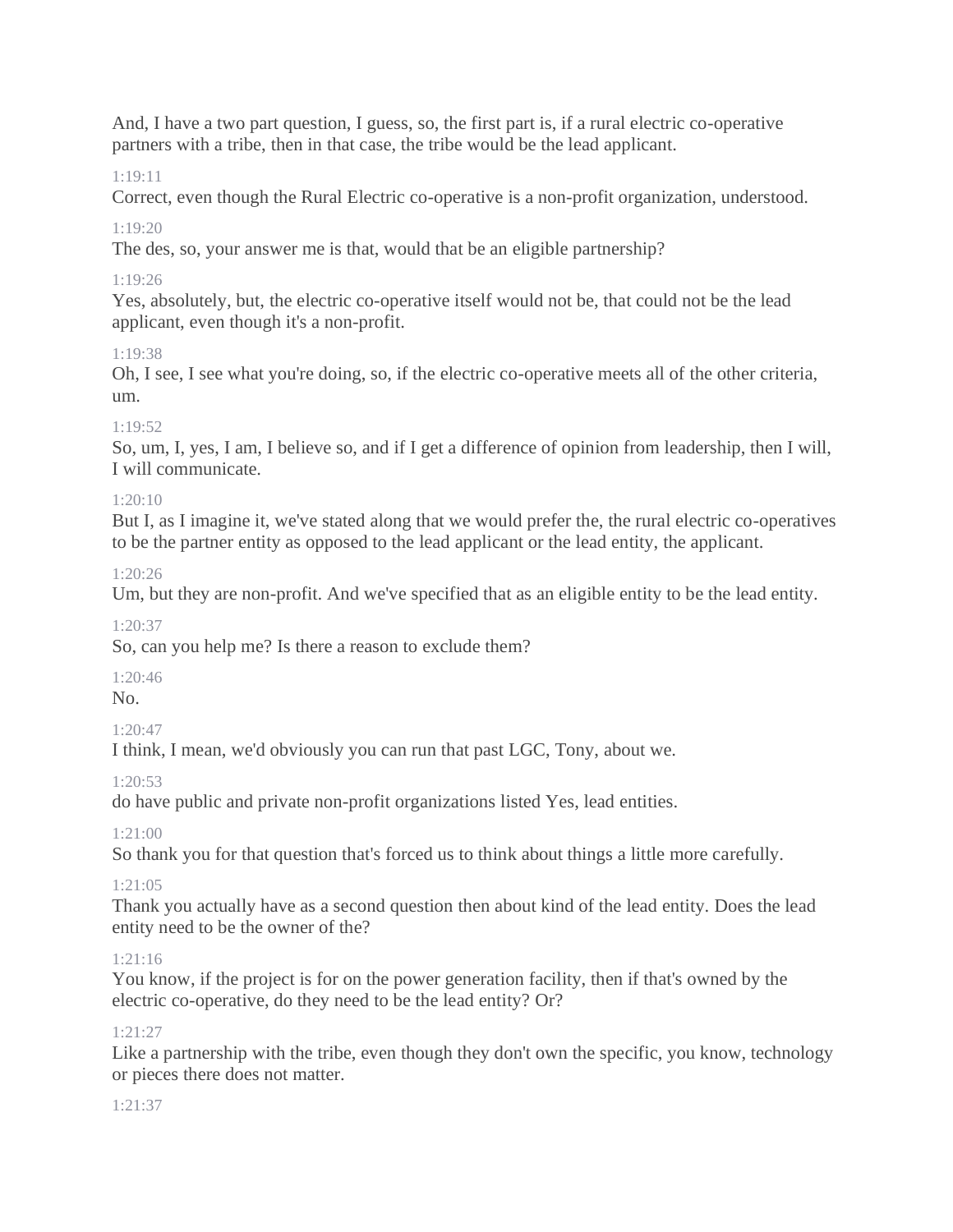And, I have a two part question, I guess, so, the first part is, if a rural electric co-operative partners with a tribe, then in that case, the tribe would be the lead applicant.

## 1:19:11

Correct, even though the Rural Electric co-operative is a non-profit organization, understood.

## $1.19.20$

The des, so, your answer me is that, would that be an eligible partnership?

## 1:19:26

Yes, absolutely, but, the electric co-operative itself would not be, that could not be the lead applicant, even though it's a non-profit.

## 1:19:38

Oh, I see, I see what you're doing, so, if the electric co-operative meets all of the other criteria, um.

## 1:19:52

So, um, I, yes, I am, I believe so, and if I get a difference of opinion from leadership, then I will, I will communicate.

## $1:20:10$

But I, as I imagine it, we've stated along that we would prefer the, the rural electric co-operatives to be the partner entity as opposed to the lead applicant or the lead entity, the applicant.

## $1:20:26$

Um, but they are non-profit. And we've specified that as an eligible entity to be the lead entity.

#### 1:20:37

So, can you help me? Is there a reason to exclude them?

#### 1:20:46

No.

## 1:20:47

I think, I mean, we'd obviously you can run that past LGC, Tony, about we.

1:20:53

do have public and private non-profit organizations listed Yes, lead entities.

1:21:00

So thank you for that question that's forced us to think about things a little more carefully.

## 1:21:05

Thank you actually have as a second question then about kind of the lead entity. Does the lead entity need to be the owner of the?

## 1:21:16

You know, if the project is for on the power generation facility, then if that's owned by the electric co-operative, do they need to be the lead entity? Or?

## 1:21:27

Like a partnership with the tribe, even though they don't own the specific, you know, technology or pieces there does not matter.

## $1:21:37$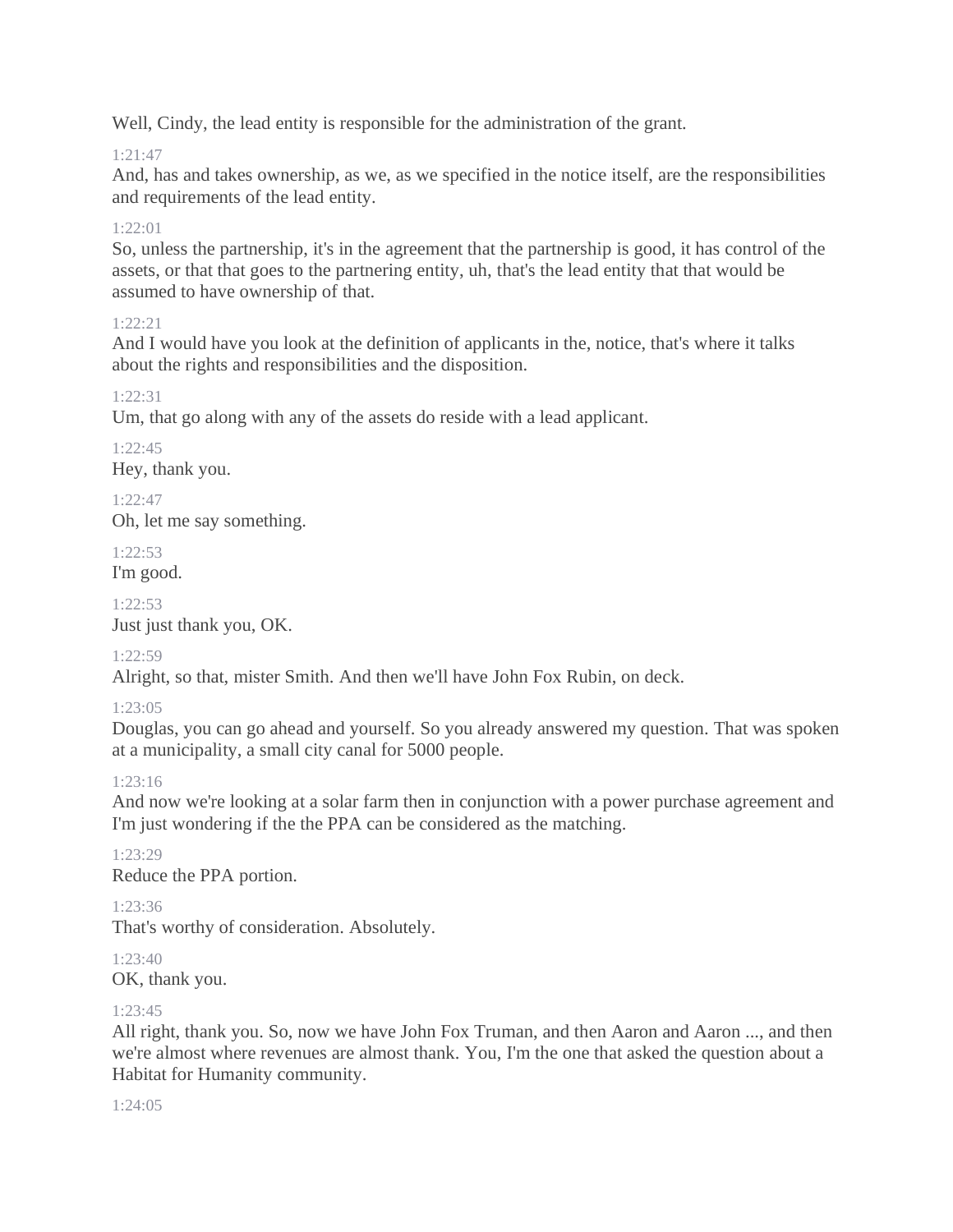Well, Cindy, the lead entity is responsible for the administration of the grant.

# 1:21:47

And, has and takes ownership, as we, as we specified in the notice itself, are the responsibilities and requirements of the lead entity.

# $1.22 \cdot 01$

So, unless the partnership, it's in the agreement that the partnership is good, it has control of the assets, or that that goes to the partnering entity, uh, that's the lead entity that that would be assumed to have ownership of that.

## 1:22:21

And I would have you look at the definition of applicants in the, notice, that's where it talks about the rights and responsibilities and the disposition.

## 1:22:31

Um, that go along with any of the assets do reside with a lead applicant.

# 1:22:45

Hey, thank you.

## $1.22:47$

Oh, let me say something.

# 1:22:53

I'm good.

## $1.22:53$

Just just thank you, OK.

## 1:22:59

Alright, so that, mister Smith. And then we'll have John Fox Rubin, on deck.

# 1:23:05

Douglas, you can go ahead and yourself. So you already answered my question. That was spoken at a municipality, a small city canal for 5000 people.

## 1:23:16

And now we're looking at a solar farm then in conjunction with a power purchase agreement and I'm just wondering if the the PPA can be considered as the matching.

#### 1:23:29 Reduce the PPA portion.

# 1:23:36

That's worthy of consideration. Absolutely.

#### 1:23:40 OK, thank you.

## 1:23:45

All right, thank you. So, now we have John Fox Truman, and then Aaron and Aaron ..., and then we're almost where revenues are almost thank. You, I'm the one that asked the question about a Habitat for Humanity community.

 $1.24.05$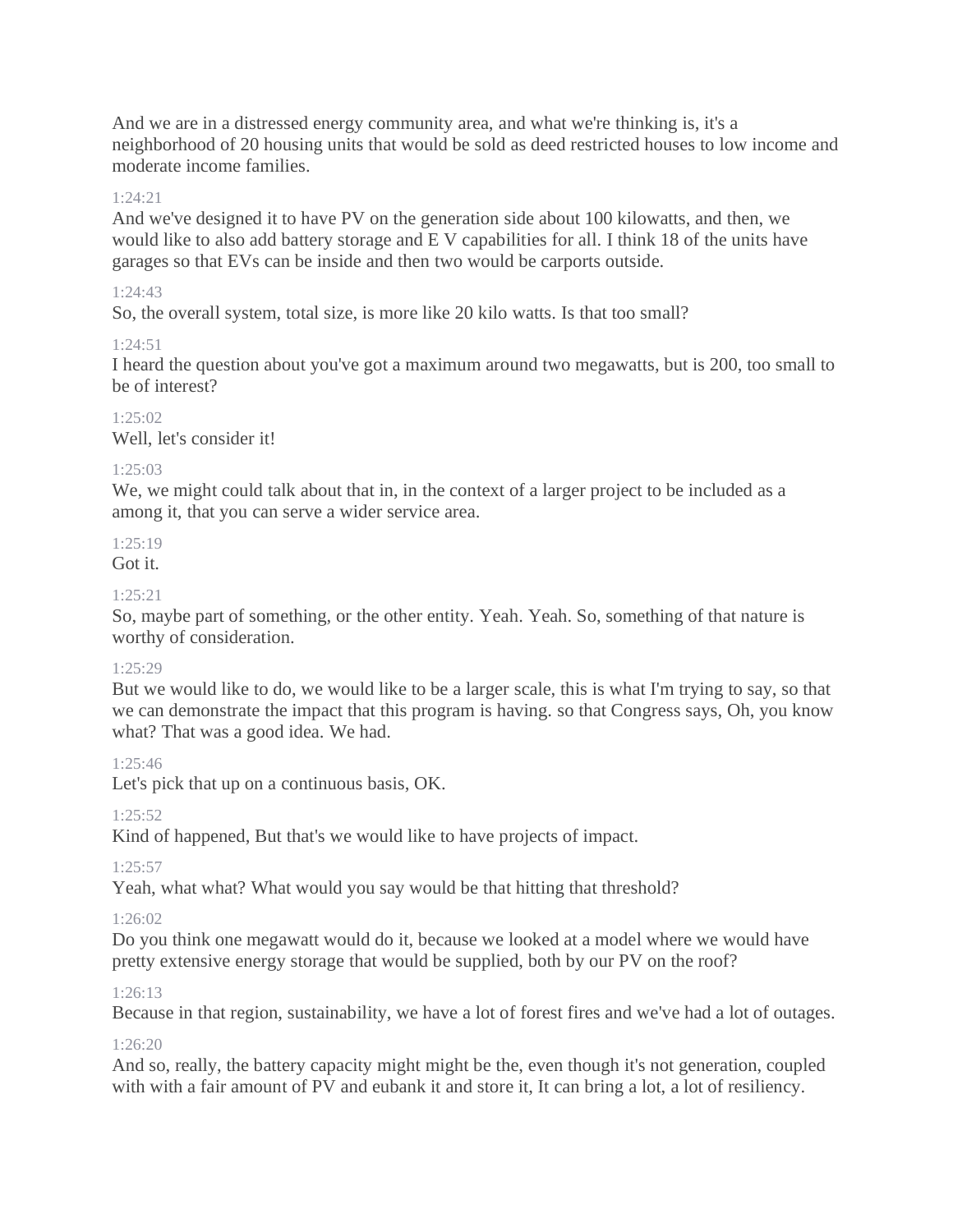And we are in a distressed energy community area, and what we're thinking is, it's a neighborhood of 20 housing units that would be sold as deed restricted houses to low income and moderate income families.

#### $1.24.21$

And we've designed it to have PV on the generation side about 100 kilowatts, and then, we would like to also add battery storage and E V capabilities for all. I think 18 of the units have garages so that EVs can be inside and then two would be carports outside.

#### $1.24.43$

So, the overall system, total size, is more like 20 kilo watts. Is that too small?

#### 1:24:51

I heard the question about you've got a maximum around two megawatts, but is 200, too small to be of interest?

 $1.25:02$ Well, let's consider it!

#### 1:25:03

We, we might could talk about that in, in the context of a larger project to be included as a among it, that you can serve a wider service area.

## $1.25:19$

# Got it.

#### $1.25.21$

So, maybe part of something, or the other entity. Yeah. Yeah. So, something of that nature is worthy of consideration.

#### 1:25:29

But we would like to do, we would like to be a larger scale, this is what I'm trying to say, so that we can demonstrate the impact that this program is having. so that Congress says, Oh, you know what? That was a good idea. We had.

#### 1:25:46

Let's pick that up on a continuous basis, OK.

## 1:25:52

Kind of happened, But that's we would like to have projects of impact.

## 1:25:57

Yeah, what what? What would you say would be that hitting that threshold?

## 1:26:02

Do you think one megawatt would do it, because we looked at a model where we would have pretty extensive energy storage that would be supplied, both by our PV on the roof?

## 1:26:13

Because in that region, sustainability, we have a lot of forest fires and we've had a lot of outages.

#### $1:26:20$

And so, really, the battery capacity might might be the, even though it's not generation, coupled with with a fair amount of PV and eubank it and store it, It can bring a lot, a lot of resiliency.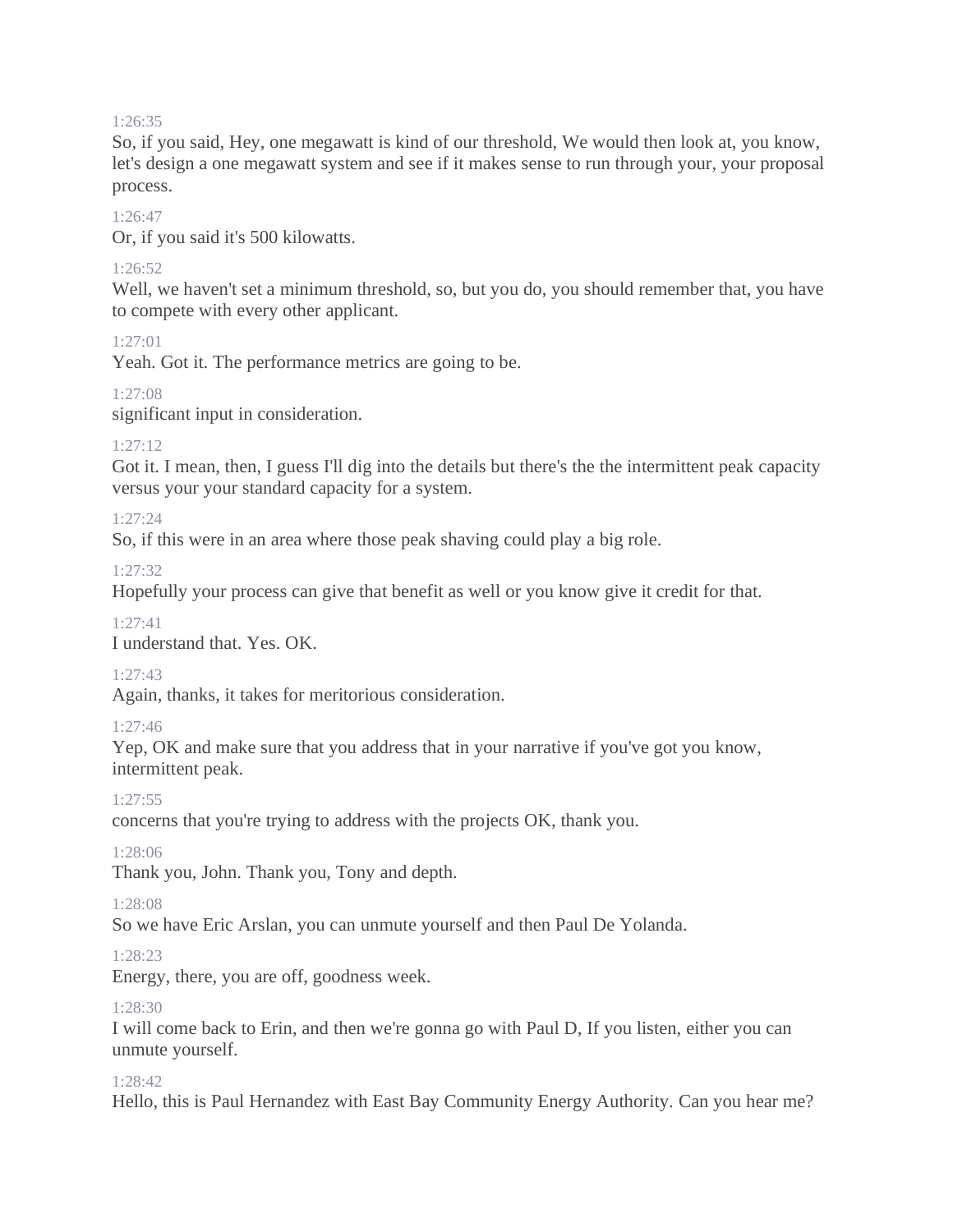#### 1:26:35

So, if you said, Hey, one megawatt is kind of our threshold, We would then look at, you know, let's design a one megawatt system and see if it makes sense to run through your, your proposal process.

#### 1:26:47

Or, if you said it's 500 kilowatts.

#### 1:26:52

Well, we haven't set a minimum threshold, so, but you do, you should remember that, you have to compete with every other applicant.

#### 1:27:01

Yeah. Got it. The performance metrics are going to be.

1:27:08

significant input in consideration.

#### 1:27:12

Got it. I mean, then, I guess I'll dig into the details but there's the the intermittent peak capacity versus your your standard capacity for a system.

#### 1:27:24

So, if this were in an area where those peak shaving could play a big role.

1:27:32

Hopefully your process can give that benefit as well or you know give it credit for that.

1:27:41

I understand that. Yes. OK.

1:27:43

Again, thanks, it takes for meritorious consideration.

1:27:46

Yep, OK and make sure that you address that in your narrative if you've got you know, intermittent peak.

1:27:55

concerns that you're trying to address with the projects OK, thank you.

1:28:06

Thank you, John. Thank you, Tony and depth.

1:28:08

So we have Eric Arslan, you can unmute yourself and then Paul De Yolanda.

1:28:23

Energy, there, you are off, goodness week.

1:28:30

I will come back to Erin, and then we're gonna go with Paul D, If you listen, either you can unmute yourself.

#### 1:28:42

Hello, this is Paul Hernandez with East Bay Community Energy Authority. Can you hear me?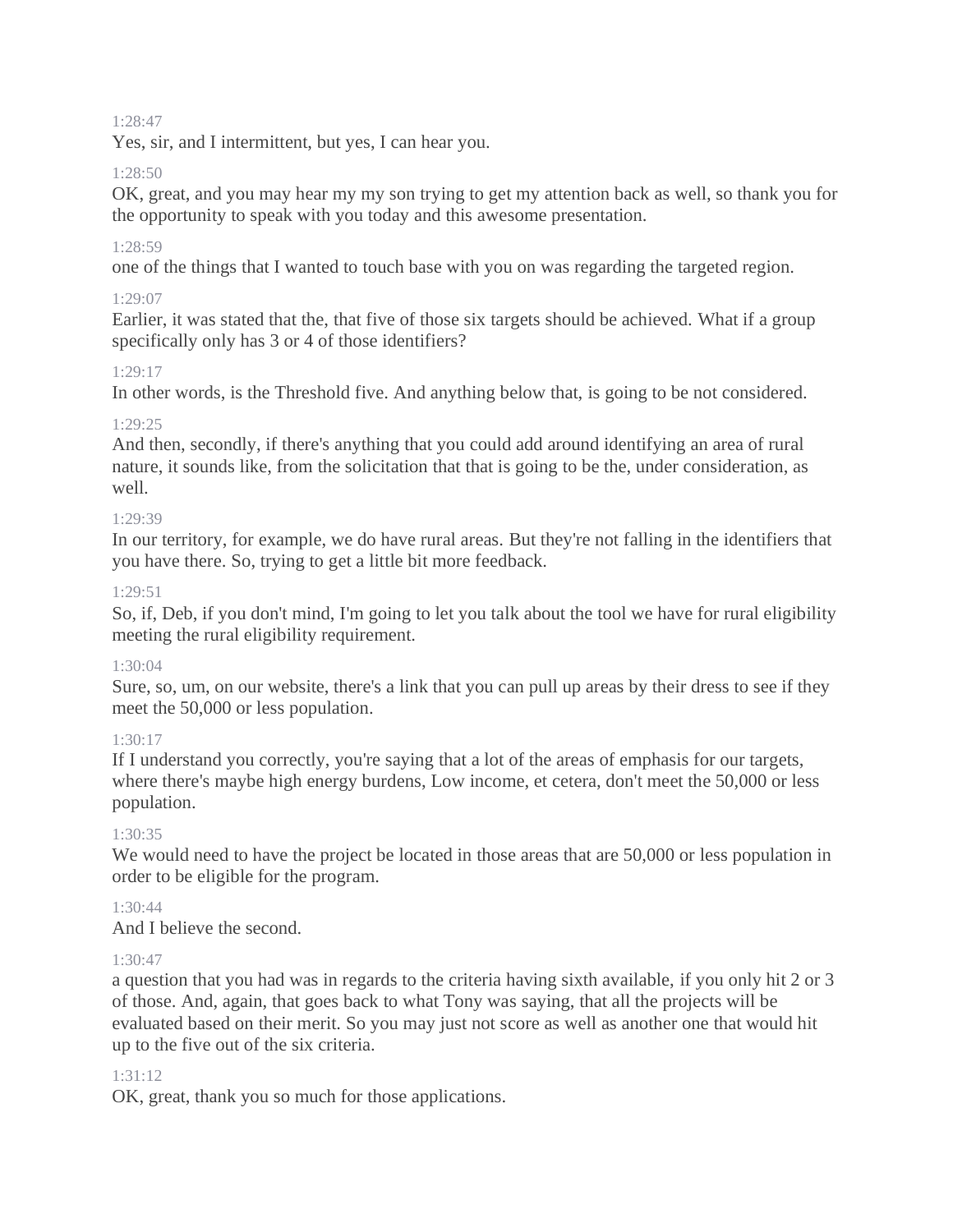#### 1:28:47

Yes, sir, and I intermittent, but yes, I can hear you.

#### $1.28:50$

OK, great, and you may hear my my son trying to get my attention back as well, so thank you for the opportunity to speak with you today and this awesome presentation.

#### 1:28:59

one of the things that I wanted to touch base with you on was regarding the targeted region.

#### 1:29:07

Earlier, it was stated that the, that five of those six targets should be achieved. What if a group specifically only has 3 or 4 of those identifiers?

#### 1:29:17

In other words, is the Threshold five. And anything below that, is going to be not considered.

#### 1:29:25

And then, secondly, if there's anything that you could add around identifying an area of rural nature, it sounds like, from the solicitation that that is going to be the, under consideration, as well.

#### 1:29:39

In our territory, for example, we do have rural areas. But they're not falling in the identifiers that you have there. So, trying to get a little bit more feedback.

#### $1.29.51$

So, if, Deb, if you don't mind, I'm going to let you talk about the tool we have for rural eligibility meeting the rural eligibility requirement.

## $1.30 \cdot 04$

Sure, so, um, on our website, there's a link that you can pull up areas by their dress to see if they meet the 50,000 or less population.

## 1:30:17

If I understand you correctly, you're saying that a lot of the areas of emphasis for our targets, where there's maybe high energy burdens, Low income, et cetera, don't meet the 50,000 or less population.

#### 1:30:35

We would need to have the project be located in those areas that are 50,000 or less population in order to be eligible for the program.

#### 1:30:44

And I believe the second.

#### $1.30.47$

a question that you had was in regards to the criteria having sixth available, if you only hit 2 or 3 of those. And, again, that goes back to what Tony was saying, that all the projects will be evaluated based on their merit. So you may just not score as well as another one that would hit up to the five out of the six criteria.

## 1:31:12

OK, great, thank you so much for those applications.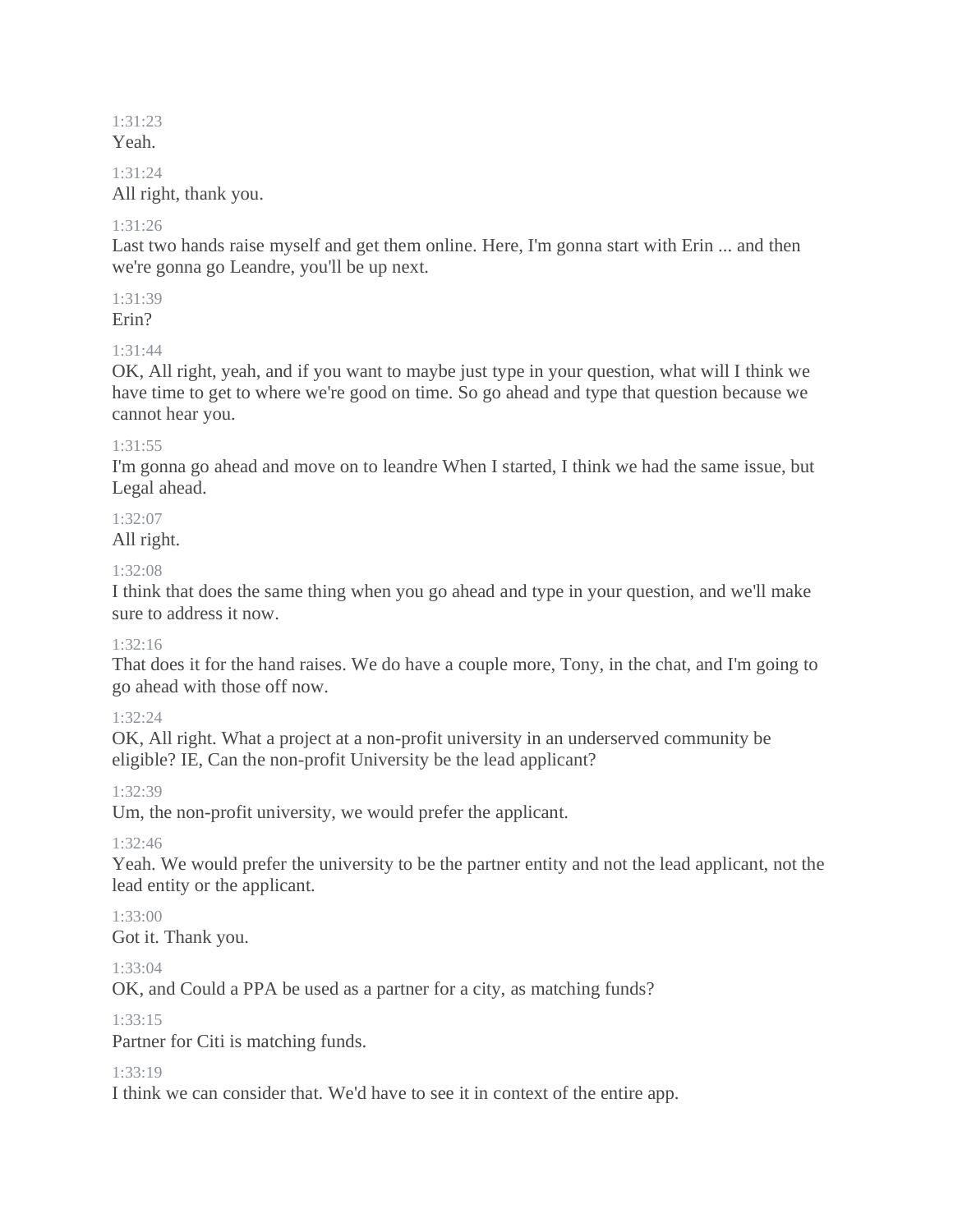#### 1:31:23 Yeah.

#### 1:31:24

All right, thank you.

## 1:31:26

Last two hands raise myself and get them online. Here, I'm gonna start with Erin ... and then we're gonna go Leandre, you'll be up next.

# 1:31:39

Erin?

# 1:31:44

OK, All right, yeah, and if you want to maybe just type in your question, what will I think we have time to get to where we're good on time. So go ahead and type that question because we cannot hear you.

## 1:31:55

I'm gonna go ahead and move on to leandre When I started, I think we had the same issue, but Legal ahead.

## 1:32:07

All right.

## 1:32:08

I think that does the same thing when you go ahead and type in your question, and we'll make sure to address it now.

## 1:32:16

That does it for the hand raises. We do have a couple more, Tony, in the chat, and I'm going to go ahead with those off now.

# 1:32:24

OK, All right. What a project at a non-profit university in an underserved community be eligible? IE, Can the non-profit University be the lead applicant?

# 1:32:39

Um, the non-profit university, we would prefer the applicant.

# 1:32:46

Yeah. We would prefer the university to be the partner entity and not the lead applicant, not the lead entity or the applicant.

# 1:33:00

Got it. Thank you.

## 1:33:04

OK, and Could a PPA be used as a partner for a city, as matching funds?

## $1.33.15$

Partner for Citi is matching funds.

## 1:33:19

I think we can consider that. We'd have to see it in context of the entire app.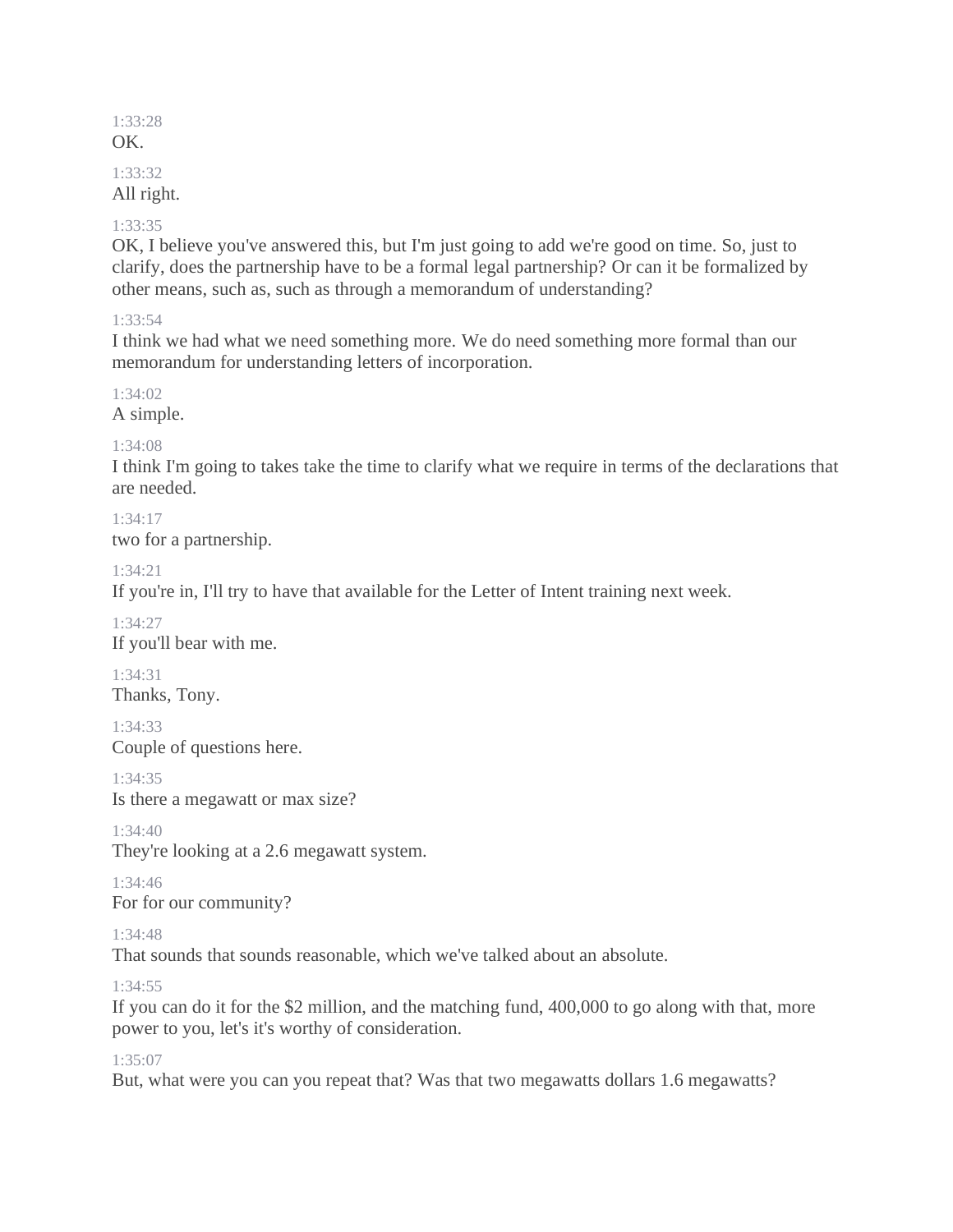#### 1:33:28 OK.

# 1:33:32

All right.

## 1:33:35

OK, I believe you've answered this, but I'm just going to add we're good on time. So, just to clarify, does the partnership have to be a formal legal partnership? Or can it be formalized by other means, such as, such as through a memorandum of understanding?

# 1:33:54

I think we had what we need something more. We do need something more formal than our memorandum for understanding letters of incorporation.

1:34:02 A simple.

# 1:34:08

I think I'm going to takes take the time to clarify what we require in terms of the declarations that are needed.

1:34:17 two for a partnership.

1:34:21

If you're in, I'll try to have that available for the Letter of Intent training next week.

1:34:27 If you'll bear with me.

1:34:31 Thanks, Tony.

1:34:33 Couple of questions here.

1:34:35 Is there a megawatt or max size?

1:34:40 They're looking at a 2.6 megawatt system.

1:34:46 For for our community?

1:34:48

That sounds that sounds reasonable, which we've talked about an absolute.

1:34:55

If you can do it for the \$2 million, and the matching fund, 400,000 to go along with that, more power to you, let's it's worthy of consideration.

1:35:07

But, what were you can you repeat that? Was that two megawatts dollars 1.6 megawatts?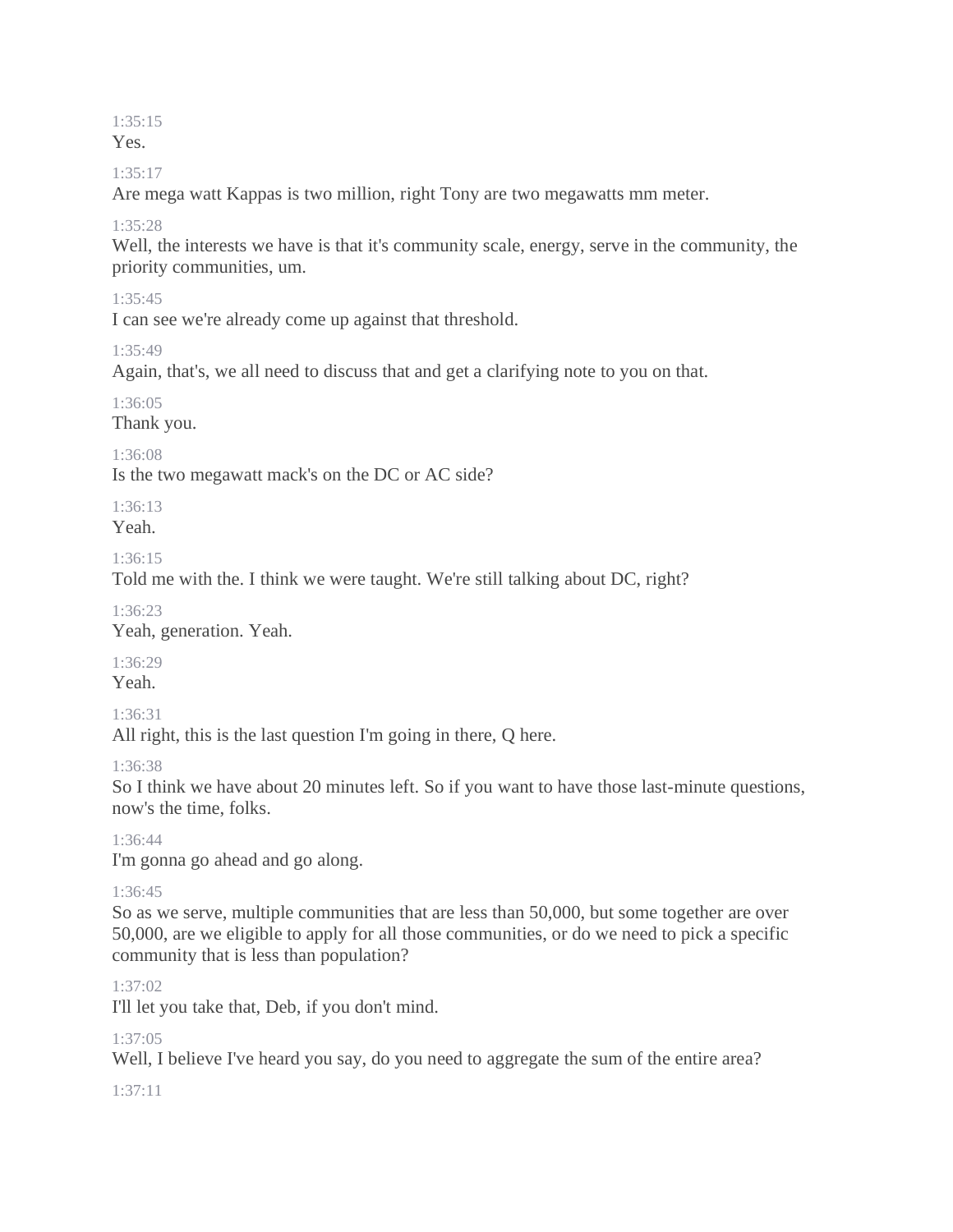# 1:35:15

Yes.

#### $1.35 \cdot 17$

Are mega watt Kappas is two million, right Tony are two megawatts mm meter.

## 1:35:28

Well, the interests we have is that it's community scale, energy, serve in the community, the priority communities, um.

## 1:35:45

I can see we're already come up against that threshold.

#### 1:35:49

Again, that's, we all need to discuss that and get a clarifying note to you on that.

## 1:36:05

Thank you.

## 1:36:08

Is the two megawatt mack's on the DC or AC side?

1:36:13

Yeah.

#### 1:36:15

Told me with the. I think we were taught. We're still talking about DC, right?

#### 1:36:23

Yeah, generation. Yeah.

## 1:36:29

Yeah.

## 1:36:31

All right, this is the last question I'm going in there, Q here.

## 1:36:38

So I think we have about 20 minutes left. So if you want to have those last-minute questions, now's the time, folks.

## 1:36:44

I'm gonna go ahead and go along.

## 1:36:45

So as we serve, multiple communities that are less than 50,000, but some together are over 50,000, are we eligible to apply for all those communities, or do we need to pick a specific community that is less than population?

## 1:37:02

I'll let you take that, Deb, if you don't mind.

## 1:37:05

Well, I believe I've heard you say, do you need to aggregate the sum of the entire area?

## 1:37:11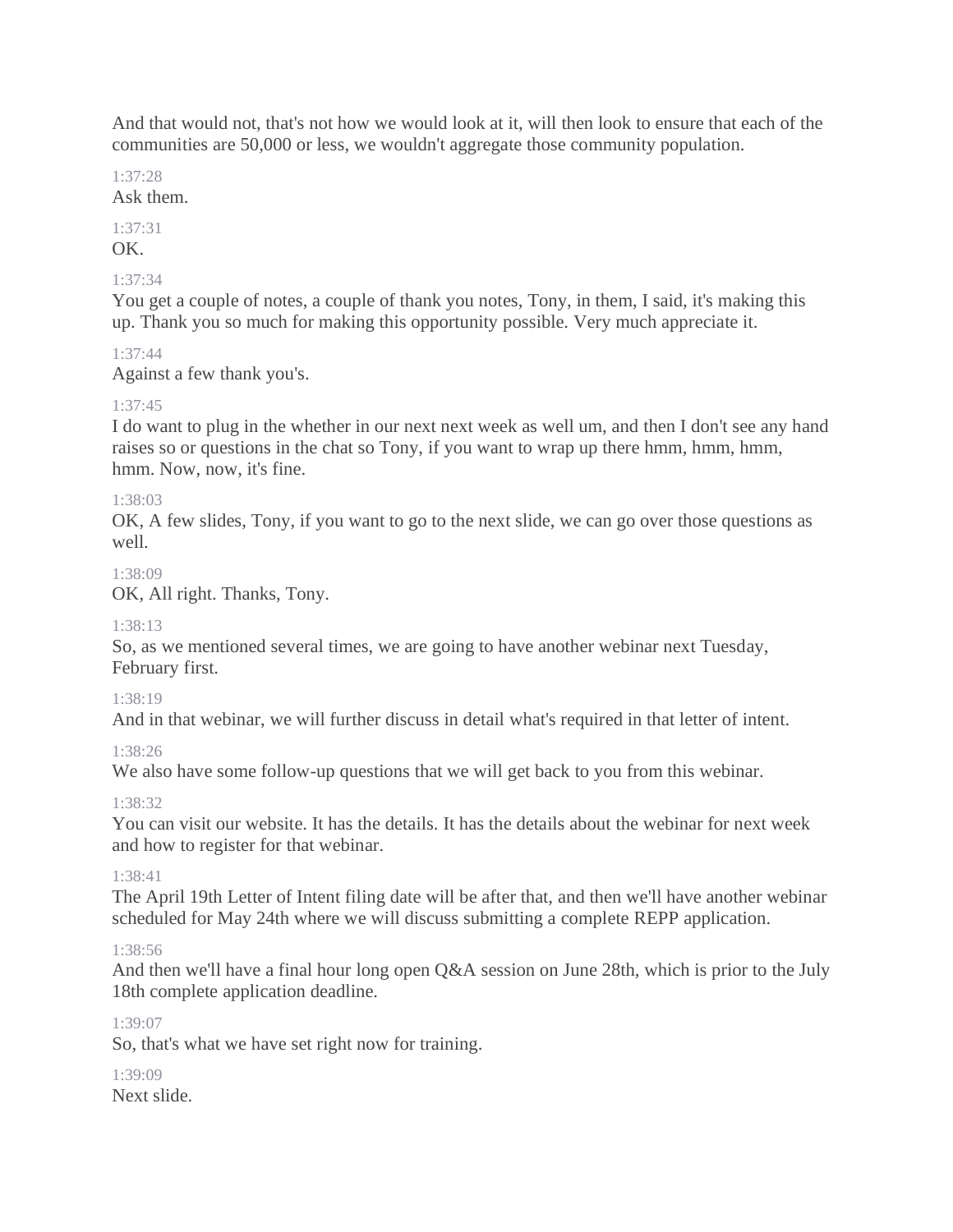And that would not, that's not how we would look at it, will then look to ensure that each of the communities are 50,000 or less, we wouldn't aggregate those community population.

1:37:28

Ask them.

1:37:31

OK.

## 1:37:34

You get a couple of notes, a couple of thank you notes, Tony, in them, I said, it's making this up. Thank you so much for making this opportunity possible. Very much appreciate it.

## 1:37:44

Against a few thank you's.

## 1:37:45

I do want to plug in the whether in our next next week as well um, and then I don't see any hand raises so or questions in the chat so Tony, if you want to wrap up there hmm, hmm, hmm, hmm. Now, now, it's fine.

## 1:38:03

OK, A few slides, Tony, if you want to go to the next slide, we can go over those questions as well.

## 1:38:09

OK, All right. Thanks, Tony.

## 1:38:13

So, as we mentioned several times, we are going to have another webinar next Tuesday, February first.

## 1:38:19

And in that webinar, we will further discuss in detail what's required in that letter of intent.

## 1:38:26

We also have some follow-up questions that we will get back to you from this webinar.

## 1:38:32

You can visit our website. It has the details. It has the details about the webinar for next week and how to register for that webinar.

## 1:38:41

The April 19th Letter of Intent filing date will be after that, and then we'll have another webinar scheduled for May 24th where we will discuss submitting a complete REPP application.

## 1:38:56

And then we'll have a final hour long open Q&A session on June 28th, which is prior to the July 18th complete application deadline.

## 1:39:07

So, that's what we have set right now for training.

#### 1:39:09 Next slide.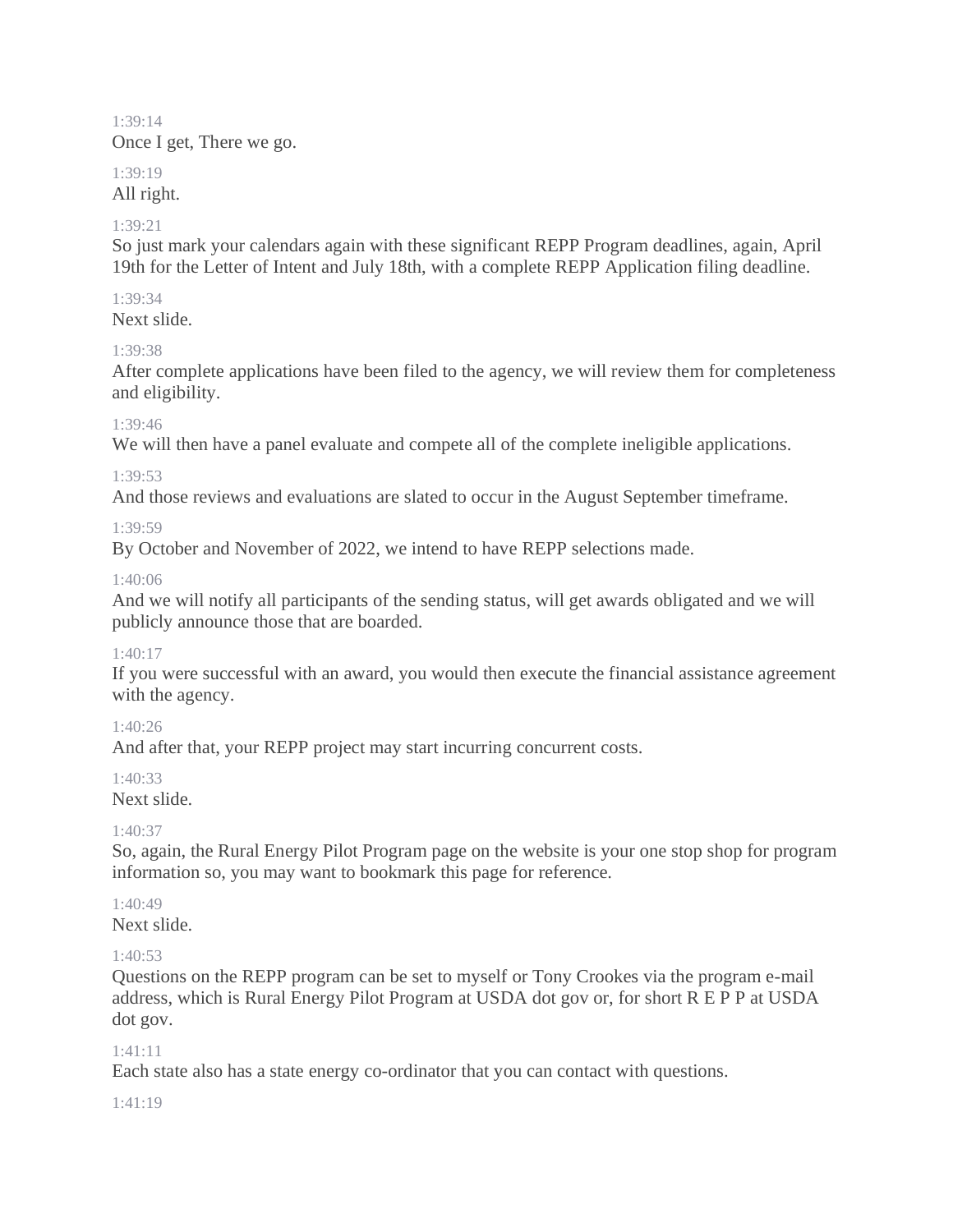#### 1:39:14 Once I get, There we go.

#### 1:39:19

## All right.

## 1:39:21

So just mark your calendars again with these significant REPP Program deadlines, again, April 19th for the Letter of Intent and July 18th, with a complete REPP Application filing deadline.

## 1:39:34

Next slide.

## 1:39:38

After complete applications have been filed to the agency, we will review them for completeness and eligibility.

## 1:39:46

We will then have a panel evaluate and compete all of the complete ineligible applications.

## 1:39:53

And those reviews and evaluations are slated to occur in the August September timeframe.

## 1:39:59

By October and November of 2022, we intend to have REPP selections made.

## 1:40:06

And we will notify all participants of the sending status, will get awards obligated and we will publicly announce those that are boarded.

## 1:40:17

If you were successful with an award, you would then execute the financial assistance agreement with the agency.

# 1:40:26

And after that, your REPP project may start incurring concurrent costs.

# $1.40.33$

# Next slide.

# $1:40:37$

So, again, the Rural Energy Pilot Program page on the website is your one stop shop for program information so, you may want to bookmark this page for reference.

# 1:40:49

Next slide.

# $1.40.53$

Questions on the REPP program can be set to myself or Tony Crookes via the program e-mail address, which is Rural Energy Pilot Program at USDA dot gov or, for short R E P P at USDA dot gov.

# 1:41:11

Each state also has a state energy co-ordinator that you can contact with questions.

## 1:41:19